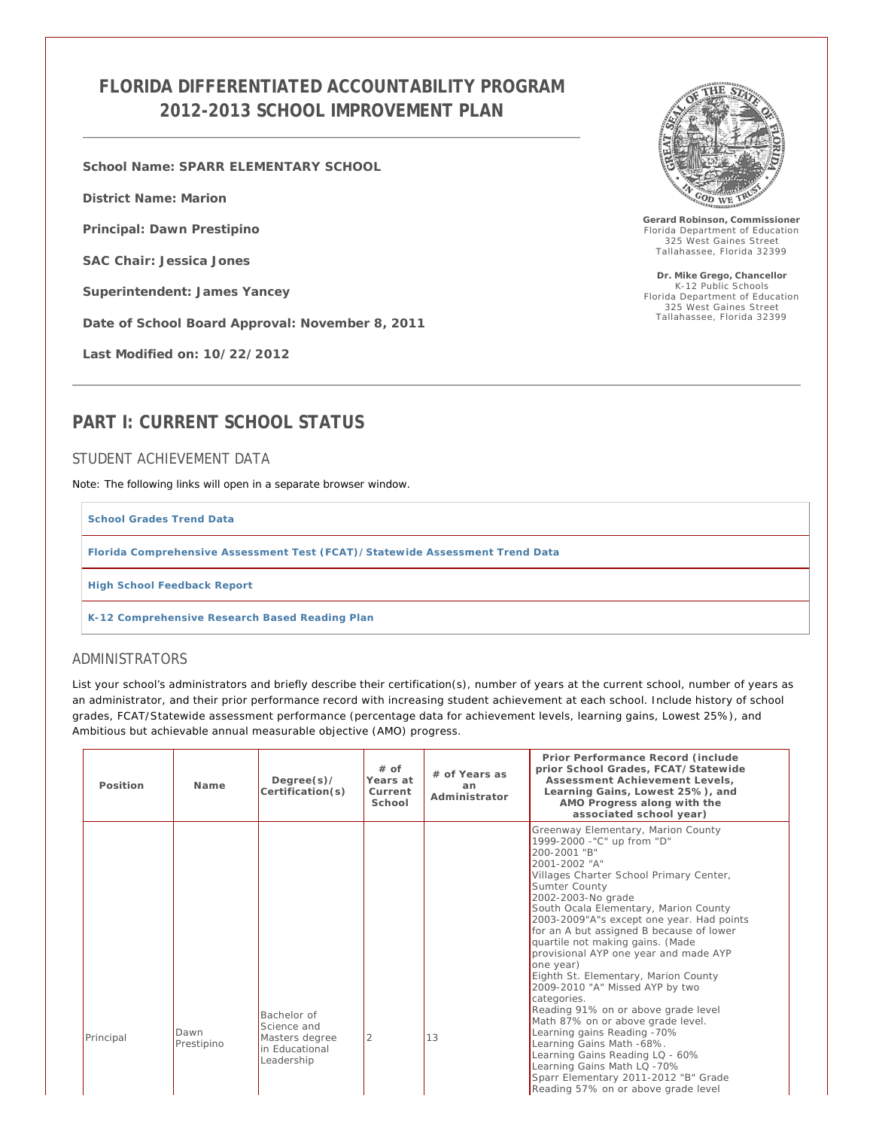## **FLORIDA DIFFERENTIATED ACCOUNTABILITY PROGRAM 2012-2013 SCHOOL IMPROVEMENT PLAN**

**School Name: SPARR ELEMENTARY SCHOOL**

**District Name: Marion**

**Principal: Dawn Prestipino**

**SAC Chair: Jessica Jones**

**Superintendent: James Yancey**

**Date of School Board Approval: November 8, 2011**

**Last Modified on: 10/22/2012**



**Gerard Robinson, Commissioner** Florida Department of Education 325 West Gaines Street Tallahassee, Florida 32399

**Dr. Mike Grego, Chancellor** K-12 Public Schools Florida Department of Education 325 West Gaines Street Tallahassee, Florida 32399

## **PART I: CURRENT SCHOOL STATUS**

#### STUDENT ACHIEVEMENT DATA

*Note: The following links will open in a separate browser window.*

**School Grades Trend Data**

**Florida Comprehensive Assessment Test (FCAT)/Statewide Assessment Trend Data**

**High School Feedback Report**

**K-12 Comprehensive Research Based Reading Plan**

### ADMINISTRATORS

List your school's administrators and briefly describe their certification(s), number of years at the current school, number of years as an administrator, and their prior performance record with increasing student achievement at each school. Include history of school grades, FCAT/Statewide assessment performance (percentage data for achievement levels, learning gains, Lowest 25%), and Ambitious but achievable annual measurable objective (AMO) progress.

| Position  | Name               | Degree(s)<br>Certification(s)                                                | $#$ of<br>Years at<br>Current<br>School | # of Years as<br>an<br>Administrator | Prior Performance Record (include<br>prior School Grades, FCAT/Statewide<br>Assessment Achievement Levels.<br>Learning Gains, Lowest 25%), and<br>AMO Progress along with the<br>associated school year)                                                                                                                                                                                                                                                                                                                                                                                                                                                                                                                                                                                           |
|-----------|--------------------|------------------------------------------------------------------------------|-----------------------------------------|--------------------------------------|----------------------------------------------------------------------------------------------------------------------------------------------------------------------------------------------------------------------------------------------------------------------------------------------------------------------------------------------------------------------------------------------------------------------------------------------------------------------------------------------------------------------------------------------------------------------------------------------------------------------------------------------------------------------------------------------------------------------------------------------------------------------------------------------------|
| Principal | Dawn<br>Prestipino | Bachelor of<br>Science and<br>Masters degree<br>in Educational<br>Leadership | 2                                       | 13                                   | Greenway Elementary, Marion County<br>1999-2000 -"C" up from "D"<br>200-2001 "B"<br>2001-2002 "A"<br>Villages Charter School Primary Center,<br>Sumter County<br>2002-2003-No grade<br>South Ocala Elementary, Marion County<br>2003-2009"A"s except one year. Had points<br>for an A but assigned B because of lower<br>quartile not making gains. (Made<br>provisional AYP one year and made AYP<br>one year)<br>Eighth St. Elementary, Marion County<br>2009-2010 "A" Missed AYP by two<br>categories.<br>Reading 91% on or above grade level<br>Math 87% on or above grade level.<br>Learning gains Reading -70%<br>Learning Gains Math -68%.<br>Learning Gains Reading LQ - 60%<br>Learning Gains Math LQ -70%<br>Sparr Elementary 2011-2012 "B" Grade<br>Reading 57% on or above grade level |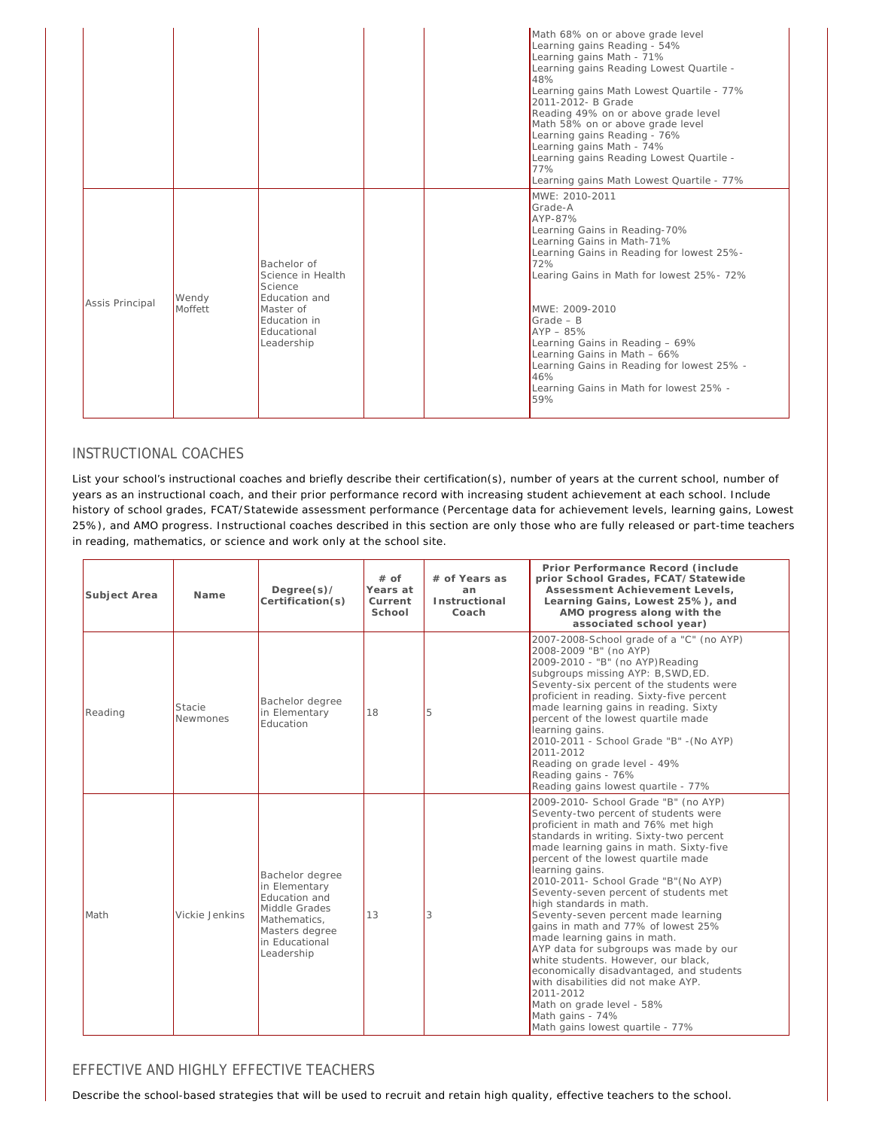|                 |                  |                                                                                                                               | Math 68% on or above grade level<br>Learning gains Reading - 54%<br>Learning gains Math - 71%<br>Learning gains Reading Lowest Quartile -<br>48%<br>Learning gains Math Lowest Quartile - 77%<br>2011-2012- B Grade<br>Reading 49% on or above grade level<br>Math 58% on or above grade level<br>Learning gains Reading - 76%<br>Learning gains Math - 74%<br>Learning gains Reading Lowest Quartile -<br>77%<br>Learning gains Math Lowest Quartile - 77% |
|-----------------|------------------|-------------------------------------------------------------------------------------------------------------------------------|-------------------------------------------------------------------------------------------------------------------------------------------------------------------------------------------------------------------------------------------------------------------------------------------------------------------------------------------------------------------------------------------------------------------------------------------------------------|
| Assis Principal | Wendy<br>Moffett | Bachelor of<br>Science in Health<br>Science<br><b>Fducation and</b><br>Master of<br>Education in<br>Educational<br>Leadership | MWE: 2010-2011<br>Grade-A<br>AYP-87%<br>Learning Gains in Reading-70%<br>Learning Gains in Math-71%<br>Learning Gains in Reading for lowest 25%-<br>72%<br>Learing Gains in Math for lowest 25%- 72%<br>MWE: 2009-2010<br>$Grade - B$<br>$AYP - 85%$<br>Learning Gains in Reading - 69%<br>Learning Gains in Math - 66%<br>Learning Gains in Reading for lowest 25% -<br>46%<br>Learning Gains in Math for lowest 25% -<br>59%                              |

### INSTRUCTIONAL COACHES

List your school's instructional coaches and briefly describe their certification(s), number of years at the current school, number of years as an instructional coach, and their prior performance record with increasing student achievement at each school. Include history of school grades, FCAT/Statewide assessment performance (Percentage data for achievement levels, learning gains, Lowest 25%), and AMO progress. Instructional coaches described in this section are only those who are fully released or part-time teachers in reading, mathematics, or science and work only at the school site.

| Subject Area | Name               | Degree(s)<br>Certification(s)                                                                                                        | $#$ of<br>Years at<br>Current<br>School | # of Years as<br>an<br>Instructional<br>Coach | Prior Performance Record (include<br>prior School Grades, FCAT/Statewide<br>Assessment Achievement Levels,<br>Learning Gains, Lowest 25%), and<br>AMO progress along with the<br>associated school year)                                                                                                                                                                                                                                                                                                                                                                                                                                                                                                                                                            |  |
|--------------|--------------------|--------------------------------------------------------------------------------------------------------------------------------------|-----------------------------------------|-----------------------------------------------|---------------------------------------------------------------------------------------------------------------------------------------------------------------------------------------------------------------------------------------------------------------------------------------------------------------------------------------------------------------------------------------------------------------------------------------------------------------------------------------------------------------------------------------------------------------------------------------------------------------------------------------------------------------------------------------------------------------------------------------------------------------------|--|
| Reading      | Stacie<br>Newmones | Bachelor degree<br>in Elementary<br><b>Education</b>                                                                                 | 18                                      | 5                                             | 2007-2008-School grade of a "C" (no AYP)<br>2008-2009 "B" (no AYP)<br>2009-2010 - "B" (no AYP) Reading<br>subgroups missing AYP: B, SWD, ED.<br>Seventy-six percent of the students were<br>proficient in reading. Sixty-five percent<br>made learning gains in reading. Sixty<br>percent of the lowest quartile made<br>learning gains.<br>2010-2011 - School Grade "B" - (No AYP)<br>2011-2012<br>Reading on grade level - 49%<br>Reading gains - 76%<br>Reading gains lowest quartile - 77%                                                                                                                                                                                                                                                                      |  |
| Math         | Vickie Jenkins     | Bachelor degree<br>in Elementary<br>Education and<br>Middle Grades<br>Mathematics.<br>Masters degree<br>in Educational<br>Leadership | 13                                      | 3                                             | 2009-2010- School Grade "B" (no AYP)<br>Seventy-two percent of students were<br>proficient in math and 76% met high<br>standards in writing. Sixty-two percent<br>made learning gains in math. Sixty-five<br>percent of the lowest quartile made<br>learning gains.<br>2010-2011- School Grade "B" (No AYP)<br>Seventy-seven percent of students met<br>high standards in math.<br>Seventy-seven percent made learning<br>gains in math and 77% of lowest 25%<br>made learning gains in math.<br>AYP data for subgroups was made by our<br>white students. However, our black,<br>economically disadvantaged, and students<br>with disabilities did not make AYP.<br>2011-2012<br>Math on grade level - 58%<br>Math gains - 74%<br>Math gains lowest quartile - 77% |  |

### EFFECTIVE AND HIGHLY EFFECTIVE TEACHERS

Describe the school-based strategies that will be used to recruit and retain high quality, effective teachers to the school.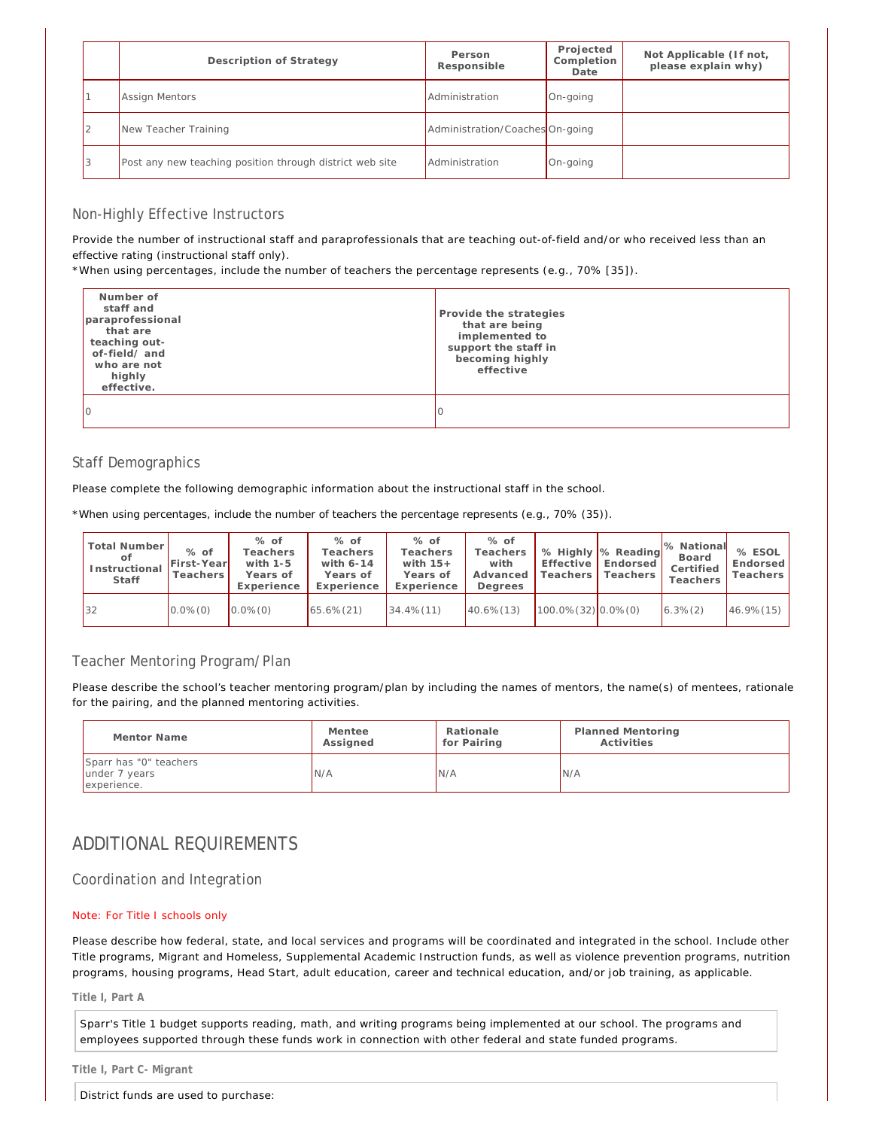| Description of Strategy                                  | Person<br>Responsible           | Projected<br>Completion<br>Date | Not Applicable (If not,<br>please explain why) |
|----------------------------------------------------------|---------------------------------|---------------------------------|------------------------------------------------|
| Assign Mentors                                           | Administration                  | On-going                        |                                                |
| New Teacher Training                                     | Administration/Coaches On-going |                                 |                                                |
| Post any new teaching position through district web site | Administration                  | On-going                        |                                                |

### Non-Highly Effective Instructors

Provide the number of instructional staff and paraprofessionals that are teaching out-of-field and/or who received less than an effective rating (instructional staff only).

\*When using percentages, include the number of teachers the percentage represents (e.g., 70% [35]).

| Number of<br>staff and<br>paraprofessional<br>that are<br>teaching out-<br>of-field/and<br>who are not<br>highly<br>effective. | Provide the strategies<br>that are being<br>implemented to<br>support the staff in<br>becoming highly<br>effective |
|--------------------------------------------------------------------------------------------------------------------------------|--------------------------------------------------------------------------------------------------------------------|
|                                                                                                                                |                                                                                                                    |

### Staff Demographics

Please complete the following demographic information about the instructional staff in the school.

*\*When using percentages, include the number of teachers the percentage represents (e.g., 70% (35)).*

| Total Number<br>οf<br>Instructional<br>Staff | $%$ of<br>First-Year<br>Teachers | $%$ of<br>Teachers<br>with $1-5$<br>Years of<br>Experience | $%$ of<br>Teachers<br>with 6-14<br>Years of<br>Experience | $%$ of<br>Teachers<br>with $15+$<br>Years of<br>Experience | $%$ of<br>Teachers<br>with<br>Advanced<br>Dearees | Effective<br>Teachers I    | % Highly % Reading<br>Endorsed I<br>Teachers | 1% National<br>Board<br>Certified<br>Teachers | % ESOL<br>Endorsed<br>Teachers |
|----------------------------------------------|----------------------------------|------------------------------------------------------------|-----------------------------------------------------------|------------------------------------------------------------|---------------------------------------------------|----------------------------|----------------------------------------------|-----------------------------------------------|--------------------------------|
| 32                                           | $0.0\%$ $(0)$                    | $0.0\%$ $(0)$                                              | $65.6\% (21)$                                             | $34.4\%$ $(11)$                                            | $40.6\%$ (13)                                     | $100.0\%$ (32) $0.0\%$ (0) |                                              | $6.3\%(2)$                                    | $46.9\%$ (15)                  |

### Teacher Mentoring Program/Plan

Please describe the school's teacher mentoring program/plan by including the names of mentors, the name(s) of mentees, rationale for the pairing, and the planned mentoring activities.

| Mentor Name                                            | Mentee   | Rationale   | Planned Mentoring |
|--------------------------------------------------------|----------|-------------|-------------------|
|                                                        | Assigned | for Pairing | Activities        |
| Sparr has "0" teachers<br>under 7 years<br>experience. | N/A      | N/A         | IN/A              |

## ADDITIONAL REQUIREMENTS

Coordination and Integration

#### Note: For Title I schools only

Please describe how federal, state, and local services and programs will be coordinated and integrated in the school. Include other Title programs, Migrant and Homeless, Supplemental Academic Instruction funds, as well as violence prevention programs, nutrition programs, housing programs, Head Start, adult education, career and technical education, and/or job training, as applicable.

**Title I, Part A**

Sparr's Title 1 budget supports reading, math, and writing programs being implemented at our school. The programs and employees supported through these funds work in connection with other federal and state funded programs.

**Title I, Part C- Migrant**

District funds are used to purchase: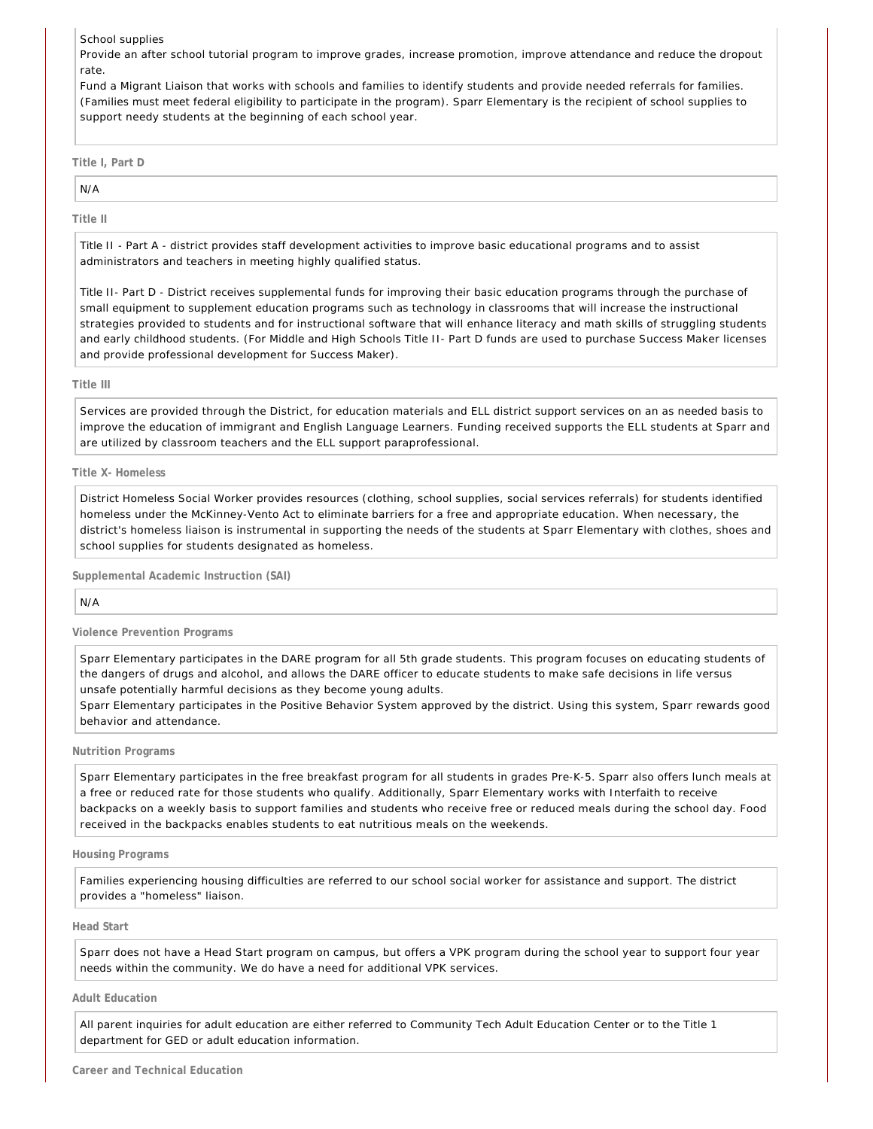School supplies

Provide an after school tutorial program to improve grades, increase promotion, improve attendance and reduce the dropout rate.

Fund a Migrant Liaison that works with schools and families to identify students and provide needed referrals for families. (Families must meet federal eligibility to participate in the program). Sparr Elementary is the recipient of school supplies to support needy students at the beginning of each school year.

**Title I, Part D**

# N/A

**Title II**

Title II - Part A - district provides staff development activities to improve basic educational programs and to assist administrators and teachers in meeting highly qualified status.

Title II- Part D - District receives supplemental funds for improving their basic education programs through the purchase of small equipment to supplement education programs such as technology in classrooms that will increase the instructional strategies provided to students and for instructional software that will enhance literacy and math skills of struggling students and early childhood students. (For Middle and High Schools Title II- Part D funds are used to purchase Success Maker licenses and provide professional development for Success Maker).

#### **Title III**

Services are provided through the District, for education materials and ELL district support services on an as needed basis to improve the education of immigrant and English Language Learners. Funding received supports the ELL students at Sparr and are utilized by classroom teachers and the ELL support paraprofessional.

#### **Title X- Homeless**

District Homeless Social Worker provides resources (clothing, school supplies, social services referrals) for students identified homeless under the McKinney-Vento Act to eliminate barriers for a free and appropriate education. When necessary, the district's homeless liaison is instrumental in supporting the needs of the students at Sparr Elementary with clothes, shoes and school supplies for students designated as homeless.

**Supplemental Academic Instruction (SAI)**

N/A

**Violence Prevention Programs**

Sparr Elementary participates in the DARE program for all 5th grade students. This program focuses on educating students of the dangers of drugs and alcohol, and allows the DARE officer to educate students to make safe decisions in life versus unsafe potentially harmful decisions as they become young adults.

Sparr Elementary participates in the Positive Behavior System approved by the district. Using this system, Sparr rewards good behavior and attendance.

#### **Nutrition Programs**

Sparr Elementary participates in the free breakfast program for all students in grades Pre-K-5. Sparr also offers lunch meals at a free or reduced rate for those students who qualify. Additionally, Sparr Elementary works with Interfaith to receive backpacks on a weekly basis to support families and students who receive free or reduced meals during the school day. Food received in the backpacks enables students to eat nutritious meals on the weekends.

**Housing Programs**

Families experiencing housing difficulties are referred to our school social worker for assistance and support. The district provides a "homeless" liaison.

#### **Head Start**

Sparr does not have a Head Start program on campus, but offers a VPK program during the school year to support four year needs within the community. We do have a need for additional VPK services.

#### **Adult Education**

All parent inquiries for adult education are either referred to Community Tech Adult Education Center or to the Title 1 department for GED or adult education information.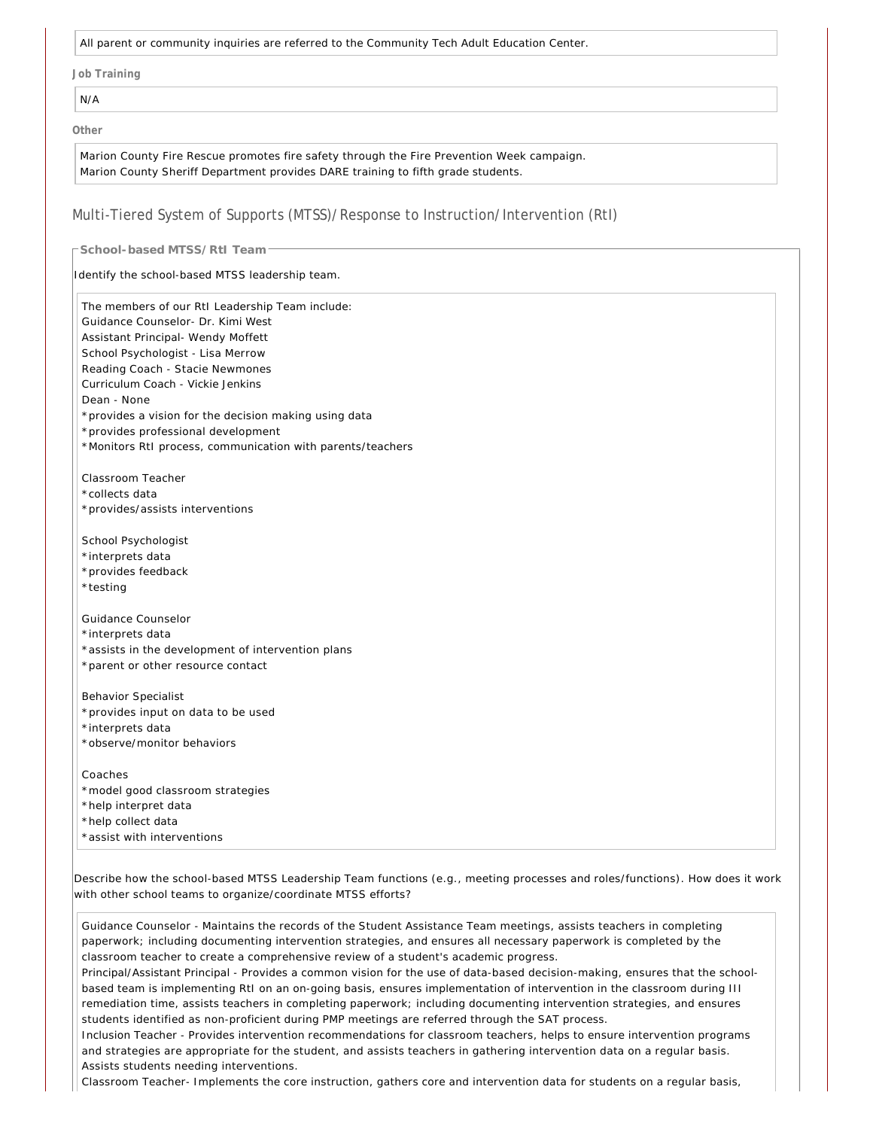All parent or community inquiries are referred to the Community Tech Adult Education Center.

**Job Training**

N/A

**Other**

Marion County Fire Rescue promotes fire safety through the Fire Prevention Week campaign. Marion County Sheriff Department provides DARE training to fifth grade students.

#### Multi-Tiered System of Supports (MTSS)/Response to Instruction/Intervention (RtI)

**School-based MTSS/RtI Team**

Identify the school-based MTSS leadership team.

The members of our RtI Leadership Team include: Guidance Counselor- Dr. Kimi West Assistant Principal- Wendy Moffett School Psychologist - Lisa Merrow Reading Coach - Stacie Newmones Curriculum Coach - Vickie Jenkins Dean - None \*provides a vision for the decision making using data \*provides professional development \*Monitors RtI process, communication with parents/teachers Classroom Teacher \*collects data \*provides/assists interventions School Psychologist \*interprets data \*provides feedback \*testing Guidance Counselor \*interprets data \*assists in the development of intervention plans \*parent or other resource contact Behavior Specialist \*provides input on data to be used \*interprets data \*observe/monitor behaviors Coaches \*model good classroom strategies \*help interpret data \*help collect data \*assist with interventions

Describe how the school-based MTSS Leadership Team functions (e.g., meeting processes and roles/functions). How does it work with other school teams to organize/coordinate MTSS efforts?

Guidance Counselor - Maintains the records of the Student Assistance Team meetings, assists teachers in completing paperwork; including documenting intervention strategies, and ensures all necessary paperwork is completed by the classroom teacher to create a comprehensive review of a student's academic progress.

Principal/Assistant Principal - Provides a common vision for the use of data-based decision-making, ensures that the schoolbased team is implementing RtI on an on-going basis, ensures implementation of intervention in the classroom during III remediation time, assists teachers in completing paperwork; including documenting intervention strategies, and ensures students identified as non-proficient during PMP meetings are referred through the SAT process.

Inclusion Teacher - Provides intervention recommendations for classroom teachers, helps to ensure intervention programs and strategies are appropriate for the student, and assists teachers in gathering intervention data on a regular basis. Assists students needing interventions.

Classroom Teacher- Implements the core instruction, gathers core and intervention data for students on a regular basis,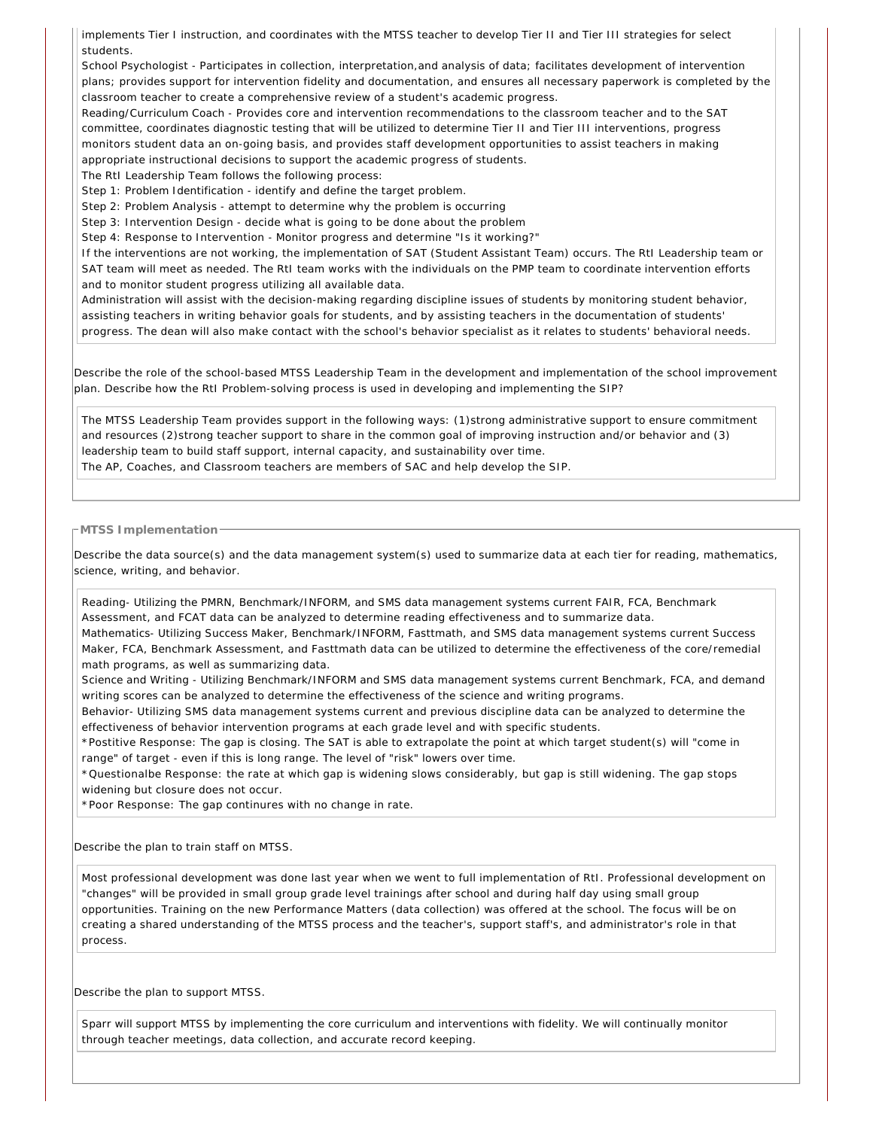implements Tier I instruction, and coordinates with the MTSS teacher to develop Tier II and Tier III strategies for select students.

School Psychologist - Participates in collection, interpretation,and analysis of data; facilitates development of intervention plans; provides support for intervention fidelity and documentation, and ensures all necessary paperwork is completed by the classroom teacher to create a comprehensive review of a student's academic progress.

Reading/Curriculum Coach - Provides core and intervention recommendations to the classroom teacher and to the SAT committee, coordinates diagnostic testing that will be utilized to determine Tier II and Tier III interventions, progress monitors student data an on-going basis, and provides staff development opportunities to assist teachers in making appropriate instructional decisions to support the academic progress of students.

The RtI Leadership Team follows the following process:

Step 1: Problem Identification - identify and define the target problem.

Step 2: Problem Analysis - attempt to determine why the problem is occurring

Step 3: Intervention Design - decide what is going to be done about the problem

Step 4: Response to Intervention - Monitor progress and determine "Is it working?"

If the interventions are not working, the implementation of SAT (Student Assistant Team) occurs. The RtI Leadership team or SAT team will meet as needed. The RtI team works with the individuals on the PMP team to coordinate intervention efforts and to monitor student progress utilizing all available data.

Administration will assist with the decision-making regarding discipline issues of students by monitoring student behavior, assisting teachers in writing behavior goals for students, and by assisting teachers in the documentation of students' progress. The dean will also make contact with the school's behavior specialist as it relates to students' behavioral needs.

Describe the role of the school-based MTSS Leadership Team in the development and implementation of the school improvement plan. Describe how the RtI Problem-solving process is used in developing and implementing the SIP?

The MTSS Leadership Team provides support in the following ways: (1)strong administrative support to ensure commitment and resources (2)strong teacher support to share in the common goal of improving instruction and/or behavior and (3) leadership team to build staff support, internal capacity, and sustainability over time. The AP, Coaches, and Classroom teachers are members of SAC and help develop the SIP.

#### **MTSS Implementation**

Describe the data source(s) and the data management system(s) used to summarize data at each tier for reading, mathematics, science, writing, and behavior.

Reading- Utilizing the PMRN, Benchmark/INFORM, and SMS data management systems current FAIR, FCA, Benchmark Assessment, and FCAT data can be analyzed to determine reading effectiveness and to summarize data.

Mathematics- Utilizing Success Maker, Benchmark/INFORM, Fasttmath, and SMS data management systems current Success Maker, FCA, Benchmark Assessment, and Fasttmath data can be utilized to determine the effectiveness of the core/remedial math programs, as well as summarizing data.

Science and Writing - Utilizing Benchmark/INFORM and SMS data management systems current Benchmark, FCA, and demand writing scores can be analyzed to determine the effectiveness of the science and writing programs.

Behavior- Utilizing SMS data management systems current and previous discipline data can be analyzed to determine the effectiveness of behavior intervention programs at each grade level and with specific students.

\*Postitive Response: The gap is closing. The SAT is able to extrapolate the point at which target student(s) will "come in range" of target - even if this is long range. The level of "risk" lowers over time.

\*Questionalbe Response: the rate at which gap is widening slows considerably, but gap is still widening. The gap stops widening but closure does not occur.

\*Poor Response: The gap continures with no change in rate.

Describe the plan to train staff on MTSS.

Most professional development was done last year when we went to full implementation of RtI. Professional development on "changes" will be provided in small group grade level trainings after school and during half day using small group opportunities. Training on the new Performance Matters (data collection) was offered at the school. The focus will be on creating a shared understanding of the MTSS process and the teacher's, support staff's, and administrator's role in that process.

Describe the plan to support MTSS.

Sparr will support MTSS by implementing the core curriculum and interventions with fidelity. We will continually monitor through teacher meetings, data collection, and accurate record keeping.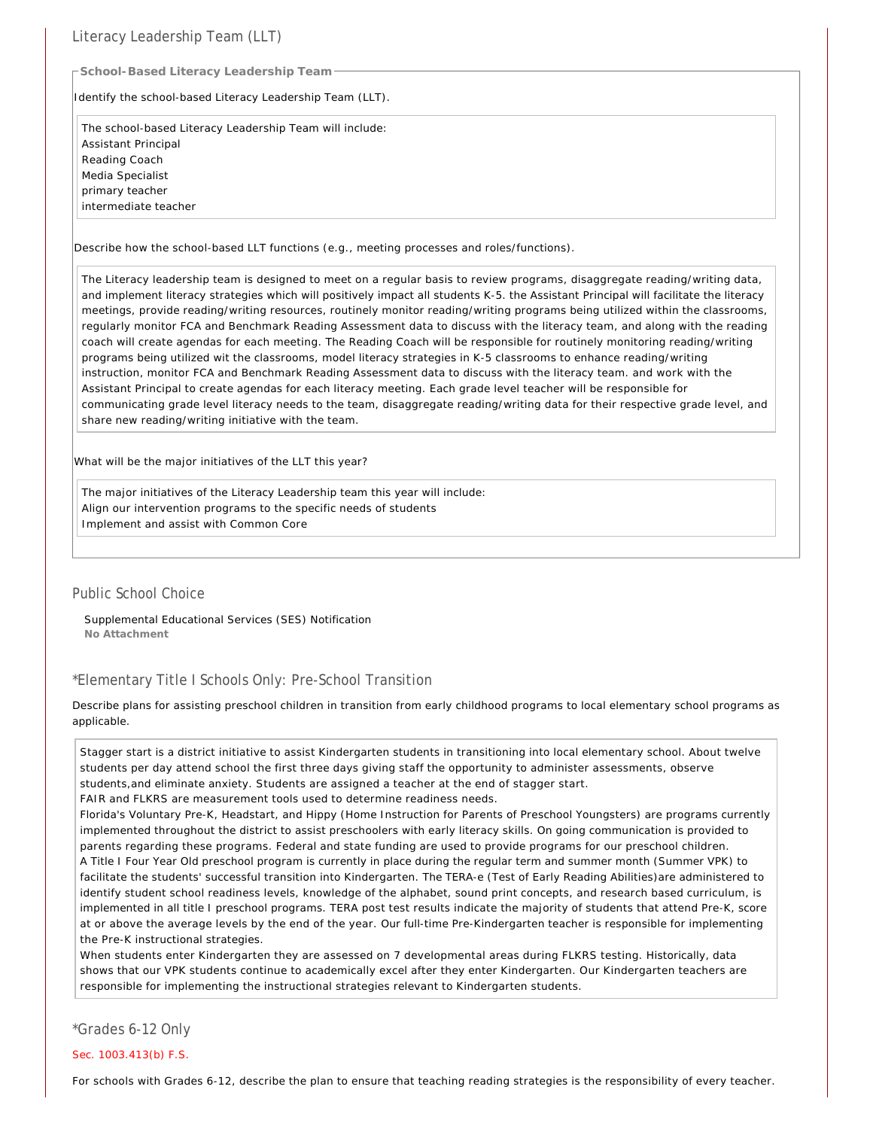### Literacy Leadership Team (LLT)

**School-Based Literacy Leadership Team**

Identify the school-based Literacy Leadership Team (LLT).

The school-based Literacy Leadership Team will include: Assistant Principal Reading Coach Media Specialist primary teacher intermediate teacher

Describe how the school-based LLT functions (e.g., meeting processes and roles/functions).

The Literacy leadership team is designed to meet on a regular basis to review programs, disaggregate reading/writing data, and implement literacy strategies which will positively impact all students K-5. the Assistant Principal will facilitate the literacy meetings, provide reading/writing resources, routinely monitor reading/writing programs being utilized within the classrooms, regularly monitor FCA and Benchmark Reading Assessment data to discuss with the literacy team, and along with the reading coach will create agendas for each meeting. The Reading Coach will be responsible for routinely monitoring reading/writing programs being utilized wit the classrooms, model literacy strategies in K-5 classrooms to enhance reading/writing instruction, monitor FCA and Benchmark Reading Assessment data to discuss with the literacy team. and work with the Assistant Principal to create agendas for each literacy meeting. Each grade level teacher will be responsible for communicating grade level literacy needs to the team, disaggregate reading/writing data for their respective grade level, and share new reading/writing initiative with the team.

What will be the major initiatives of the LLT this year?

The major initiatives of the Literacy Leadership team this year will include: Align our intervention programs to the specific needs of students Implement and assist with Common Core

#### Public School Choice

Supplemental Educational Services (SES) Notification **No Attachment**

### \*Elementary Title I Schools Only: Pre-School Transition

Describe plans for assisting preschool children in transition from early childhood programs to local elementary school programs as applicable.

Stagger start is a district initiative to assist Kindergarten students in transitioning into local elementary school. About twelve students per day attend school the first three days giving staff the opportunity to administer assessments, observe students,and eliminate anxiety. Students are assigned a teacher at the end of stagger start.

FAIR and FLKRS are measurement tools used to determine readiness needs.

Florida's Voluntary Pre-K, Headstart, and Hippy (Home Instruction for Parents of Preschool Youngsters) are programs currently implemented throughout the district to assist preschoolers with early literacy skills. On going communication is provided to parents regarding these programs. Federal and state funding are used to provide programs for our preschool children.

A Title I Four Year Old preschool program is currently in place during the regular term and summer month (Summer VPK) to facilitate the students' successful transition into Kindergarten. The TERA-e (Test of Early Reading Abilities)are administered to identify student school readiness levels, knowledge of the alphabet, sound print concepts, and research based curriculum, is implemented in all title I preschool programs. TERA post test results indicate the majority of students that attend Pre-K, score at or above the average levels by the end of the year. Our full-time Pre-Kindergarten teacher is responsible for implementing the Pre-K instructional strategies.

When students enter Kindergarten they are assessed on 7 developmental areas during FLKRS testing. Historically, data shows that our VPK students continue to academically excel after they enter Kindergarten. Our Kindergarten teachers are responsible for implementing the instructional strategies relevant to Kindergarten students.

#### \*Grades 6-12 Only

Sec. 1003.413(b) F.S.

For schools with Grades 6-12, describe the plan to ensure that teaching reading strategies is the responsibility of every teacher.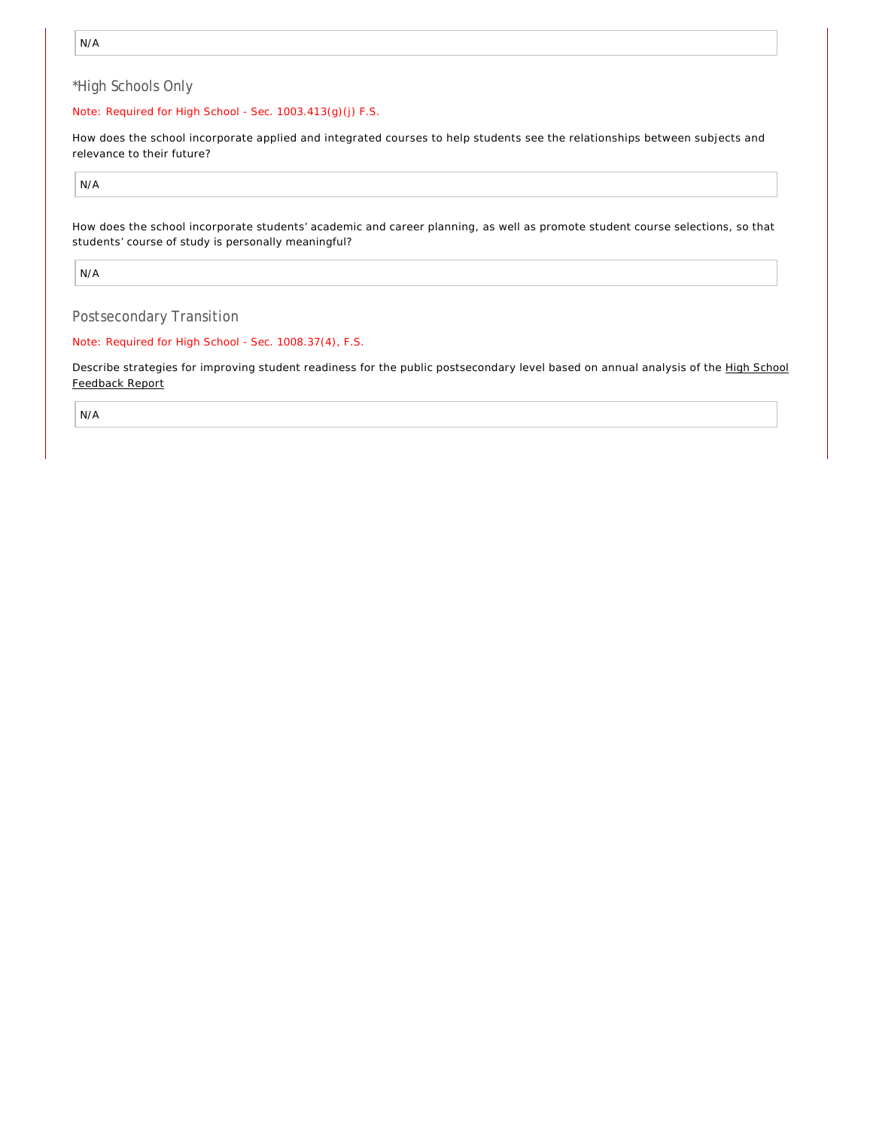### \*High Schools Only

#### Note: Required for High School - Sec. 1003.413(g)(j) F.S.

How does the school incorporate applied and integrated courses to help students see the relationships between subjects and relevance to their future?

N/A

How does the school incorporate students' academic and career planning, as well as promote student course selections, so that students' course of study is personally meaningful?

N/A

Postsecondary Transition

Note: Required for High School - Sec. 1008.37(4), F.S.

Describe strategies for improving student readiness for the public postsecondary level based on annual analysis of the High School Feedback Report

N/A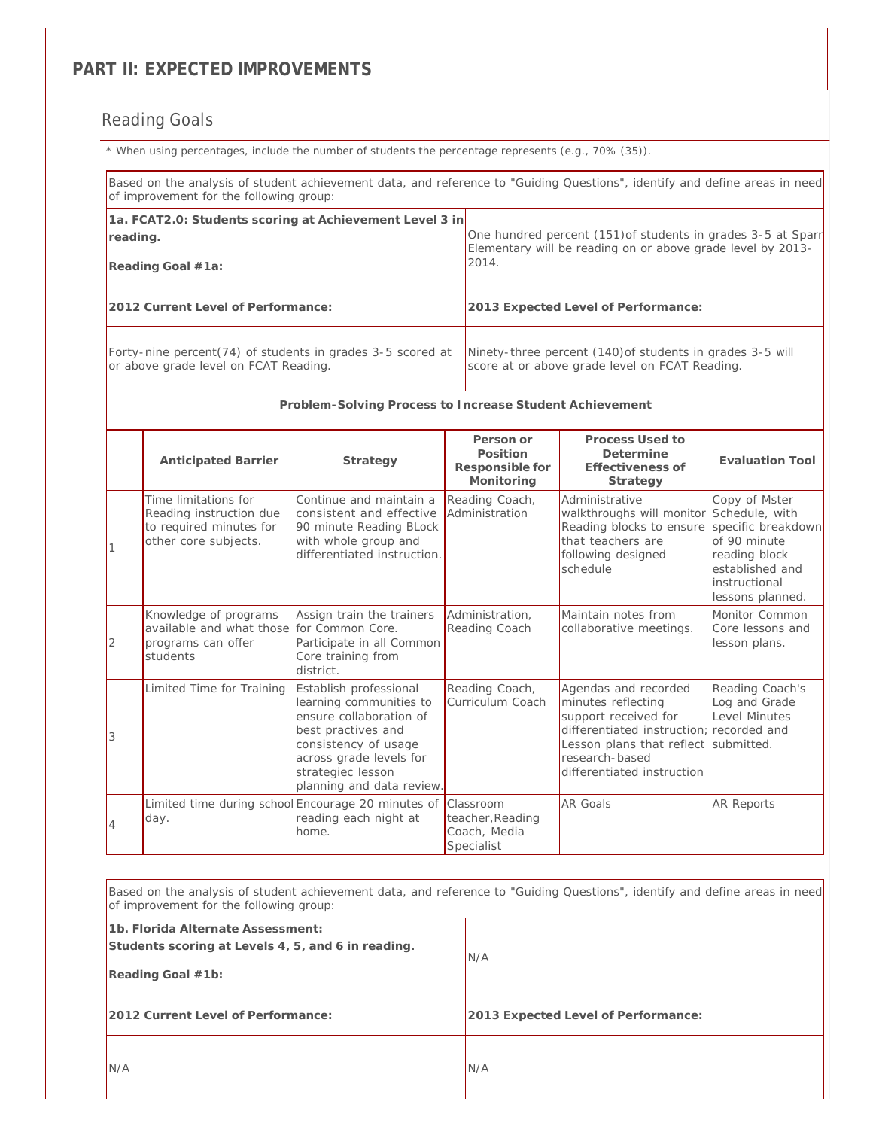## **PART II: EXPECTED IMPROVEMENTS**

# Reading Goals

*\* When using percentages, include the number of students the percentage represents (e.g., 70% (35)).*

|                | of improvement for the following group:                                                              |                                                                                                                                                                                                         |                                                             | Based on the analysis of student achievement data, and reference to "Guiding Questions", identify and define areas in need                                                     |                                                                                                                              |  |  |
|----------------|------------------------------------------------------------------------------------------------------|---------------------------------------------------------------------------------------------------------------------------------------------------------------------------------------------------------|-------------------------------------------------------------|--------------------------------------------------------------------------------------------------------------------------------------------------------------------------------|------------------------------------------------------------------------------------------------------------------------------|--|--|
| reading.       | 1a. FCAT2.0: Students scoring at Achievement Level 3 in<br>Reading Goal #1a:                         |                                                                                                                                                                                                         | 2014.                                                       | One hundred percent (151) of students in grades 3-5 at Sparr<br>Elementary will be reading on or above grade level by 2013-                                                    |                                                                                                                              |  |  |
|                | 2012 Current Level of Performance:                                                                   |                                                                                                                                                                                                         |                                                             | 2013 Expected Level of Performance:                                                                                                                                            |                                                                                                                              |  |  |
|                | Forty-nine percent(74) of students in grades 3-5 scored at<br>or above grade level on FCAT Reading.  |                                                                                                                                                                                                         |                                                             | Ninety-three percent (140) of students in grades 3-5 will<br>score at or above grade level on FCAT Reading.                                                                    |                                                                                                                              |  |  |
|                |                                                                                                      | Problem-Solving Process to Increase Student Achievement                                                                                                                                                 |                                                             |                                                                                                                                                                                |                                                                                                                              |  |  |
|                | <b>Anticipated Barrier</b>                                                                           | Strategy                                                                                                                                                                                                | Person or<br>Position<br>Responsible for<br>Monitoring      | Process Used to<br>Determine<br>Effectiveness of<br>Strategy                                                                                                                   | <b>Evaluation Tool</b>                                                                                                       |  |  |
| $\overline{1}$ | Time limitations for<br>Reading instruction due<br>to required minutes for<br>other core subjects.   | Continue and maintain a<br>consistent and effective<br>90 minute Reading BLock<br>with whole group and<br>differentiated instruction.                                                                   | Reading Coach,<br>Administration                            | Administrative<br>walkthroughs will monitor Schedule, with<br>Reading blocks to ensure<br>that teachers are<br>following designed<br>schedule                                  | Copy of Mster<br>specific breakdown<br>of 90 minute<br>reading block<br>established and<br>instructional<br>lessons planned. |  |  |
| $\overline{2}$ | Knowledge of programs<br>available and what those for Common Core.<br>programs can offer<br>students | Assign train the trainers<br>Participate in all Common<br>Core training from<br>district.                                                                                                               | Administration,<br>Reading Coach                            | Maintain notes from<br>collaborative meetings.                                                                                                                                 | Monitor Common<br>Core lessons and<br>lesson plans.                                                                          |  |  |
| 3              | Limited Time for Training                                                                            | Establish professional<br>learning communities to<br>ensure collaboration of<br>best practives and<br>consistency of usage<br>across grade levels for<br>strategiec lesson<br>planning and data review. | Reading Coach,<br>Curriculum Coach                          | Agendas and recorded<br>minutes reflecting<br>support received for<br>differentiated instruction;<br>Lesson plans that reflect<br>research-based<br>differentiated instruction | Reading Coach's<br>Log and Grade<br>Level Minutes<br>recorded and<br>submitted.                                              |  |  |
| $\overline{4}$ | Limited time during school Encourage 20 minutes of<br>day.                                           | reading each night at<br>home.                                                                                                                                                                          | Classroom<br>teacher, Reading<br>Coach, Media<br>Specialist | <b>AR Goals</b>                                                                                                                                                                | <b>AR Reports</b>                                                                                                            |  |  |

| Based on the analysis of student achievement data, and reference to "Guiding Questions", identify and define areas in need<br>of improvement for the following group: |                                     |  |  |  |  |
|-----------------------------------------------------------------------------------------------------------------------------------------------------------------------|-------------------------------------|--|--|--|--|
| 1b. Florida Alternate Assessment:<br>Students scoring at Levels 4, 5, and 6 in reading.<br>Reading Goal #1b:                                                          | N/A                                 |  |  |  |  |
| 2012 Current Level of Performance:                                                                                                                                    | 2013 Expected Level of Performance: |  |  |  |  |
| N/A                                                                                                                                                                   | N/A                                 |  |  |  |  |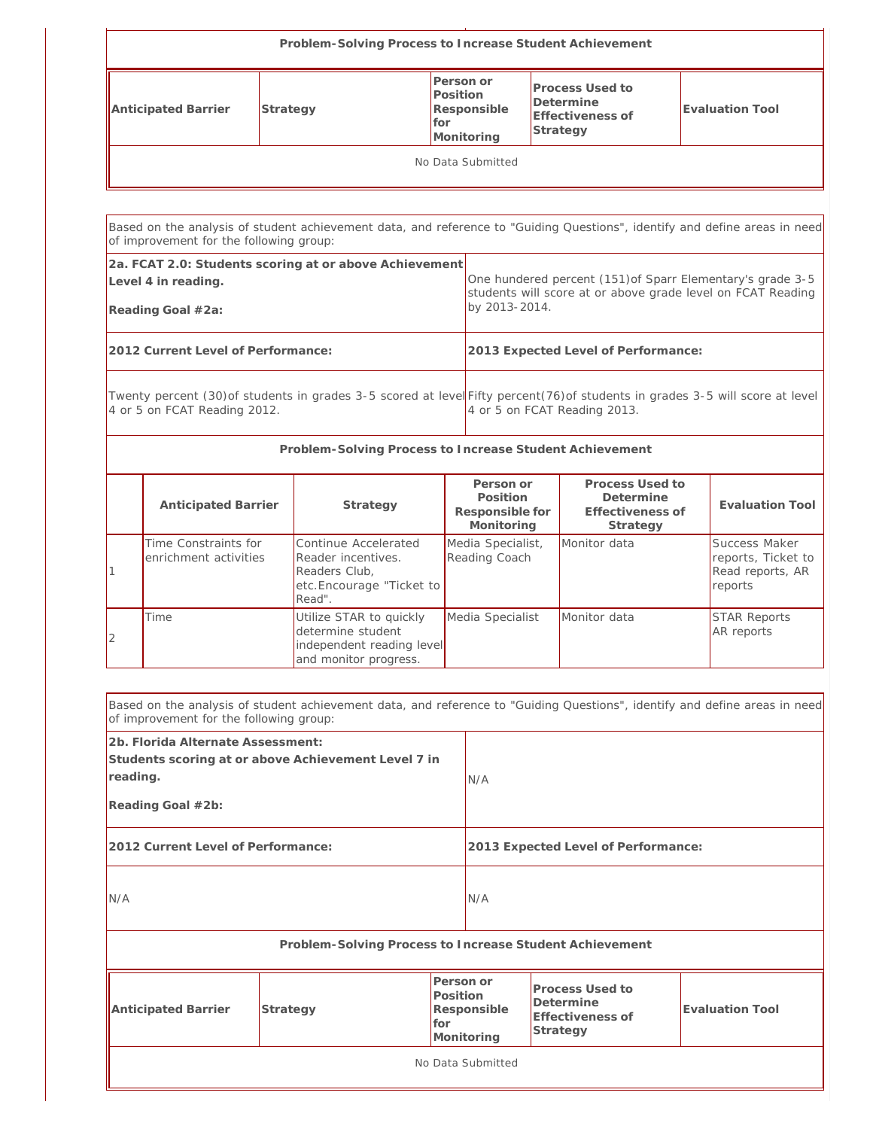| Problem-Solving Process to Increase Student Achievement |          |                                                                    |                                                                     |                 |  |  |
|---------------------------------------------------------|----------|--------------------------------------------------------------------|---------------------------------------------------------------------|-----------------|--|--|
| Anticipated Barrier                                     | Strategy | Person or<br>Position<br>Responsible<br><b>I</b> for<br>Monitoring | Process Used to<br>Determine<br><b>Effectiveness of</b><br>Strategy | Evaluation Tool |  |  |
| No Data Submitted                                       |          |                                                                    |                                                                     |                 |  |  |

Based on the analysis of student achievement data, and reference to "Guiding Questions", identify and define areas in need of improvement for the following group: **2a. FCAT 2.0: Students scoring at or above Achievement Level 4 in reading. Reading Goal #2a:** One hundered percent (151)of Sparr Elementary's grade 3-5 students will score at or above grade level on FCAT Reading by 2013-2014. **2012 Current Level of Performance: 2013 Expected Level of Performance:** Twenty percent (30)of students in grades 3-5 scored at leve∥Fifty percent(76)of students in grades 3-5 will score at level 4 or 5 on FCAT Reading 2012. 4 or 5 on FCAT Reading 2013. **Problem-Solving Process to Increase Student Achievement**

| <b>Anticipated Barrier</b>                    | Strategy                                                                                           | Person or<br>Position<br>Responsible for<br>Monitoring | Process Used to<br>Determine<br>Effectiveness of<br>Strategy | Evaluation Tool                                                    |
|-----------------------------------------------|----------------------------------------------------------------------------------------------------|--------------------------------------------------------|--------------------------------------------------------------|--------------------------------------------------------------------|
| Time Constraints for<br>enrichment activities | Continue Accelerated<br>Reader incentives.<br>Readers Club,<br>etc.Encourage "Ticket to<br>Read".  | Media Specialist,<br>Reading Coach                     | Monitor data                                                 | Success Maker<br>reports, Ticket to<br>Read reports, AR<br>reports |
| Time                                          | Utilize STAR to quickly<br>determine student<br>independent reading level<br>and monitor progress. | Media Specialist                                       | Monitor data                                                 | <b>STAR Reports</b><br><b>AR</b> reports                           |

 $\Gamma$ 

|                                                                                                                           | Based on the analysis of student achievement data, and reference to "Guiding Questions", identify and define areas in need<br>of improvement for the following group: |                                                                                                                                  |     |                                                         |  |  |  |
|---------------------------------------------------------------------------------------------------------------------------|-----------------------------------------------------------------------------------------------------------------------------------------------------------------------|----------------------------------------------------------------------------------------------------------------------------------|-----|---------------------------------------------------------|--|--|--|
| 2b. Florida Alternate Assessment:<br>Students scoring at or above Achievement Level 7 in<br>reading.<br>Reading Goal #2b: |                                                                                                                                                                       | N/A                                                                                                                              |     |                                                         |  |  |  |
| 2012 Current Level of Performance:                                                                                        |                                                                                                                                                                       |                                                                                                                                  |     | 2013 Expected Level of Performance:                     |  |  |  |
| N/A                                                                                                                       |                                                                                                                                                                       |                                                                                                                                  | N/A |                                                         |  |  |  |
|                                                                                                                           |                                                                                                                                                                       |                                                                                                                                  |     | Problem-Solving Process to Increase Student Achievement |  |  |  |
| Position<br>Anticipated Barrier<br>Strategy<br>for                                                                        |                                                                                                                                                                       | Person or<br>Process Used to<br>Determine<br>Evaluation Tool<br>Responsible<br><b>Effectiveness of</b><br>Strategy<br>Monitoring |     |                                                         |  |  |  |
|                                                                                                                           | No Data Submitted                                                                                                                                                     |                                                                                                                                  |     |                                                         |  |  |  |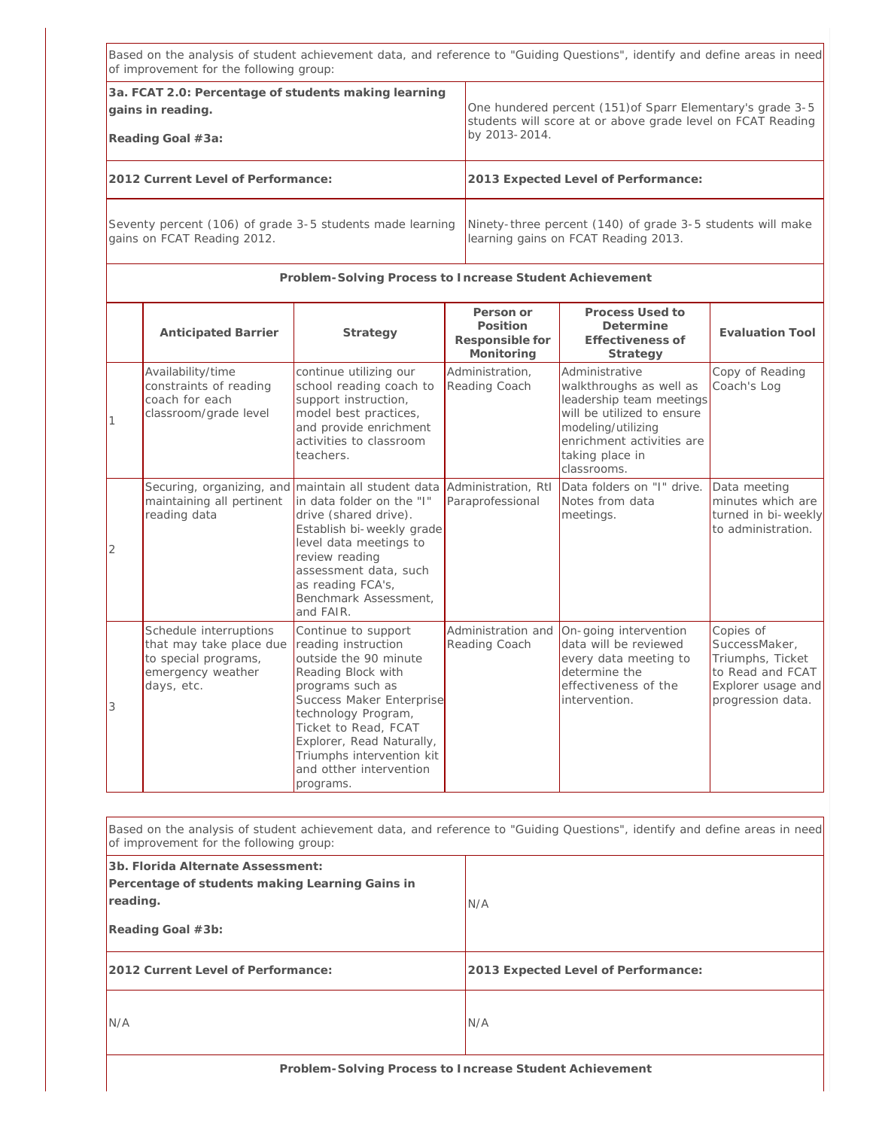|                                                                                                | Based on the analysis of student achievement data, and reference to "Guiding Questions", identify and define areas in need<br>of improvement for the following group: |                                                                                                                                                                                                                                                                                            |  |                                                                                                                                            |                                                                                                                                                                                          |                                                                                                               |
|------------------------------------------------------------------------------------------------|-----------------------------------------------------------------------------------------------------------------------------------------------------------------------|--------------------------------------------------------------------------------------------------------------------------------------------------------------------------------------------------------------------------------------------------------------------------------------------|--|--------------------------------------------------------------------------------------------------------------------------------------------|------------------------------------------------------------------------------------------------------------------------------------------------------------------------------------------|---------------------------------------------------------------------------------------------------------------|
| 3a. FCAT 2.0: Percentage of students making learning<br>gains in reading.<br>Reading Goal #3a: |                                                                                                                                                                       |                                                                                                                                                                                                                                                                                            |  | One hundered percent (151) of Sparr Elementary's grade 3-5<br>students will score at or above grade level on FCAT Reading<br>by 2013-2014. |                                                                                                                                                                                          |                                                                                                               |
|                                                                                                | 2012 Current Level of Performance:                                                                                                                                    |                                                                                                                                                                                                                                                                                            |  |                                                                                                                                            | 2013 Expected Level of Performance:                                                                                                                                                      |                                                                                                               |
| Seventy percent (106) of grade 3-5 students made learning<br>gains on FCAT Reading 2012.       |                                                                                                                                                                       |                                                                                                                                                                                                                                                                                            |  | Ninety-three percent (140) of grade 3-5 students will make<br>learning gains on FCAT Reading 2013.                                         |                                                                                                                                                                                          |                                                                                                               |
|                                                                                                |                                                                                                                                                                       | Problem-Solving Process to Increase Student Achievement                                                                                                                                                                                                                                    |  |                                                                                                                                            |                                                                                                                                                                                          |                                                                                                               |
|                                                                                                | <b>Anticipated Barrier</b>                                                                                                                                            | Strategy                                                                                                                                                                                                                                                                                   |  | Person or<br>Position<br>Responsible for<br>Monitoring                                                                                     | Process Used to<br>Determine<br>Effectiveness of<br>Strategy                                                                                                                             | <b>Evaluation Tool</b>                                                                                        |
|                                                                                                | Availability/time<br>constraints of reading<br>coach for each<br>classroom/grade level                                                                                | continue utilizing our<br>school reading coach to<br>support instruction,<br>model best practices,<br>and provide enrichment<br>activities to classroom<br>teachers.                                                                                                                       |  | Administration,<br>Reading Coach                                                                                                           | Administrative<br>walkthroughs as well as<br>leadership team meetings<br>will be utilized to ensure<br>modeling/utilizing<br>enrichment activities are<br>taking place in<br>classrooms. | Copy of Reading<br>Coach's Log                                                                                |
| $\overline{2}$                                                                                 | Securing, organizing, and<br>maintaining all pertinent<br>reading data                                                                                                | maintain all student data<br>in data folder on the "I"<br>drive (shared drive).<br>Establish bi-weekly grade<br>level data meetings to<br>review reading<br>assessment data, such<br>as reading FCA's,<br>Benchmark Assessment,<br>and FAIR.                                               |  | Administration, RtI<br>Paraprofessional                                                                                                    | Data folders on "I" drive.<br>Notes from data<br>meetings.                                                                                                                               | Data meeting<br>minutes which are<br>turned in bi-weekly<br>to administration.                                |
| 3                                                                                              | Schedule interruptions<br>that may take place due<br>to special programs,<br>emergency weather<br>days, etc.                                                          | Continue to support<br>reading instruction<br>outside the 90 minute<br>Reading Block with<br>programs such as<br>Success Maker Enterprise<br>technology Program,<br>Ticket to Read, FCAT<br>Explorer, Read Naturally,<br>Triumphs intervention kit<br>and otther intervention<br>programs. |  | Administration and<br>Reading Coach                                                                                                        | On-going intervention<br>data will be reviewed<br>every data meeting to<br>determine the<br>effectiveness of the<br>intervention.                                                        | Copies of<br>SuccessMaker,<br>Triumphs, Ticket<br>to Read and FCAT<br>Explorer usage and<br>progression data. |

| Based on the analysis of student achievement data, and reference to "Guiding Questions", identify and define areas in need<br>of improvement for the following group: |                                     |  |  |  |
|-----------------------------------------------------------------------------------------------------------------------------------------------------------------------|-------------------------------------|--|--|--|
| 3b. Florida Alternate Assessment:<br>Percentage of students making Learning Gains in<br>reading.<br>Reading Goal #3b:                                                 | N/A                                 |  |  |  |
| 2012 Current Level of Performance:                                                                                                                                    | 2013 Expected Level of Performance: |  |  |  |
| IN/A                                                                                                                                                                  | N/A                                 |  |  |  |
|                                                                                                                                                                       |                                     |  |  |  |

r

**Problem-Solving Process to Increase Student Achievement**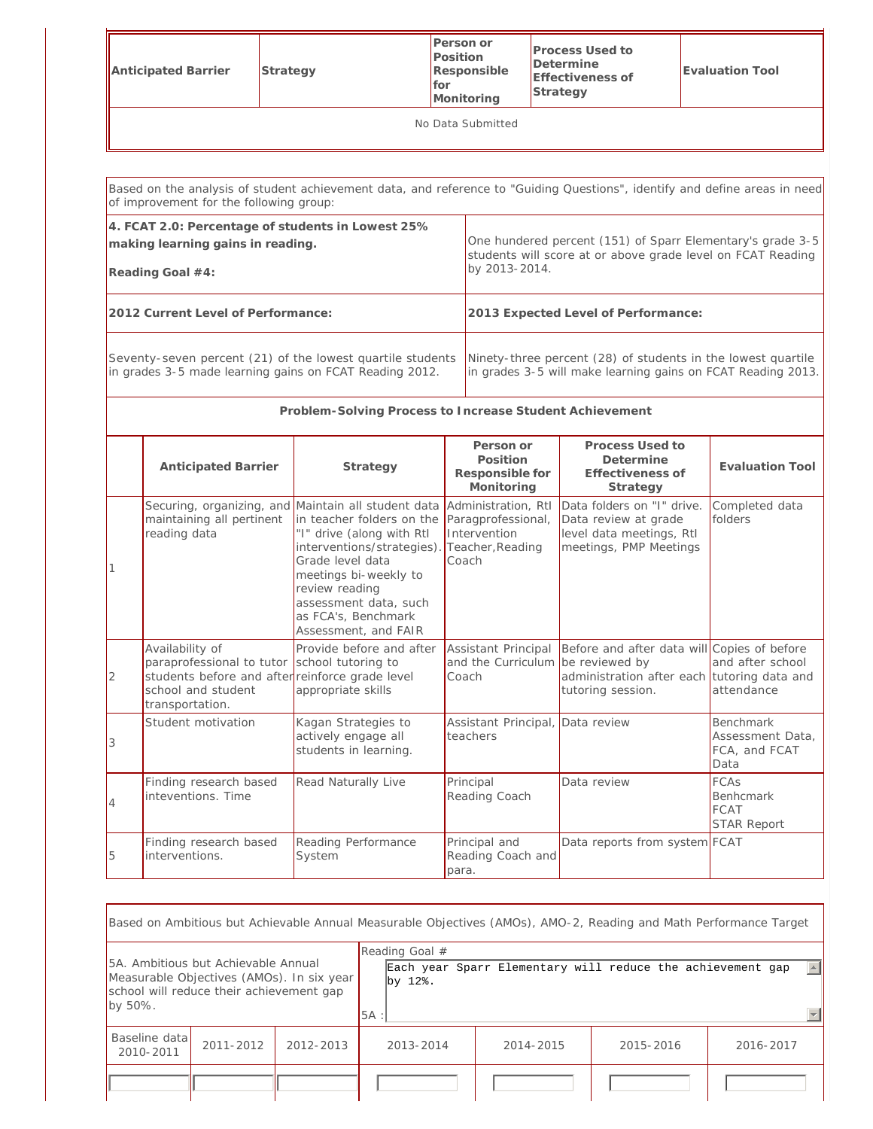| Anticipated Barrier | Strategy | Person or<br>Position<br>Responsible<br>for<br>Monitoring | <b>Process Used to</b><br>Determine<br>Effectiveness of<br>Strategy | <b>Evaluation Tool</b> |  |
|---------------------|----------|-----------------------------------------------------------|---------------------------------------------------------------------|------------------------|--|
| No Data Submitted   |          |                                                           |                                                                     |                        |  |

|   | of improvement for the following group:                                                                                                  |                                                                                                                                                                                                                                                          |                                                                                        | Based on the analysis of student achievement data, and reference to "Guiding Questions", identify and define areas in need   |                                                               |  |
|---|------------------------------------------------------------------------------------------------------------------------------------------|----------------------------------------------------------------------------------------------------------------------------------------------------------------------------------------------------------------------------------------------------------|----------------------------------------------------------------------------------------|------------------------------------------------------------------------------------------------------------------------------|---------------------------------------------------------------|--|
|   | 4. FCAT 2.0: Percentage of students in Lowest 25%<br>making learning gains in reading.<br>Reading Goal #4:                               |                                                                                                                                                                                                                                                          | by 2013-2014.                                                                          | One hundered percent (151) of Sparr Elementary's grade 3-5<br>students will score at or above grade level on FCAT Reading    |                                                               |  |
|   | 2012 Current Level of Performance:                                                                                                       |                                                                                                                                                                                                                                                          |                                                                                        | 2013 Expected Level of Performance:                                                                                          |                                                               |  |
|   | Seventy-seven percent (21) of the lowest quartile students<br>in grades 3-5 made learning gains on FCAT Reading 2012.                    |                                                                                                                                                                                                                                                          |                                                                                        | Ninety-three percent (28) of students in the lowest quartile<br>in grades 3-5 will make learning gains on FCAT Reading 2013. |                                                               |  |
|   |                                                                                                                                          | Problem-Solving Process to Increase Student Achievement                                                                                                                                                                                                  |                                                                                        |                                                                                                                              |                                                               |  |
|   | <b>Anticipated Barrier</b>                                                                                                               | Strategy                                                                                                                                                                                                                                                 | Person or<br>Position<br>Responsible for<br>Monitoring                                 | Process Used to<br>Determine<br>Effectiveness of<br>Strategy                                                                 | <b>Evaluation Tool</b>                                        |  |
| 1 | Securing, organizing, and<br>maintaining all pertinent<br>reading data                                                                   | Maintain all student data<br>in teacher folders on the<br>"I" drive (along with RtI<br>interventions/strategies).<br>Grade level data<br>meetings bi-weekly to<br>review reading<br>assessment data, such<br>as FCA's, Benchmark<br>Assessment, and FAIR | Administration, RtI<br>Paragprofessional,<br>Intervention<br>Teacher, Reading<br>Coach | Data folders on "I" drive.<br>Data review at grade<br>level data meetings, RtI<br>meetings, PMP Meetings                     | Completed data<br>folders                                     |  |
| 2 | Availability of<br>paraprofessional to tutor<br>students before and after reinforce grade level<br>school and student<br>transportation. | Provide before and after<br>school tutoring to<br>appropriate skills                                                                                                                                                                                     | Assistant Principal<br>and the Curriculum be reviewed by<br>Coach                      | Before and after data will Copies of before<br>administration after each tutoring data and<br>tutoring session.              | and after school<br>attendance                                |  |
| 3 | Student motivation                                                                                                                       | Kagan Strategies to<br>actively engage all<br>students in learning.                                                                                                                                                                                      | Assistant Principal, Data review<br>teachers                                           |                                                                                                                              | <b>Benchmark</b><br>Assessment Data,<br>FCA, and FCAT<br>Data |  |
| 4 | Finding research based<br>inteventions. Time                                                                                             | Read Naturally Live                                                                                                                                                                                                                                      | Principal<br>Reading Coach                                                             | Data review                                                                                                                  | <b>FCAs</b><br><b>Benhcmark</b><br>FCAT<br><b>STAR Report</b> |  |
| 5 | Finding research based<br>interventions.                                                                                                 | Reading Performance<br>System                                                                                                                                                                                                                            | Principal and<br>Reading Coach and<br>para.                                            | Data reports from system FCAT                                                                                                |                                                               |  |

| Based on Ambitious but Achievable Annual Measurable Objectives (AMOs), AMO-2, Reading and Math Performance Target                       |           |           |        |                                             |  |           |  |           |  |                                                            |                  |
|-----------------------------------------------------------------------------------------------------------------------------------------|-----------|-----------|--------|---------------------------------------------|--|-----------|--|-----------|--|------------------------------------------------------------|------------------|
| 5A. Ambitious but Achievable Annual<br>Measurable Objectives (AMOs). In six year<br>school will reduce their achievement gap<br>by 50%. |           |           | $5A$ : | Reading Goal $#$<br>by $12$ $\textdegree$ . |  |           |  |           |  | Each year Sparr Elementary will reduce the achievement gap | $\left  \right $ |
| Baseline datal<br>2010-2011                                                                                                             | 2011-2012 | 2012-2013 |        | 2013-2014                                   |  | 2014-2015 |  | 2015-2016 |  | 2016-2017                                                  |                  |
|                                                                                                                                         |           |           |        |                                             |  |           |  |           |  |                                                            |                  |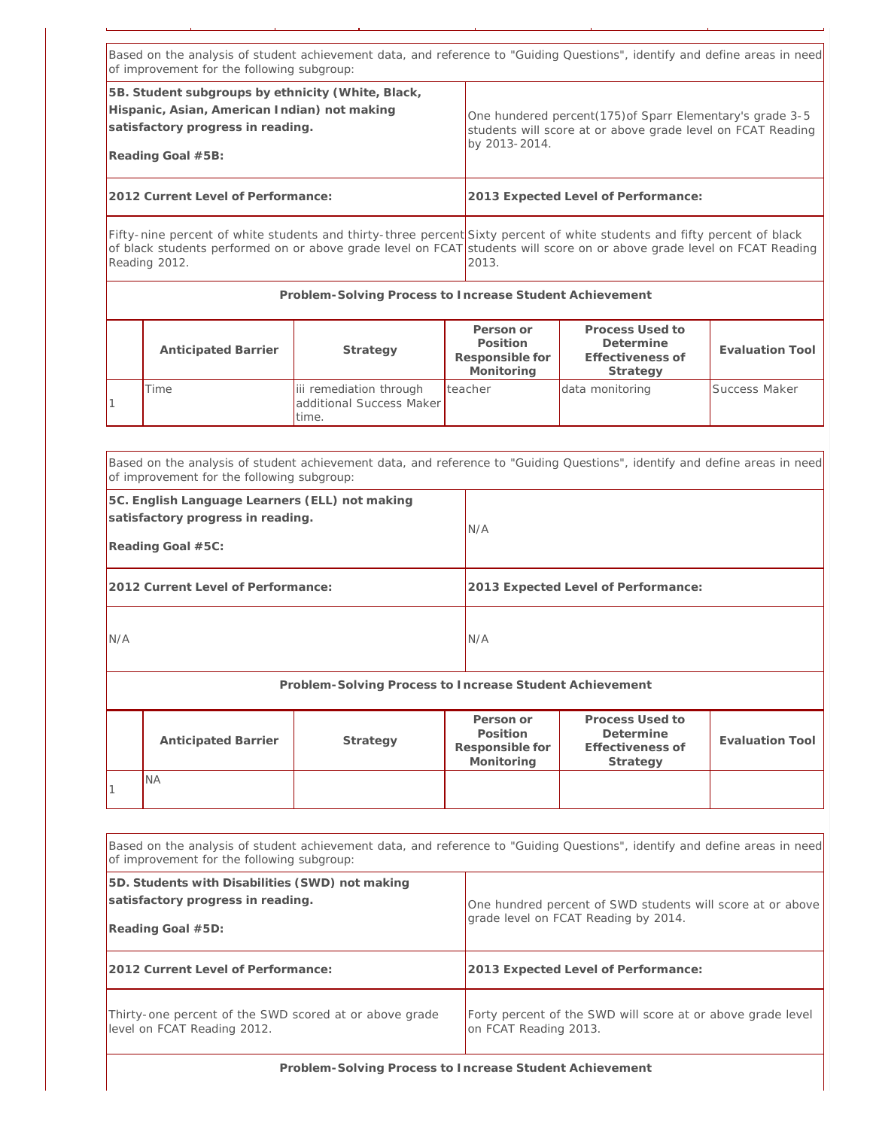|                                                                                                          | Based on the analysis of student achievement data, and reference to "Guiding Questions", identify and define areas in need<br>of improvement for the following subgroup:                                                                                                      |                                                              |                                                        |                                                                                                                          |                        |  |  |
|----------------------------------------------------------------------------------------------------------|-------------------------------------------------------------------------------------------------------------------------------------------------------------------------------------------------------------------------------------------------------------------------------|--------------------------------------------------------------|--------------------------------------------------------|--------------------------------------------------------------------------------------------------------------------------|------------------------|--|--|
|                                                                                                          | 5B. Student subgroups by ethnicity (White, Black,<br>Hispanic, Asian, American Indian) not making<br>satisfactory progress in reading.<br>Reading Goal #5B:                                                                                                                   |                                                              | by 2013-2014.                                          | One hundered percent(175) of Sparr Elementary's grade 3-5<br>students will score at or above grade level on FCAT Reading |                        |  |  |
|                                                                                                          | 2012 Current Level of Performance:                                                                                                                                                                                                                                            |                                                              |                                                        | 2013 Expected Level of Performance:                                                                                      |                        |  |  |
|                                                                                                          | Fifty-nine percent of white students and thirty-three percent Sixty percent of white students and fifty percent of black<br>of black students performed on or above grade level on FCAT students will score on or above grade level on FCAT Reading<br>Reading 2012.<br>2013. |                                                              |                                                        |                                                                                                                          |                        |  |  |
|                                                                                                          | Problem-Solving Process to Increase Student Achievement                                                                                                                                                                                                                       |                                                              |                                                        |                                                                                                                          |                        |  |  |
|                                                                                                          | <b>Anticipated Barrier</b>                                                                                                                                                                                                                                                    | Strategy                                                     | Person or<br>Position<br>Responsible for<br>Monitoring | Process Used to<br>Determine<br>Effectiveness of<br>Strategy                                                             | <b>Evaluation Tool</b> |  |  |
|                                                                                                          | Time                                                                                                                                                                                                                                                                          | iii remediation through<br>additional Success Maker<br>time. | teacher                                                | data monitoring                                                                                                          | Success Maker          |  |  |
|                                                                                                          |                                                                                                                                                                                                                                                                               |                                                              |                                                        |                                                                                                                          |                        |  |  |
|                                                                                                          | Based on the analysis of student achievement data, and reference to "Guiding Questions", identify and define areas in need<br>of improvement for the following subgroup:                                                                                                      |                                                              |                                                        |                                                                                                                          |                        |  |  |
| 5C. English Language Learners (ELL) not making<br>satisfactory progress in reading.<br>Reading Goal #5C: |                                                                                                                                                                                                                                                                               |                                                              | N/A                                                    |                                                                                                                          |                        |  |  |

| 2012 Current Level of Performance: | 2013 Expected Level of Performance: |
|------------------------------------|-------------------------------------|
|                                    |                                     |

N/A N/A

**Problem-Solving Process to Increase Student Achievement**

| <b>Anticipated Barrier</b> | Strategy | Person or<br>Position<br>Responsible for<br>Monitoring | Process Used to<br>Determine<br>Effectiveness of<br>Strategy | Evaluation Tool |
|----------------------------|----------|--------------------------------------------------------|--------------------------------------------------------------|-----------------|
| <b>NA</b>                  |          |                                                        |                                                              |                 |

| Based on the analysis of student achievement data, and reference to "Guiding Questions", identify and define areas in need<br>of improvement for the following subgroup: |                                                                                                    |  |  |  |  |
|--------------------------------------------------------------------------------------------------------------------------------------------------------------------------|----------------------------------------------------------------------------------------------------|--|--|--|--|
| 5D. Students with Disabilities (SWD) not making<br>satisfactory progress in reading.<br>Reading Goal #5D:                                                                | One hundred percent of SWD students will score at or above<br>grade level on FCAT Reading by 2014. |  |  |  |  |
| 2012 Current Level of Performance:                                                                                                                                       | 2013 Expected Level of Performance:                                                                |  |  |  |  |
| Thirty-one percent of the SWD scored at or above grade<br>level on FCAT Reading 2012.                                                                                    | Forty percent of the SWD will score at or above grade level<br>on FCAT Reading 2013.               |  |  |  |  |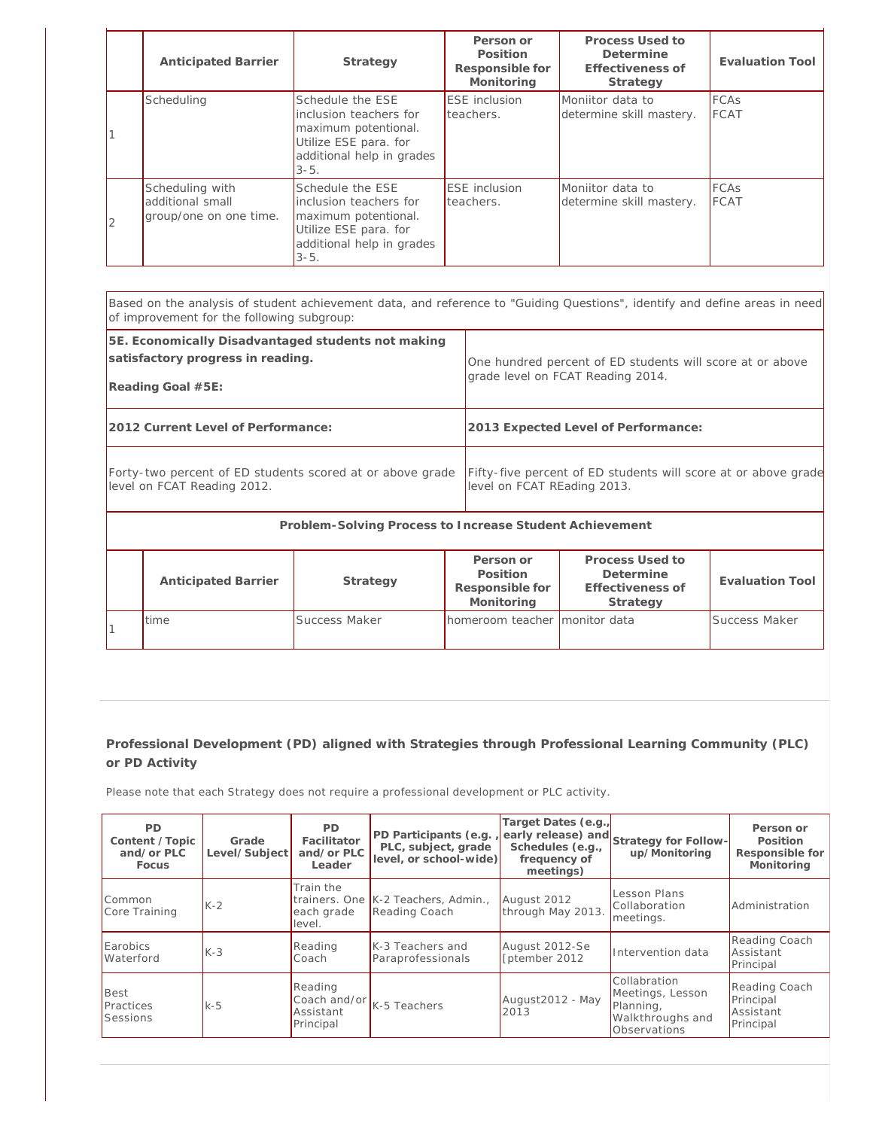|    | <b>Anticipated Barrier</b>                                    | Strategy                                                                                                                              | Person or<br>Position<br>Responsible for<br>Monitoring | Process Used to<br>Determine<br>Effectiveness of<br>Strategy | <b>Evaluation Tool</b>     |
|----|---------------------------------------------------------------|---------------------------------------------------------------------------------------------------------------------------------------|--------------------------------------------------------|--------------------------------------------------------------|----------------------------|
|    | Scheduling                                                    | Schedule the ESE<br>inclusion teachers for<br>maximum potentional.<br>Utilize ESE para. for<br>additional help in grades<br>$3 - 5$ . | <b>ESE</b> inclusion<br>teachers.                      | Moniitor data to<br>determine skill mastery.                 | <b>FCAs</b><br><b>FCAT</b> |
| 12 | Scheduling with<br>additional small<br>group/one on one time. | Schedule the ESE<br>inclusion teachers for<br>maximum potentional.<br>Utilize ESE para. for<br>additional help in grades<br>$3 - 5$ . | <b>ESE</b> inclusion<br>teachers.                      | Moniitor data to<br>determine skill mastery.                 | <b>FCAs</b><br><b>FCAT</b> |

| Based on the analysis of student achievement data, and reference to "Guiding Questions", identify and define areas in need<br>of improvement for the following subgroup: |                                                                                                |  |  |  |  |
|--------------------------------------------------------------------------------------------------------------------------------------------------------------------------|------------------------------------------------------------------------------------------------|--|--|--|--|
| 5E. Economically Disadvantaged students not making<br>satisfactory progress in reading.<br>Reading Goal #5E:                                                             | One hundred percent of ED students will score at or above<br>grade level on FCAT Reading 2014. |  |  |  |  |
| 2012 Current Level of Performance:                                                                                                                                       | 2013 Expected Level of Performance:                                                            |  |  |  |  |
| Forty-two percent of ED students scored at or above grade<br>level on FCAT Reading 2012.                                                                                 | Fifty-five percent of ED students will score at or above grade<br>level on FCAT REading 2013.  |  |  |  |  |
| Problem-Solving Process to Increase Student Achievement                                                                                                                  |                                                                                                |  |  |  |  |

| <b>Anticipated Barrier</b> | Strategy      | Person or<br>Position<br>Responsible for<br>Monitoring | Process Used to<br>Determine<br>Effectiveness of<br>Strategy | Evaluation Tool |
|----------------------------|---------------|--------------------------------------------------------|--------------------------------------------------------------|-----------------|
| Itime                      | Success Maker | homeroom teacher monitor data                          |                                                              | Success Maker   |

Please note that each Strategy does not require a professional development or PLC activity.

| <b>PD</b><br>Content / Topic<br>and/or $PLC$<br>Focus | Grade<br>Level/Subject | <b>PD</b><br>Facilitator<br>and/or PLC<br>Leader | PD Participants (e.g.<br>PLC, subject, grade<br>level, or school-wide) | Target Dates (e.g.<br>Schedules (e.g.,<br>frequency of<br>meetings) | early release) and Strategy for Follow-<br>up/Monitoring                          | Person or<br>Position<br>Responsible for<br>Monitoring |
|-------------------------------------------------------|------------------------|--------------------------------------------------|------------------------------------------------------------------------|---------------------------------------------------------------------|-----------------------------------------------------------------------------------|--------------------------------------------------------|
| Common<br>Core Training                               | $K-2$                  | Train the<br>each grade<br>level.                | trainers. One K-2 Teachers, Admin.,<br>Reading Coach                   | August 2012<br>through May 2013.                                    | Lesson Plans<br>Collaboration<br>meetings.                                        | Administration                                         |
| Earobics<br>Waterford                                 | $K-3$                  | Reading<br>Coach                                 | K-3 Teachers and<br>Paraprofessionals                                  | August 2012-Se<br>[ptember 2012                                     | Intervention data                                                                 | Reading Coach<br>Assistant<br>Principal                |
| Best<br>Practices<br>Sessions                         | $k-5$                  | Reading<br>Assistant<br>Principal                | Coach and/or $K-5$ Teachers                                            | August2012 - May<br>2013                                            | Collabration<br>Meetings, Lesson<br>Planning,<br>Walkthroughs and<br>Observations | Reading Coach<br>Principal<br>Assistant<br>Principal   |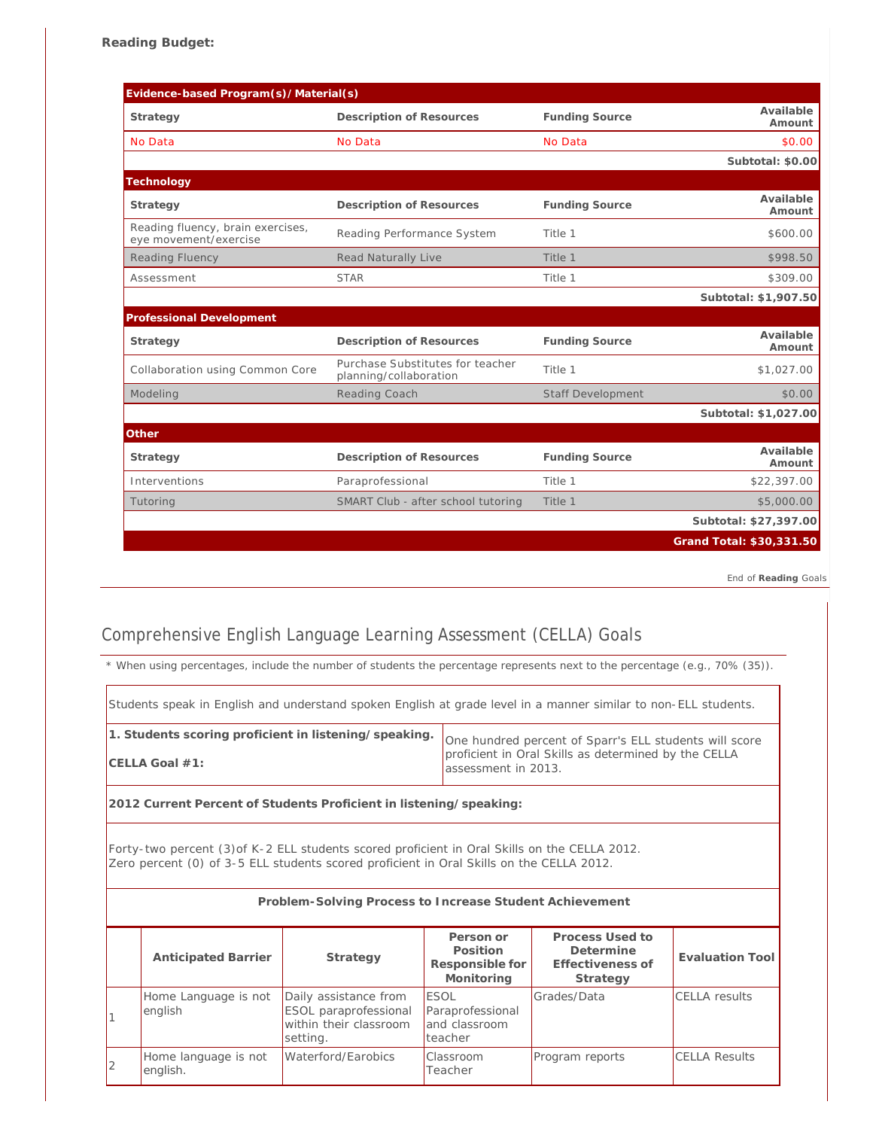| Evidence-based Program(s)/Material(s)                      |                                                            |                          |                          |
|------------------------------------------------------------|------------------------------------------------------------|--------------------------|--------------------------|
| Strategy                                                   | Description of Resources                                   | <b>Funding Source</b>    | Available<br>Amount      |
| No Data                                                    | No Data                                                    | No Data                  | \$0.00                   |
|                                                            |                                                            |                          | Subtotal: \$0.00         |
| Technology                                                 |                                                            |                          |                          |
| Strategy                                                   | Description of Resources                                   | <b>Funding Source</b>    | Available<br>Amount      |
| Reading fluency, brain exercises,<br>eye movement/exercise | Reading Performance System                                 | Title 1                  | \$600.00                 |
| <b>Reading Fluency</b>                                     | Read Naturally Live                                        | Title 1                  | \$998.50                 |
| Assessment                                                 | <b>STAR</b>                                                | Title 1                  | \$309.00                 |
|                                                            |                                                            |                          | Subtotal: \$1,907.50     |
| Professional Development                                   |                                                            |                          |                          |
| Strategy                                                   | Description of Resources                                   | <b>Funding Source</b>    | Available<br>Amount      |
| Collaboration using Common Core                            | Purchase Substitutes for teacher<br>planning/collaboration | Title 1                  | \$1,027.00               |
| Modeling                                                   | Reading Coach                                              | <b>Staff Development</b> | \$0.00                   |
|                                                            |                                                            |                          | Subtotal: \$1,027.00     |
| Other                                                      |                                                            |                          |                          |
| Strategy                                                   | Description of Resources                                   | <b>Funding Source</b>    | Available<br>Amount      |
| Interventions                                              | Paraprofessional                                           | Title 1                  | \$22,397.00              |
| Tutoring                                                   | SMART Club - after school tutoring                         | Title 1                  | \$5,000.00               |
|                                                            |                                                            |                          | Subtotal: \$27,397.00    |
|                                                            |                                                            |                          | Grand Total: \$30,331.50 |

*End of Reading Goals*

## Comprehensive English Language Learning Assessment (CELLA) Goals

*\* When using percentages, include the number of students the percentage represents next to the percentage (e.g., 70% (35)).*

| 1. Students scoring proficient in listening/speaking.<br>One hundred percent of Sparr's ELL students will score<br>proficient in Oral Skills as determined by the CELLA<br>$CELLA$ Goal $#1$ :<br>assessment in 2013. | Students speak in English and understand spoken English at grade level in a manner similar to non-ELL students. |  |  |
|-----------------------------------------------------------------------------------------------------------------------------------------------------------------------------------------------------------------------|-----------------------------------------------------------------------------------------------------------------|--|--|
|                                                                                                                                                                                                                       |                                                                                                                 |  |  |

**2012 Current Percent of Students Proficient in listening/speaking:**

Forty-two percent (3)of K-2 ELL students scored proficient in Oral Skills on the CELLA 2012. Zero percent (0) of 3-5 ELL students scored proficient in Oral Skills on the CELLA 2012.

|   | Problem-Solving Process to Increase Student Achievement |                                                                                      |                                                             |                                                              |                      |
|---|---------------------------------------------------------|--------------------------------------------------------------------------------------|-------------------------------------------------------------|--------------------------------------------------------------|----------------------|
|   | <b>Anticipated Barrier</b>                              | Strategy                                                                             | Person or<br>Position<br>Responsible for<br>Monitoring      | Process Used to<br>Determine<br>Effectiveness of<br>Strategy | Evaluation Tool      |
|   | Home Language is not<br>english                         | Daily assistance from<br>ESOL paraprofessional<br>within their classroom<br>setting. | <b>ESOL</b><br>Paraprofessional<br>and classroom<br>teacher | Grades/Data                                                  | <b>CELLA</b> results |
| 2 | Home language is not<br>english.                        | Waterford/Earobics                                                                   | <b>Classroom</b><br>Teacher                                 | Program reports                                              | <b>CELLA Results</b> |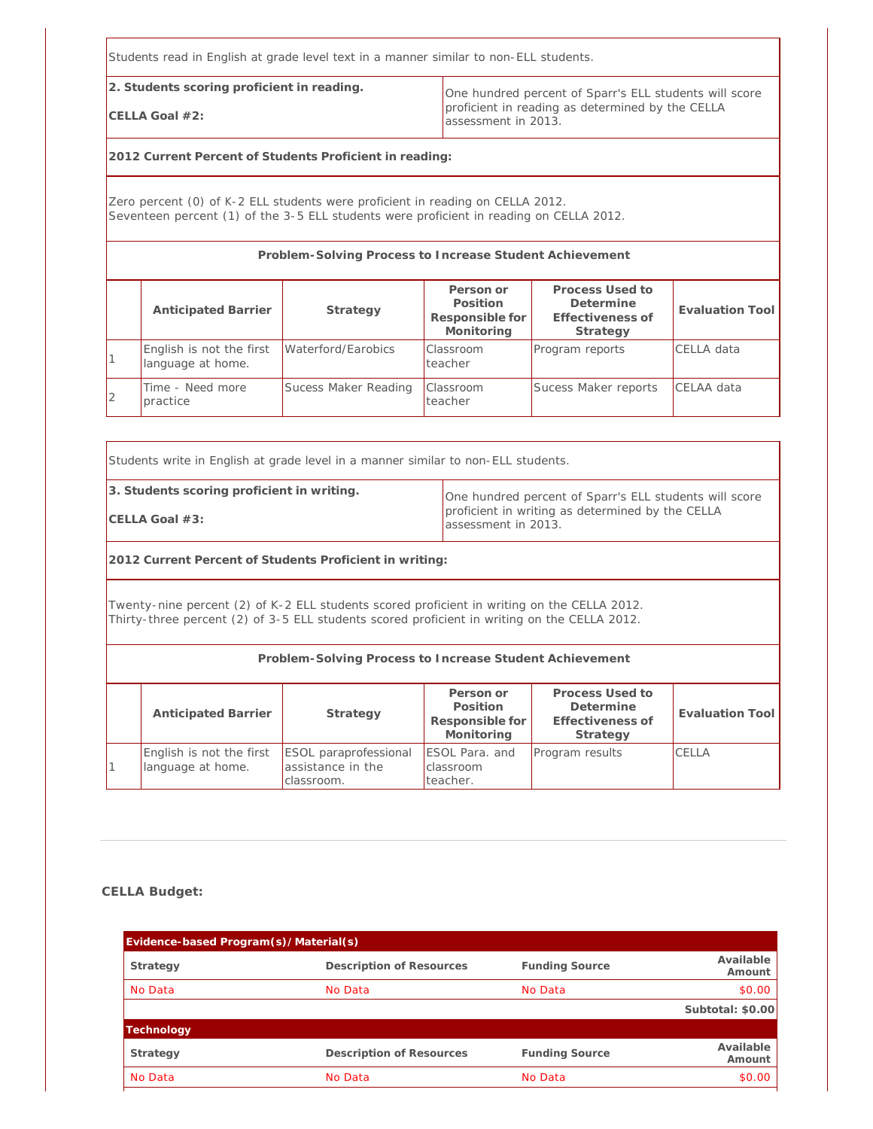Students read in English at grade level text in a manner similar to non-ELL students.

**2. Students scoring proficient in reading.**

**CELLA Goal #2:**

One hundred percent of Sparr's ELL students will score proficient in reading as determined by the CELLA assessment in 2013.

**2012 Current Percent of Students Proficient in reading:**

Zero percent (0) of K-2 ELL students were proficient in reading on CELLA 2012. Seventeen percent (1) of the 3-5 ELL students were proficient in reading on CELLA 2012.

**Problem-Solving Process to Increase Student Achievement**

|   | <b>Anticipated Barrier</b>                    | Strategy             | Person or<br>Position<br>Responsible for<br>Monitoring | Process Used to<br>Determine<br>Effectiveness of<br>Strategy | Evaluation Tool   |
|---|-----------------------------------------------|----------------------|--------------------------------------------------------|--------------------------------------------------------------|-------------------|
|   | English is not the first<br>language at home. | Waterford/Earobics   | <b>Classroom</b><br>teacher                            | Program reports                                              | <b>CELLA</b> data |
| 2 | Time - Need more<br>practice                  | Sucess Maker Reading | <b>Classroom</b><br>teacher                            | Sucess Maker reports                                         | CELAA data        |

Students write in English at grade level in a manner similar to non-ELL students.

**3. Students scoring proficient in writing.**

**CELLA Goal #3:**

One hundred percent of Sparr's ELL students will score proficient in writing as determined by the CELLA assessment in 2013.

**2012 Current Percent of Students Proficient in writing:**

Twenty-nine percent (2) of K-2 ELL students scored proficient in writing on the CELLA 2012. Thirty-three percent (2) of 3-5 ELL students scored proficient in writing on the CELLA 2012.

|                                               | Problem-Solving Process to Increase Student Achievement         |                                                        |                                                              |                 |
|-----------------------------------------------|-----------------------------------------------------------------|--------------------------------------------------------|--------------------------------------------------------------|-----------------|
| <b>Anticipated Barrier</b>                    | Strategy                                                        | Person or<br>Position<br>Responsible for<br>Monitoring | Process Used to<br>Determine<br>Effectiveness of<br>Strategy | Evaluation Tool |
| English is not the first<br>language at home. | <b>ESOL</b> paraprofessional<br>assistance in the<br>classroom. | ESOL Para. and<br>classroom<br>teacher.                | Program results                                              | CELLA           |

#### **CELLA Budget:**

| Evidence-based Program(s)/Material(s) |                          |                       |                     |
|---------------------------------------|--------------------------|-----------------------|---------------------|
| Strategy                              | Description of Resources | <b>Funding Source</b> | Available<br>Amount |
| No Data                               | No Data                  | No Data               | \$0.00              |
|                                       |                          |                       | Subtotal: \$0.00    |
| Technology                            |                          |                       |                     |
| Strategy                              | Description of Resources | <b>Funding Source</b> | Available<br>Amount |
| No Data                               | No Data                  | No Data               | \$0.00              |
|                                       |                          |                       |                     |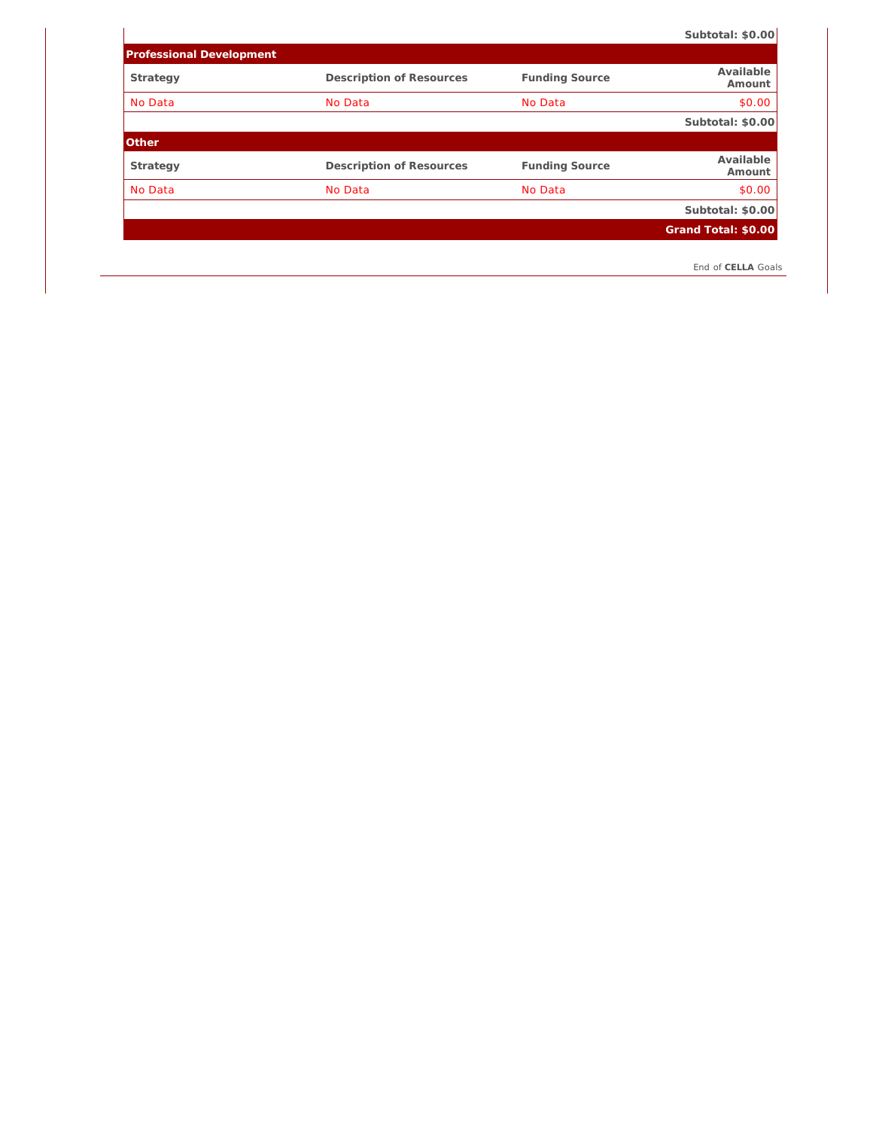**Subtotal: \$0.00**

| <b>Professional Development</b> |                          |                       |                     |
|---------------------------------|--------------------------|-----------------------|---------------------|
| Strategy                        | Description of Resources | <b>Funding Source</b> | Available<br>Amount |
| No Data                         | No Data                  | No Data               | \$0.00              |
|                                 |                          |                       | Subtotal: \$0.00    |
| Other                           |                          |                       |                     |
|                                 |                          |                       |                     |
| Strategy                        | Description of Resources | <b>Funding Source</b> | Available<br>Amount |
| No Data                         | No Data                  | No Data               | \$0.00              |
|                                 |                          |                       | Subtotal: \$0.00    |
|                                 |                          |                       | Grand Total: \$0.00 |

 $\overline{\phantom{a}}$ 

*End of CELLA Goals*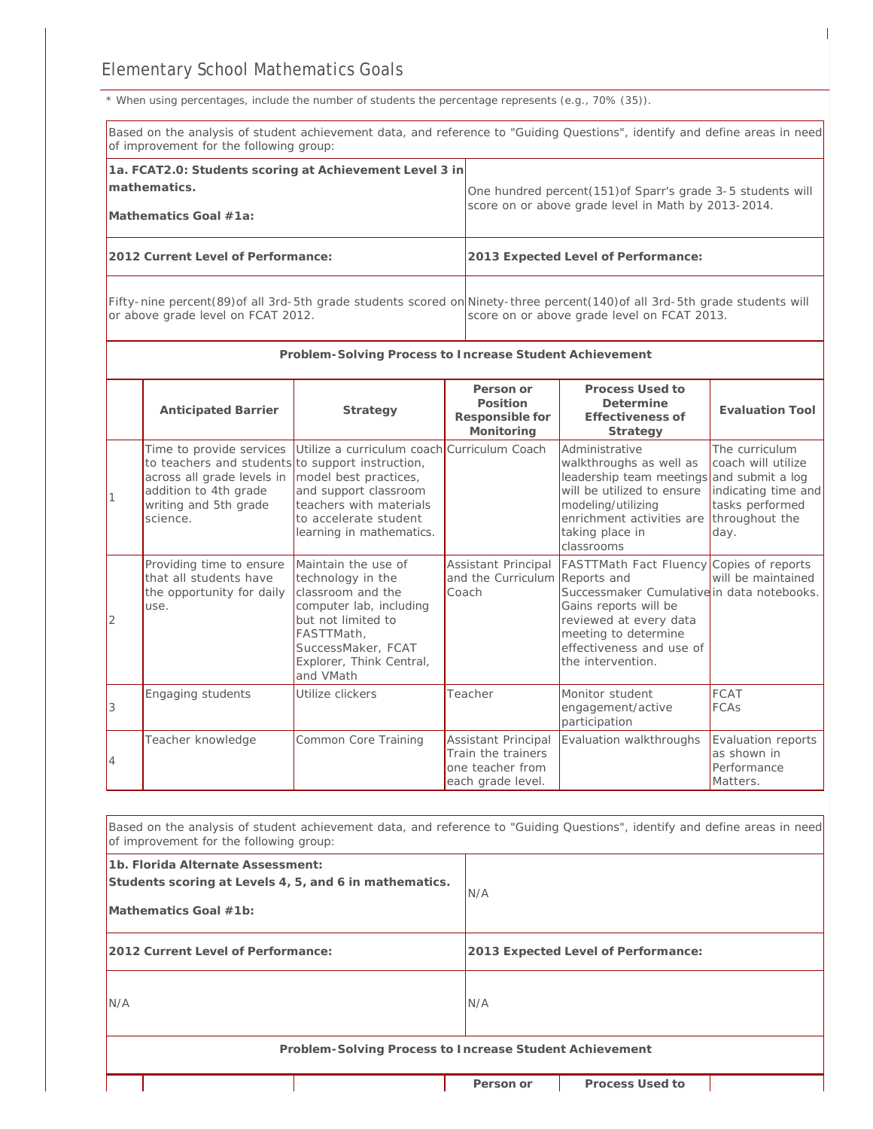*\* When using percentages, include the number of students the percentage represents (e.g., 70% (35)).*

|   | of improvement for the following group:                                                                                                                                                                          |                                                                                                                                                                                             |                                                                                    | Based on the analysis of student achievement data, and reference to "Guiding Questions", identify and define areas in need                                                                                                |                                                                                                          |  |
|---|------------------------------------------------------------------------------------------------------------------------------------------------------------------------------------------------------------------|---------------------------------------------------------------------------------------------------------------------------------------------------------------------------------------------|------------------------------------------------------------------------------------|---------------------------------------------------------------------------------------------------------------------------------------------------------------------------------------------------------------------------|----------------------------------------------------------------------------------------------------------|--|
|   | 1a. FCAT2.0: Students scoring at Achievement Level 3 in<br>mathematics.<br>Mathematics Goal #1a:                                                                                                                 |                                                                                                                                                                                             |                                                                                    | One hundred percent(151) of Sparr's grade 3-5 students will<br>score on or above grade level in Math by 2013-2014.                                                                                                        |                                                                                                          |  |
|   | 2012 Current Level of Performance:<br>2013 Expected Level of Performance:                                                                                                                                        |                                                                                                                                                                                             |                                                                                    |                                                                                                                                                                                                                           |                                                                                                          |  |
|   | Fifty-nine percent(89) of all 3rd-5th grade students scored on Ninety-three percent(140) of all 3rd-5th grade students will<br>or above grade level on FCAT 2012.<br>score on or above grade level on FCAT 2013. |                                                                                                                                                                                             |                                                                                    |                                                                                                                                                                                                                           |                                                                                                          |  |
|   |                                                                                                                                                                                                                  | Problem-Solving Process to Increase Student Achievement                                                                                                                                     |                                                                                    |                                                                                                                                                                                                                           |                                                                                                          |  |
|   | <b>Anticipated Barrier</b>                                                                                                                                                                                       | Strategy                                                                                                                                                                                    | Person or<br>Position<br>Responsible for<br>Monitoring                             | Process Used to<br>Determine<br>Effectiveness of<br>Strategy                                                                                                                                                              | <b>Evaluation Tool</b>                                                                                   |  |
|   | Time to provide services<br>to teachers and students to support instruction,<br>across all grade levels in<br>addition to 4th grade<br>writing and 5th grade<br>science.                                         | Utilize a curriculum coach Curriculum Coach<br>model best practices,<br>and support classroom<br>teachers with materials<br>to accelerate student<br>learning in mathematics.               |                                                                                    | Administrative<br>walkthroughs as well as<br>leadership team meetings and submit a log<br>will be utilized to ensure<br>modeling/utilizing<br>enrichment activities are<br>taking place in<br>classrooms                  | The curriculum<br>coach will utilize<br>indicating time and<br>tasks performed<br>throughout the<br>day. |  |
| 2 | Providing time to ensure<br>that all students have<br>the opportunity for daily<br>use.                                                                                                                          | Maintain the use of<br>technology in the<br>classroom and the<br>computer lab, including<br>but not limited to<br>FASTTMath,<br>SuccessMaker, FCAT<br>Explorer, Think Central,<br>and VMath | Assistant Principal<br>and the Curriculum Reports and<br>Coach                     | <b>FASTTMath Fact Fluency Copies of reports</b><br>Successmaker Cumulative in data notebooks.<br>Gains reports will be<br>reviewed at every data<br>meeting to determine<br>effectiveness and use of<br>the intervention. | will be maintained                                                                                       |  |
| 3 | Engaging students                                                                                                                                                                                                | Utilize clickers                                                                                                                                                                            | Teacher                                                                            | Monitor student<br>engagement/active<br>participation                                                                                                                                                                     | <b>FCAT</b><br><b>FCAs</b>                                                                               |  |
| 4 | Teacher knowledge                                                                                                                                                                                                | Common Core Training                                                                                                                                                                        | Assistant Principal<br>Train the trainers<br>one teacher from<br>each grade level. | Evaluation walkthroughs                                                                                                                                                                                                   | Evaluation reports<br>as shown in<br>Performance<br>Matters.                                             |  |
|   |                                                                                                                                                                                                                  |                                                                                                                                                                                             |                                                                                    | Based on the analysis of student achievement data, and reference to "Guiding Questions", identify and define areas in need                                                                                                |                                                                                                          |  |

| of improvement for the following group:                                                                              |           |                                     |  |
|----------------------------------------------------------------------------------------------------------------------|-----------|-------------------------------------|--|
| 1b. Florida Alternate Assessment:<br>Students scoring at Levels 4, 5, and 6 in mathematics.<br>Mathematics Goal #1b: | IN/A      |                                     |  |
| 2012 Current Level of Performance:                                                                                   |           | 2013 Expected Level of Performance: |  |
| N/A                                                                                                                  | N/A       |                                     |  |
| Problem-Solving Process to Increase Student Achievement                                                              |           |                                     |  |
|                                                                                                                      | Person or | Process Used to                     |  |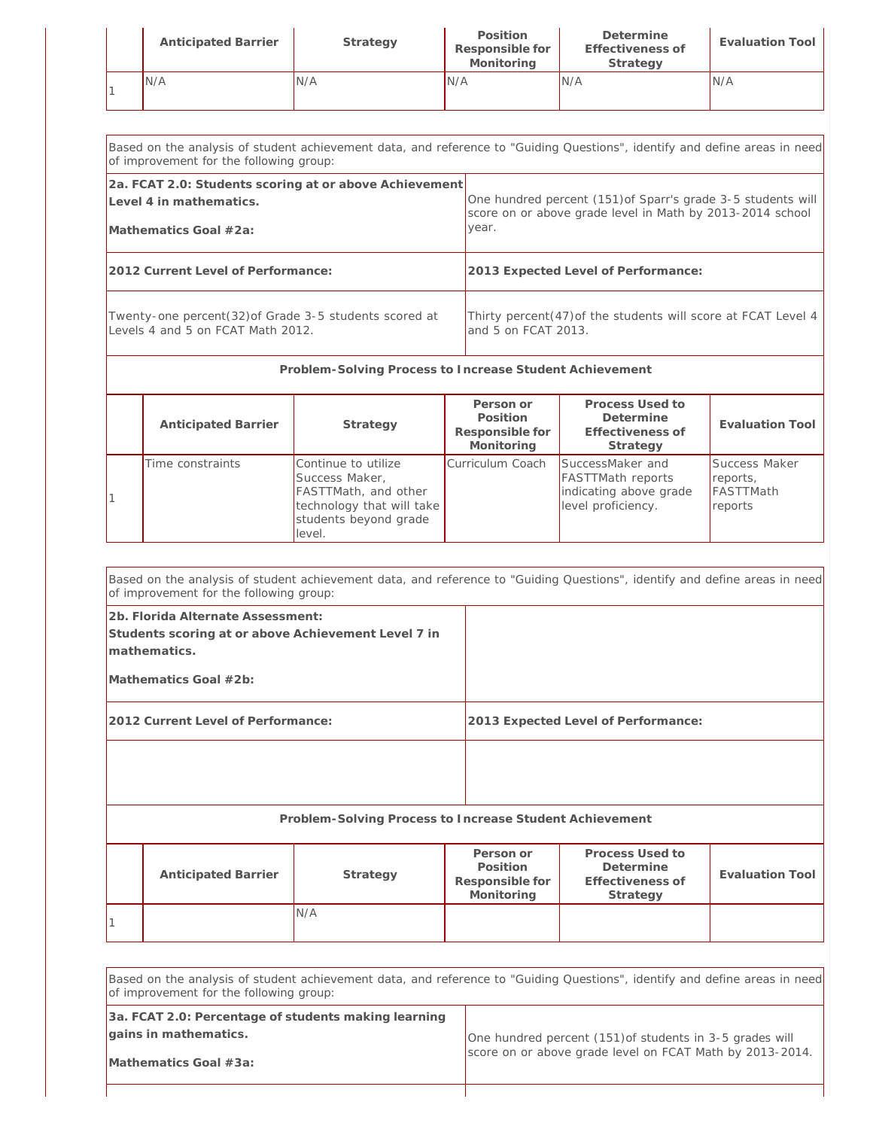| <b>Anticipated Barrier</b> | Strategy | Position<br>Responsible for<br>Monitoring | Determine<br>Effectiveness of<br>Strategy | Evaluation Tool |
|----------------------------|----------|-------------------------------------------|-------------------------------------------|-----------------|
| N/A                        | N/A      | 'N/A                                      | IN/A                                      | IN/A            |

| Based on the analysis of student achievement data, and reference to "Guiding Questions", identify and define areas in need<br>of improvement for the following group: |                                                                |  |
|-----------------------------------------------------------------------------------------------------------------------------------------------------------------------|----------------------------------------------------------------|--|
| 2a. FCAT 2.0: Students scoring at or above Achievement                                                                                                                | One hundred percent (151) of Sparr's grade 3-5 students will   |  |
| Level 4 in mathematics.                                                                                                                                               | score on or above grade level in Math by 2013-2014 school      |  |
| Mathematics Goal #2a:                                                                                                                                                 | year.                                                          |  |
| 2012 Current Level of Performance:                                                                                                                                    | 2013 Expected Level of Performance:                            |  |
| Twenty-one percent (32) of Grade 3-5 students scored at                                                                                                               | Thirty percent (47) of the students will score at FCAT Level 4 |  |
| Levels 4 and 5 on FCAT Math 2012.                                                                                                                                     | and 5 on FCAT 2013.                                            |  |

| Problem-Solving Process to Increase Student Achievement |                                                                                                                               |                                                        |                                                                                              |                                                   |  |  |  |  |
|---------------------------------------------------------|-------------------------------------------------------------------------------------------------------------------------------|--------------------------------------------------------|----------------------------------------------------------------------------------------------|---------------------------------------------------|--|--|--|--|
| <b>Anticipated Barrier</b>                              | Strategy                                                                                                                      | Person or<br>Position<br>Responsible for<br>Monitoring | Process Used to<br>Determine<br>Effectiveness of<br>Strategy                                 | Evaluation Tool                                   |  |  |  |  |
| Time constraints                                        | Continue to utilize<br>Success Maker,<br>FASTTMath, and other<br>technology that will take<br>students beyond grade<br>level. | Curriculum Coach                                       | SuccessMaker and<br><b>FASTTMath reports</b><br>indicating above grade<br>level proficiency. | Success Maker<br>reports,<br>FASTTMath<br>reports |  |  |  |  |

|                                                                                                          | Based on the analysis of student achievement data, and reference to "Guiding Questions", identify and define areas in need<br>of improvement for the following group: |                                                         |  |                                                        |                                                              |                        |  |
|----------------------------------------------------------------------------------------------------------|-----------------------------------------------------------------------------------------------------------------------------------------------------------------------|---------------------------------------------------------|--|--------------------------------------------------------|--------------------------------------------------------------|------------------------|--|
| 2b. Florida Alternate Assessment:<br>Students scoring at or above Achievement Level 7 in<br>mathematics. |                                                                                                                                                                       |                                                         |  |                                                        |                                                              |                        |  |
|                                                                                                          | Mathematics Goal $#2b$ :                                                                                                                                              |                                                         |  |                                                        |                                                              |                        |  |
|                                                                                                          | 2012 Current Level of Performance:                                                                                                                                    |                                                         |  | 2013 Expected Level of Performance:                    |                                                              |                        |  |
|                                                                                                          |                                                                                                                                                                       |                                                         |  |                                                        |                                                              |                        |  |
|                                                                                                          |                                                                                                                                                                       | Problem-Solving Process to Increase Student Achievement |  |                                                        |                                                              |                        |  |
|                                                                                                          | Anticipated Barrier                                                                                                                                                   | Strategy                                                |  | Person or<br>Position<br>Responsible for<br>Monitoring | Process Used to<br>Determine<br>Effectiveness of<br>Strategy | <b>Evaluation Tool</b> |  |
|                                                                                                          |                                                                                                                                                                       | N/A                                                     |  |                                                        |                                                              |                        |  |

| Based on the analysis of student achievement data, and reference to "Guiding Questions", identify and define areas in need<br>of improvement for the following group: |                                                          |  |  |  |  |
|-----------------------------------------------------------------------------------------------------------------------------------------------------------------------|----------------------------------------------------------|--|--|--|--|
| 3a. FCAT 2.0: Percentage of students making learning<br>gains in mathematics.                                                                                         | One hundred percent (151) of students in 3-5 grades will |  |  |  |  |
| Mathematics Goal #3a:                                                                                                                                                 | score on or above grade level on FCAT Math by 2013-2014. |  |  |  |  |

┯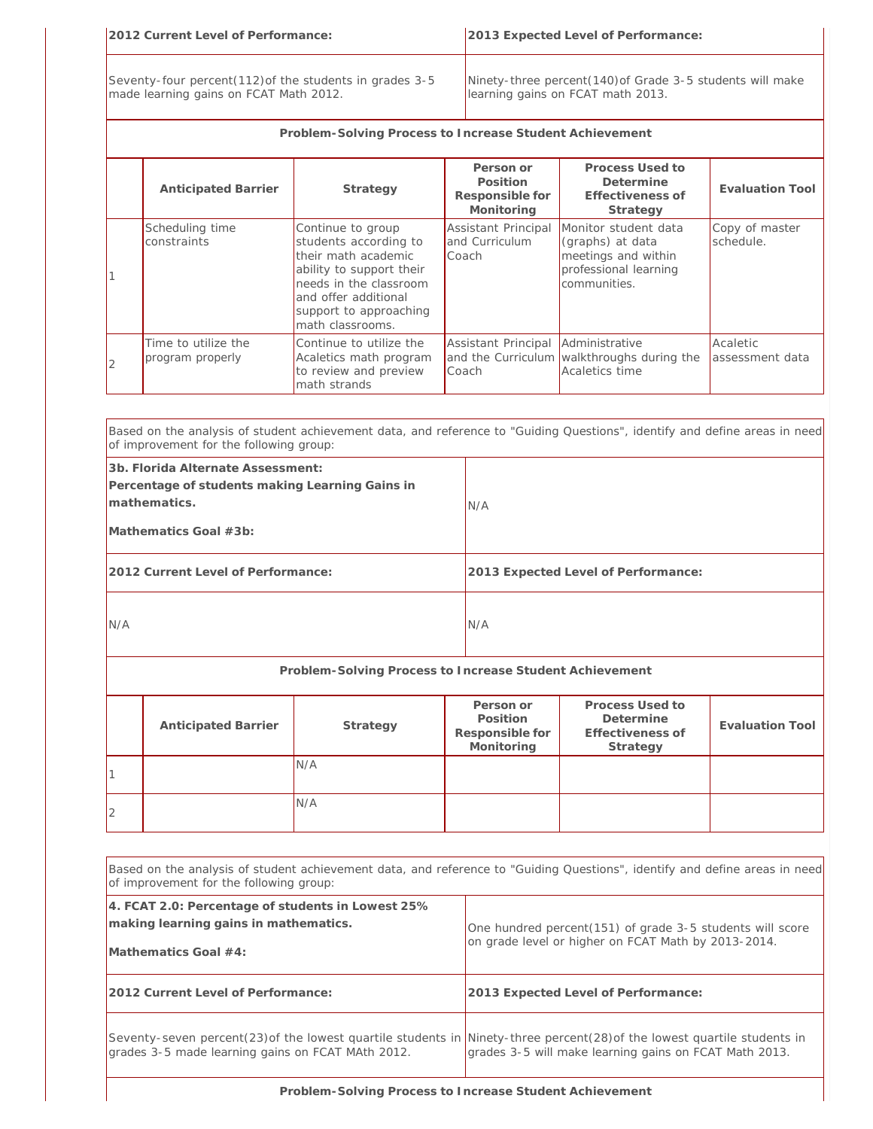| 2012 Current Level of Performance:                                                                 |                                                                                                | 2013 Expected Level of Performance: |  |  |  |  |
|----------------------------------------------------------------------------------------------------|------------------------------------------------------------------------------------------------|-------------------------------------|--|--|--|--|
| Seventy-four percent (112) of the students in grades 3-5<br>made learning gains on FCAT Math 2012. | Ninety-three percent(140) of Grade 3-5 students will make<br>learning gains on FCAT math 2013. |                                     |  |  |  |  |
| Problem-Solving Process to Increase Student Achievement                                            |                                                                                                |                                     |  |  |  |  |
|                                                                                                    | Person or                                                                                      | Process Used to                     |  |  |  |  |

|                | <b>Anticipated Barrier</b>              | Strategy                                                                                                                                                                                      | $1 \cup 1 \cdot 3 \cup 11 \cdot 11$<br>Position<br>Responsible for<br>Monitoring | Determine<br>Effectiveness of<br>Strategy                                                                | <b>Evaluation Tool</b>      |
|----------------|-----------------------------------------|-----------------------------------------------------------------------------------------------------------------------------------------------------------------------------------------------|----------------------------------------------------------------------------------|----------------------------------------------------------------------------------------------------------|-----------------------------|
|                | Scheduling time<br>constraints          | Continue to group<br>students according to<br>their math academic<br>ability to support their<br>needs in the classroom<br>and offer additional<br>support to approaching<br>math classrooms. | Assistant Principal<br>and Curriculum<br>Coach                                   | Monitor student data<br>(graphs) at data<br>meetings and within<br>professional learning<br>communities. | Copy of master<br>schedule. |
| $\overline{2}$ | Time to utilize the<br>program properly | Continue to utilize the<br>Acaletics math program<br>to review and preview<br>math strands                                                                                                    | Assistant Principal Administrative<br>Coach                                      | and the Curriculum walkthroughs during the<br>Acaletics time                                             | Acaletic<br>assessment data |

|                                                                                                                               | Based on the analysis of student achievement data, and reference to "Guiding Questions", identify and define areas in need<br>of improvement for the following group: |                                                         |     |                                                        |                                                              |                        |
|-------------------------------------------------------------------------------------------------------------------------------|-----------------------------------------------------------------------------------------------------------------------------------------------------------------------|---------------------------------------------------------|-----|--------------------------------------------------------|--------------------------------------------------------------|------------------------|
| 3b. Florida Alternate Assessment:<br>Percentage of students making Learning Gains in<br>mathematics.<br>Mathematics Goal #3b: |                                                                                                                                                                       |                                                         |     | N/A                                                    |                                                              |                        |
|                                                                                                                               | 2012 Current Level of Performance:                                                                                                                                    |                                                         |     |                                                        | 2013 Expected Level of Performance:                          |                        |
| N/A                                                                                                                           |                                                                                                                                                                       |                                                         | N/A |                                                        |                                                              |                        |
|                                                                                                                               |                                                                                                                                                                       | Problem-Solving Process to Increase Student Achievement |     |                                                        |                                                              |                        |
|                                                                                                                               | Anticipated Barrier                                                                                                                                                   | Strategy                                                |     | Person or<br>Position<br>Responsible for<br>Monitoring | Process Used to<br>Determine<br>Effectiveness of<br>Strategy | <b>Evaluation Tool</b> |
|                                                                                                                               |                                                                                                                                                                       | N/A                                                     |     |                                                        |                                                              |                        |
| $\overline{2}$                                                                                                                |                                                                                                                                                                       | N/A                                                     |     |                                                        |                                                              |                        |
|                                                                                                                               | Based on the analysis of student achievement data, and reference to "Guiding Questions", identify and define areas in need                                            |                                                         |     |                                                        |                                                              |                        |

| [Based on the analysis of student achievement data, and reference to "Guiding Questions", identify and define areas in need<br>of improvement for the following group:        |                                                                                                                   |  |  |  |  |
|-------------------------------------------------------------------------------------------------------------------------------------------------------------------------------|-------------------------------------------------------------------------------------------------------------------|--|--|--|--|
| 4. FCAT 2.0: Percentage of students in Lowest 25%<br>making learning gains in mathematics.<br>Mathematics Goal $#4$ :                                                         | One hundred percent (151) of grade 3-5 students will score<br>on grade level or higher on FCAT Math by 2013-2014. |  |  |  |  |
| 2012 Current Level of Performance:                                                                                                                                            | 2013 Expected Level of Performance:                                                                               |  |  |  |  |
| Seventy-seven percent(23) of the lowest quartile students in Minety-three percent(28) of the lowest quartile students in<br>grades 3-5 made learning gains on FCAT MAth 2012. | grades 3-5 will make learning gains on FCAT Math 2013.                                                            |  |  |  |  |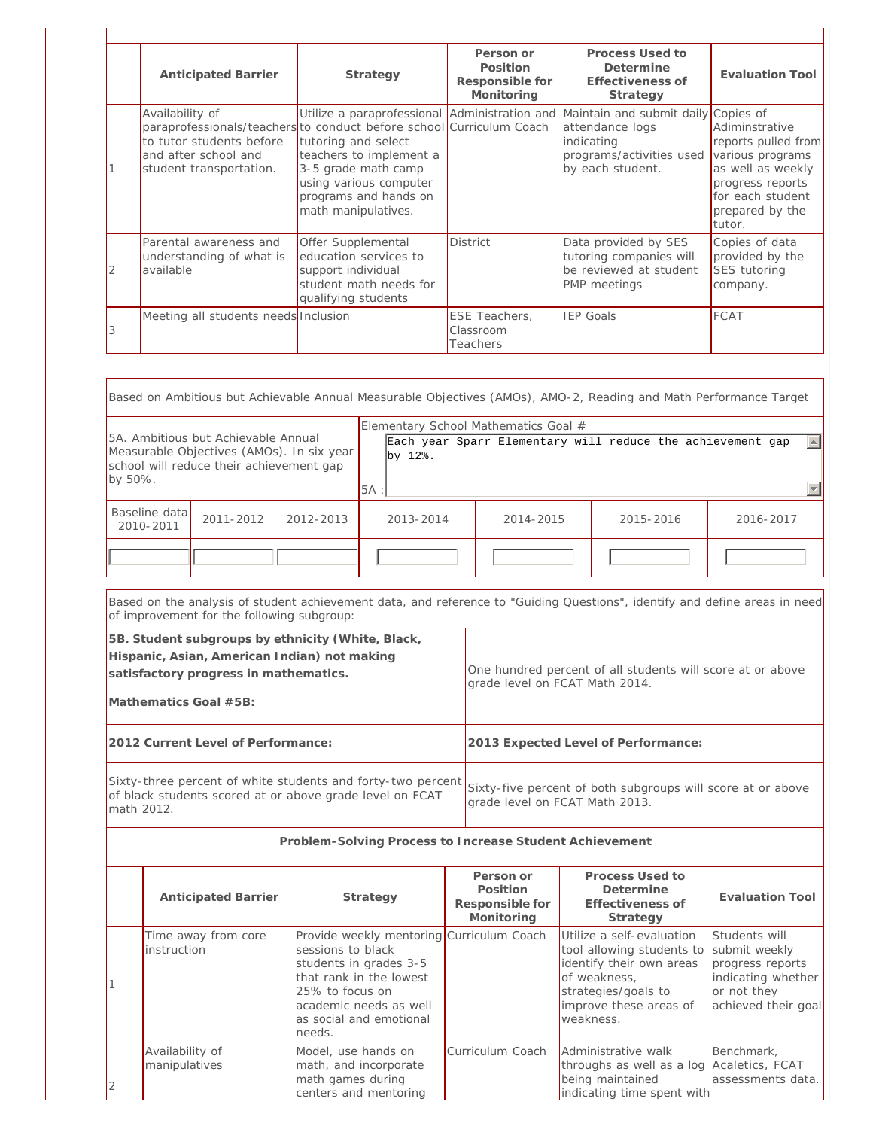| <b>Anticipated Barrier</b>                                                                                                                                             | Strategy                                                                                                                                        | Person or<br>Position<br>Responsible for<br>Monitoring | Process Used to<br>Determine<br>Effectiveness of<br>Strategy                                                                                                       | <b>Evaluation Tool</b>                                                                                                                              |
|------------------------------------------------------------------------------------------------------------------------------------------------------------------------|-------------------------------------------------------------------------------------------------------------------------------------------------|--------------------------------------------------------|--------------------------------------------------------------------------------------------------------------------------------------------------------------------|-----------------------------------------------------------------------------------------------------------------------------------------------------|
| Availability of<br>paraprofessionals/teachers to conduct before school Curriculum Coach<br>to tutor students before<br>and after school and<br>student transportation. | tutoring and select<br>teachers to implement a<br>3-5 grade math camp<br>using various computer<br>programs and hands on<br>math manipulatives. |                                                        | Utilize a paraprofessional Administration and Maintain and submit daily Copies of<br>attendance logs<br>indicating<br>programs/activities used<br>by each student. | Adiminstrative<br>reports pulled from<br>various programs<br>as well as weekly<br>progress reports<br>for each student<br>prepared by the<br>tutor. |
| Parental awareness and<br>understanding of what is<br>available                                                                                                        | Offer Supplemental<br>education services to<br>support individual<br>student math needs for<br>qualifying students                              | <b>District</b>                                        | Data provided by SES<br>tutoring companies will<br>be reviewed at student<br>PMP meetings                                                                          | Copies of data<br>provided by the<br>SES tutoring<br>company.                                                                                       |
| Meeting all students needs Inclusion                                                                                                                                   |                                                                                                                                                 | ESE Teachers,<br>Classroom<br>Teachers                 | <b>IEP Goals</b>                                                                                                                                                   | FCAT                                                                                                                                                |

| Based on Ambitious but Achievable Annual Measurable Objectives (AMOs), AMO-2, Reading and Math Performance Target                                                   |                                                                                                                                                                          |                                                                |                 |                                                                                               |                                                        |  |                                                              |                                |
|---------------------------------------------------------------------------------------------------------------------------------------------------------------------|--------------------------------------------------------------------------------------------------------------------------------------------------------------------------|----------------------------------------------------------------|-----------------|-----------------------------------------------------------------------------------------------|--------------------------------------------------------|--|--------------------------------------------------------------|--------------------------------|
| 5A. Ambitious but Achievable Annual<br>Measurable Objectives (AMOs). In six year<br>school will reduce their achievement gap<br>by 50%.                             |                                                                                                                                                                          |                                                                | by 12%.<br>5A : |                                                                                               | Elementary School Mathematics Goal #                   |  | Each year Sparr Elementary will reduce the achievement gap   |                                |
| Baseline data<br>2010-2011                                                                                                                                          | 2011-2012                                                                                                                                                                | 2012-2013                                                      | 2013-2014       |                                                                                               | 2014-2015                                              |  | 2015-2016                                                    | 2016-2017                      |
|                                                                                                                                                                     |                                                                                                                                                                          |                                                                |                 |                                                                                               |                                                        |  |                                                              |                                |
|                                                                                                                                                                     | Based on the analysis of student achievement data, and reference to "Guiding Questions", identify and define areas in need<br>of improvement for the following subgroup: |                                                                |                 |                                                                                               |                                                        |  |                                                              |                                |
| 5B. Student subgroups by ethnicity (White, Black,<br>Hispanic, Asian, American Indian) not making<br>satisfactory progress in mathematics.<br>Mathematics Goal #5B: |                                                                                                                                                                          |                                                                |                 | One hundred percent of all students will score at or above<br>grade level on FCAT Math 2014.  |                                                        |  |                                                              |                                |
|                                                                                                                                                                     | 2012 Current Level of Performance:                                                                                                                                       |                                                                |                 |                                                                                               | 2013 Expected Level of Performance:                    |  |                                                              |                                |
| Sixty-three percent of white students and forty-two percent<br>of black students scored at or above grade level on FCAT<br>math 2012.                               |                                                                                                                                                                          |                                                                |                 | Sixty-five percent of both subgroups will score at or above<br>grade level on FCAT Math 2013. |                                                        |  |                                                              |                                |
|                                                                                                                                                                     |                                                                                                                                                                          | Problem-Solving Process to Increase Student Achievement        |                 |                                                                                               |                                                        |  |                                                              |                                |
|                                                                                                                                                                     | Anticipated Barrier                                                                                                                                                      | Strategy                                                       |                 |                                                                                               | Person or<br>Position<br>Responsible for<br>Monitoring |  | Process Used to<br>Determine<br>Effectiveness of<br>Strategy | <b>Evaluation Tool</b>         |
|                                                                                                                                                                     | Time away from core<br><i>instruction</i>                                                                                                                                | Provide weekly mentoring Curriculum Coach<br>sessions to black |                 |                                                                                               |                                                        |  | Utilize a self-evaluation<br>tool allowing students to       | Students will<br>submit weekly |

|                                           |                                                                                                                                                                                                       | Monitoring       | Strategy                                                                                                                                                         |                                                                                                                |
|-------------------------------------------|-------------------------------------------------------------------------------------------------------------------------------------------------------------------------------------------------------|------------------|------------------------------------------------------------------------------------------------------------------------------------------------------------------|----------------------------------------------------------------------------------------------------------------|
| Time away from core<br><i>instruction</i> | Provide weekly mentoring Curriculum Coach<br>sessions to black<br>students in grades 3-5<br>that rank in the lowest<br>25% to focus on<br>academic needs as well<br>as social and emotional<br>needs. |                  | Utilize a self-evaluation<br>tool allowing students to<br>identify their own areas<br>of weakness,<br>strategies/goals to<br>improve these areas of<br>weakness. | Students will<br>submit weekly<br>progress reports<br>indicating whether<br>or not they<br>achieved their goal |
| Availability of<br>manipulatives          | Model, use hands on<br>math, and incorporate<br>math games during<br>centers and mentoring                                                                                                            | Curriculum Coach | Administrative walk<br>throughs as well as a log Acaletics, FCAT<br>being maintained<br>indicating time spent with                                               | Benchmark,<br>assessments data.                                                                                |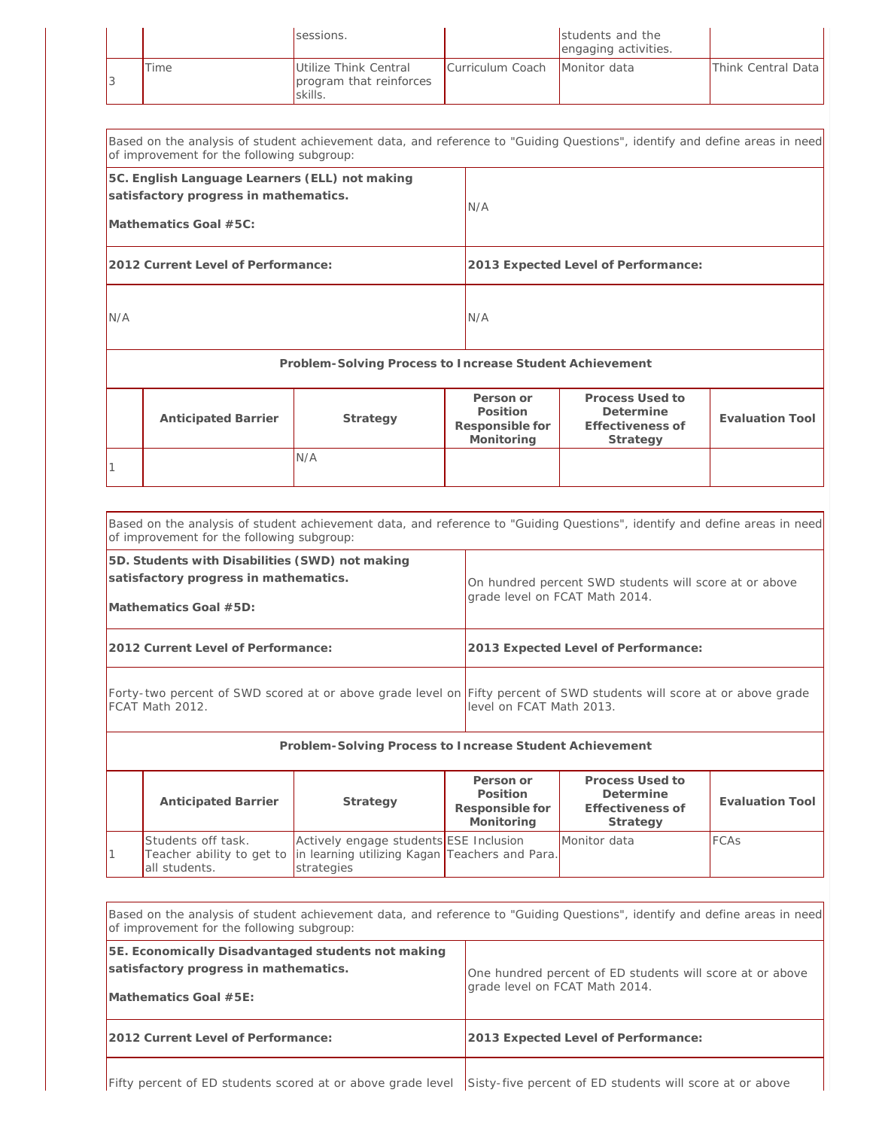|      | sessions.                                                   |                               | Istudents and the<br>engaging activities. |                    |
|------|-------------------------------------------------------------|-------------------------------|-------------------------------------------|--------------------|
| Time | Utilize Think Central<br>program that reinforces<br>skills. | Curriculum Coach Monitor data |                                           | Think Central Data |

| Based on the analysis of student achievement data, and reference to "Guiding Questions", identify and define areas in need<br>of improvement for the following subgroup: |                            |                                                         |                                                        |                                                              |                        |  |
|--------------------------------------------------------------------------------------------------------------------------------------------------------------------------|----------------------------|---------------------------------------------------------|--------------------------------------------------------|--------------------------------------------------------------|------------------------|--|
| 5C. English Language Learners (ELL) not making<br>satisfactory progress in mathematics.<br>Mathematics Goal #5C:                                                         |                            |                                                         | N/A                                                    |                                                              |                        |  |
| 2012 Current Level of Performance:                                                                                                                                       |                            |                                                         |                                                        | 2013 Expected Level of Performance:                          |                        |  |
| N/A                                                                                                                                                                      |                            |                                                         | N/A                                                    |                                                              |                        |  |
|                                                                                                                                                                          |                            | Problem-Solving Process to Increase Student Achievement |                                                        |                                                              |                        |  |
|                                                                                                                                                                          | <b>Anticipated Barrier</b> | Strategy                                                | Person or<br>Position<br>Responsible for<br>Monitoring | Process Used to<br>Determine<br>Effectiveness of<br>Strategy | <b>Evaluation Tool</b> |  |
|                                                                                                                                                                          |                            | N/A                                                     |                                                        |                                                              |                        |  |

| Based on the analysis of student achievement data, and reference to "Guiding Questions", identify and define areas in need<br>of improvement for the following subgroup: |                                                                                                                                                   |  |  |  |  |
|--------------------------------------------------------------------------------------------------------------------------------------------------------------------------|---------------------------------------------------------------------------------------------------------------------------------------------------|--|--|--|--|
| 5D. Students with Disabilities (SWD) not making<br>satisfactory progress in mathematics.<br>Mathematics Goal #5D:                                                        | On hundred percent SWD students will score at or above<br>grade level on FCAT Math 2014.                                                          |  |  |  |  |
| 2012 Current Level of Performance:                                                                                                                                       | 2013 Expected Level of Performance:                                                                                                               |  |  |  |  |
| FCAT Math 2012.                                                                                                                                                          | Forty-two percent of SWD scored at or above grade level on Fifty percent of SWD students will score at or above grade<br>level on FCAT Math 2013. |  |  |  |  |
| Problem-Solving Process to Increase Student Achievement                                                                                                                  |                                                                                                                                                   |  |  |  |  |
|                                                                                                                                                                          | Process Used to<br>Person or                                                                                                                      |  |  |  |  |

| <b>Anticipated Barrier</b>          | Strategy                                                                                                                         | Person or<br>Position<br>Responsible for<br>Monitoring | Process Used to<br>Determine<br>Effectiveness of<br>Strategy | Evaluation Tool |
|-------------------------------------|----------------------------------------------------------------------------------------------------------------------------------|--------------------------------------------------------|--------------------------------------------------------------|-----------------|
| Students off task.<br>all students. | Actively engage students ESE Inclusion<br>Teacher ability to get to in learning utilizing Kagan Teachers and Para.<br>strategies |                                                        | Monitor data                                                 | <b>FCAS</b>     |

| Based on the analysis of student achievement data, and reference to "Guiding Questions", identify and define areas in need<br>of improvement for the following subgroup: |                                                                                             |  |  |
|--------------------------------------------------------------------------------------------------------------------------------------------------------------------------|---------------------------------------------------------------------------------------------|--|--|
| 5E. Economically Disadvantaged students not making<br>satisfactory progress in mathematics.<br>Mathematics Goal $#5E$ :                                                  | One hundred percent of ED students will score at or above<br>grade level on FCAT Math 2014. |  |  |
| 2012 Current Level of Performance:                                                                                                                                       | 2013 Expected Level of Performance:                                                         |  |  |
| Fifty percent of ED students scored at or above grade level                                                                                                              | Sisty-five percent of ED students will score at or above                                    |  |  |

Fifty percent of ED students scored at or above grade level Sisty-five percent of ED students will score at or above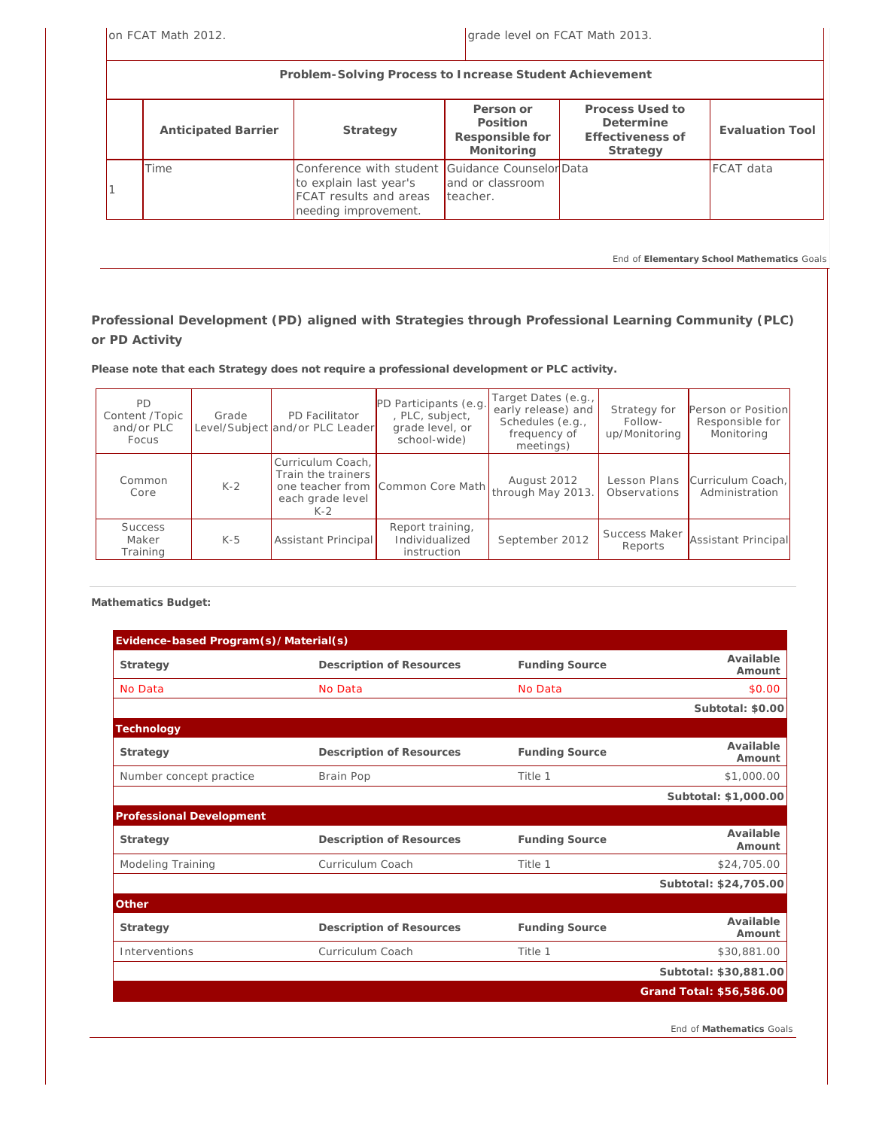on FCAT Math 2012. The state of the state of the state of the grade level on FCAT Math 2013.

| Problem-Solving Process to Increase Student Achievement |                                                                                                                                   |                                                        |                                                              |                  |  |  |
|---------------------------------------------------------|-----------------------------------------------------------------------------------------------------------------------------------|--------------------------------------------------------|--------------------------------------------------------------|------------------|--|--|
| <b>Anticipated Barrier</b>                              | Strategy                                                                                                                          | Person or<br>Position<br>Responsible for<br>Monitoring | Process Used to<br>Determine<br>Effectiveness of<br>Strategy | Evaluation Tool  |  |  |
| Time                                                    | Conference with student Guidance CounselorData<br>to explain last year's<br><b>FCAT</b> results and areas<br>needing improvement. | and or classroom<br>teacher.                           |                                                              | <b>FCAT</b> data |  |  |

*End of Elementary School Mathematics Goals*

### **Professional Development (PD) aligned with Strategies through Professional Learning Community (PLC) or PD Activity**

**Please note that each Strategy does not require a professional development or PLC activity.**

| <b>PD</b><br>Content /Topic<br>and/or PLC<br><b>Focus</b> | Grade | PD Facilitator<br>Level/Subject and/or PLC Leader                                        | PD Participants (e.g.<br>, PLC, subject,<br>grade level, or<br>school-wide) | Target Dates (e.g.,<br>early release) and<br>Schedules (e.g.,<br>frequency of<br>meetings) | Strategy for<br>Follow-<br>up/Monitoring | Person or Position<br>Responsible for<br>Monitoring |
|-----------------------------------------------------------|-------|------------------------------------------------------------------------------------------|-----------------------------------------------------------------------------|--------------------------------------------------------------------------------------------|------------------------------------------|-----------------------------------------------------|
| Common<br>Core                                            | $K-2$ | Curriculum Coach,<br>Train the trainers<br>one teacher from<br>each grade level<br>$K-2$ | Common Core Math                                                            | August 2012<br>through May 2013.                                                           | Lesson Plans<br>Observations             | Curriculum Coach.<br>Administration                 |
| <b>Success</b><br>Maker<br>Training                       | $K-5$ | <b>Assistant Principal</b>                                                               | Report training,<br>Individualized<br>instruction                           | September 2012                                                                             | Success Maker<br>Reports                 | Assistant Principal                                 |

**Mathematics Budget:** 

| Evidence-based Program(s)/Material(s) |                          |                       |                          |
|---------------------------------------|--------------------------|-----------------------|--------------------------|
| Strategy                              | Description of Resources | Funding Source        | Available<br>Amount      |
| No Data                               | No Data                  | No Data               | \$0.00                   |
|                                       |                          |                       | Subtotal: \$0.00         |
| Technology                            |                          |                       |                          |
| Strategy                              | Description of Resources | <b>Funding Source</b> | Available<br>Amount      |
| Number concept practice               | Brain Pop                | Title 1               | \$1,000.00               |
|                                       |                          |                       | Subtotal: \$1,000.00     |
| Professional Development              |                          |                       |                          |
| Strategy                              | Description of Resources | <b>Funding Source</b> | Available<br>Amount      |
| <b>Modeling Training</b>              | Curriculum Coach         | Title 1               | \$24,705.00              |
|                                       |                          |                       | Subtotal: \$24,705.00    |
| Other                                 |                          |                       |                          |
| Strategy                              | Description of Resources | <b>Funding Source</b> | Available<br>Amount      |
| Interventions                         | Curriculum Coach         | Title 1               | \$30,881.00              |
|                                       |                          |                       | Subtotal: \$30,881.00    |
|                                       |                          |                       | Grand Total: \$56,586.00 |

*End of Mathematics Goals*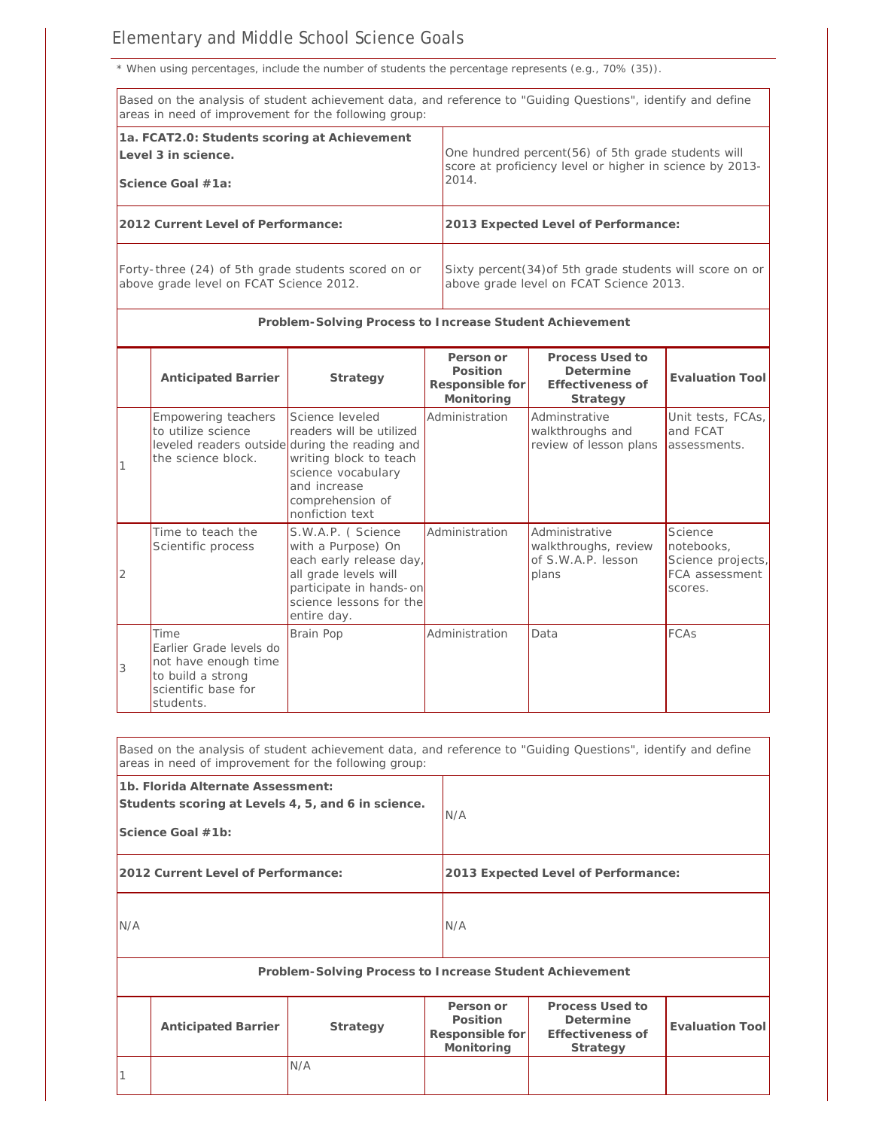## Elementary and Middle School Science Goals

*\* When using percentages, include the number of students the percentage represents (e.g., 70% (35)).*

|                                                                                                | Based on the analysis of student achievement data, and reference to "Guiding Questions", identify and define<br>areas in need of improvement for the following group: |                                                                                                                                                                  |                                                        |                                                                                                                |                                                                         |  |
|------------------------------------------------------------------------------------------------|-----------------------------------------------------------------------------------------------------------------------------------------------------------------------|------------------------------------------------------------------------------------------------------------------------------------------------------------------|--------------------------------------------------------|----------------------------------------------------------------------------------------------------------------|-------------------------------------------------------------------------|--|
|                                                                                                | 1a. FCAT2.0: Students scoring at Achievement<br>Level 3 in science.<br>Science Goal #1a:                                                                              |                                                                                                                                                                  | 2014.                                                  | One hundred percent(56) of 5th grade students will<br>score at proficiency level or higher in science by 2013- |                                                                         |  |
|                                                                                                | 2012 Current Level of Performance:                                                                                                                                    |                                                                                                                                                                  |                                                        | 2013 Expected Level of Performance:                                                                            |                                                                         |  |
| Forty-three (24) of 5th grade students scored on or<br>above grade level on FCAT Science 2012. |                                                                                                                                                                       |                                                                                                                                                                  |                                                        | Sixty percent(34) of 5th grade students will score on or<br>above grade level on FCAT Science 2013.            |                                                                         |  |
|                                                                                                |                                                                                                                                                                       | Problem-Solving Process to Increase Student Achievement                                                                                                          |                                                        |                                                                                                                |                                                                         |  |
|                                                                                                | Anticipated Barrier                                                                                                                                                   | Strategy                                                                                                                                                         | Person or<br>Position<br>Responsible for<br>Monitoring | Process Used to<br>Determine<br>Effectiveness of<br>Strategy                                                   | <b>Evaluation Tool</b>                                                  |  |
|                                                                                                | Empowering teachers<br>to utilize science<br>leveled readers outside during the reading and<br>the science block.                                                     | Science leveled<br>readers will be utilized<br>writing block to teach<br>science vocabulary<br>and increase<br>comprehension of<br>nonfiction text               | Administration                                         | Adminstrative<br>walkthroughs and<br>review of lesson plans                                                    | Unit tests, FCAs,<br>and FCAT<br>assessments.                           |  |
| 2                                                                                              | Time to teach the<br>Scientific process                                                                                                                               | S.W.A.P. (Science<br>with a Purpose) On<br>each early release day,<br>all grade levels will<br>participate in hands-on<br>science lessons for the<br>entire day. | Administration                                         | Administrative<br>walkthroughs, review<br>of S.W.A.P. lesson<br>plans                                          | Science<br>notebooks,<br>Science projects,<br>FCA assessment<br>scores. |  |
| 3                                                                                              | Time<br>Earlier Grade levels do<br>not have enough time<br>to build a strong<br>scientific base for<br>students.                                                      | Brain Pop                                                                                                                                                        | Administration                                         | Data                                                                                                           | FCAs                                                                    |  |
|                                                                                                | Based on the analysis of student achievement data, and reference to "Guiding Questions", identify and define<br>areas in need of improvement for the following group: |                                                                                                                                                                  |                                                        |                                                                                                                |                                                                         |  |
|                                                                                                | 1b. Florida Alternate Assessment:<br>Students scoring at Levels 4, 5, and 6 in science.<br>Science Goal #1b:                                                          |                                                                                                                                                                  | N/A                                                    |                                                                                                                |                                                                         |  |
|                                                                                                | 2012 Current Level of Performance:                                                                                                                                    |                                                                                                                                                                  |                                                        | 2013 Expected Level of Performance:                                                                            |                                                                         |  |
| N/A                                                                                            |                                                                                                                                                                       |                                                                                                                                                                  | N/A                                                    |                                                                                                                |                                                                         |  |

**Problem-Solving Process to Increase Student Achievement Anticipated Barrier Strategy Person or Position Responsible for Monitoring Process Used to Determine Effectiveness of Strategy Evaluation Tool** 1 N/A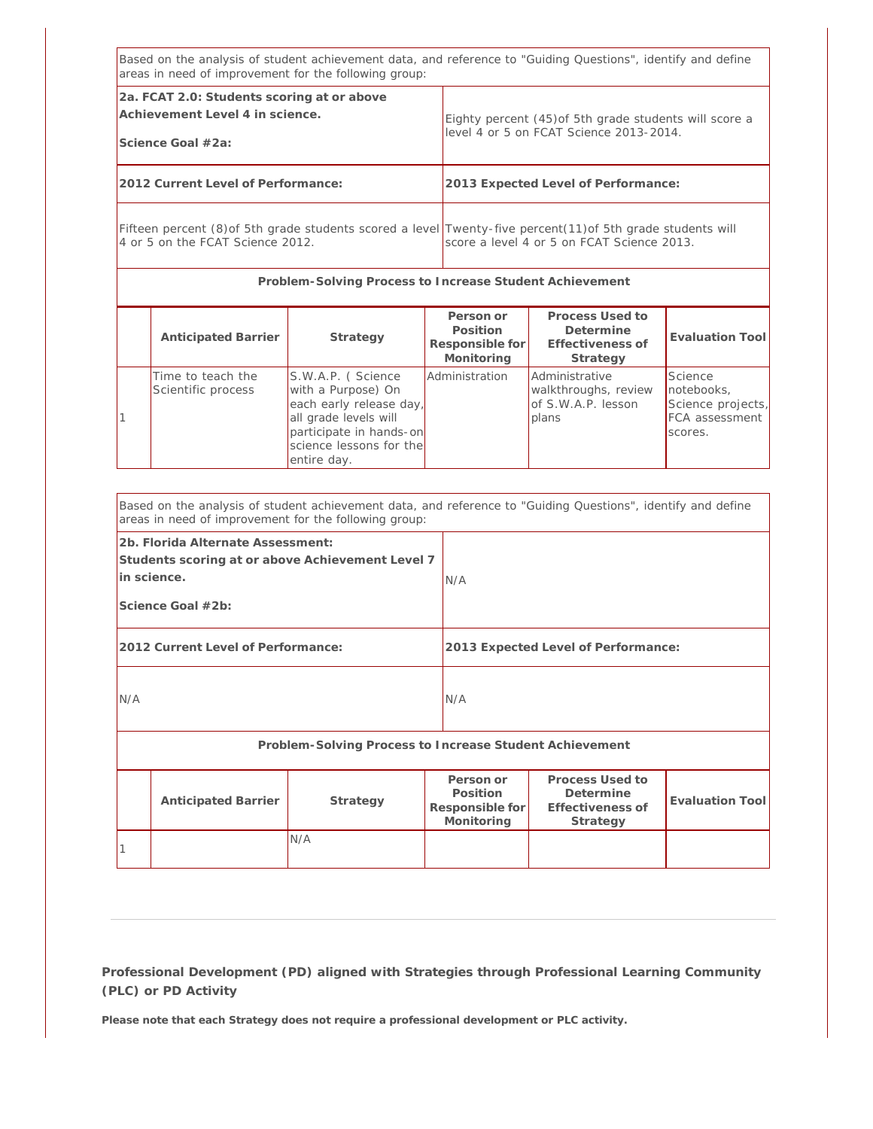| Based on the analysis of student achievement data, and reference to "Guiding Questions", identify and define<br>areas in need of improvement for the following group: |                                         |                                                                                                                                                                  |                                                        |                                                                                                   |                                                                         |  |
|-----------------------------------------------------------------------------------------------------------------------------------------------------------------------|-----------------------------------------|------------------------------------------------------------------------------------------------------------------------------------------------------------------|--------------------------------------------------------|---------------------------------------------------------------------------------------------------|-------------------------------------------------------------------------|--|
| 2a. FCAT 2.0: Students scoring at or above<br>Achievement Level 4 in science.<br>Science Goal #2a:                                                                    |                                         |                                                                                                                                                                  |                                                        | Eighty percent (45) of 5th grade students will score a<br>level 4 or 5 on FCAT Science 2013-2014. |                                                                         |  |
| 2012 Current Level of Performance:                                                                                                                                    |                                         |                                                                                                                                                                  |                                                        | 2013 Expected Level of Performance:                                                               |                                                                         |  |
| Fifteen percent (8) of 5th grade students scored a level Twenty-five percent (11) of 5th grade students will<br>4 or 5 on the FCAT Science 2012.                      |                                         |                                                                                                                                                                  |                                                        | score a level 4 or 5 on FCAT Science 2013.                                                        |                                                                         |  |
|                                                                                                                                                                       |                                         | Problem-Solving Process to Increase Student Achievement                                                                                                          |                                                        |                                                                                                   |                                                                         |  |
|                                                                                                                                                                       | Anticipated Barrier                     | Strategy                                                                                                                                                         | Person or<br>Position<br>Responsible for<br>Monitoring | Process Used to<br>Determine<br>Effectiveness of<br>Strategy                                      | <b>Evaluation Tool</b>                                                  |  |
|                                                                                                                                                                       | Time to teach the<br>Scientific process | S.W.A.P. (Science<br>with a Purpose) On<br>each early release day,<br>all grade levels will<br>participate in hands-on<br>science lessons for the<br>entire day. | Administration                                         | Administrative<br>walkthroughs, review<br>of S.W.A.P. lesson<br>plans                             | Science<br>notebooks,<br>Science projects,<br>FCA assessment<br>scores. |  |

|                                                                                                                           | Based on the analysis of student achievement data, and reference to "Guiding Questions", identify and define<br>areas in need of improvement for the following group: |                                                         |                                                        |                                                              |                        |  |
|---------------------------------------------------------------------------------------------------------------------------|-----------------------------------------------------------------------------------------------------------------------------------------------------------------------|---------------------------------------------------------|--------------------------------------------------------|--------------------------------------------------------------|------------------------|--|
| 2b. Florida Alternate Assessment:<br>Students scoring at or above Achievement Level 7<br>in science.<br>Science Goal #2b: |                                                                                                                                                                       |                                                         | N/A                                                    |                                                              |                        |  |
|                                                                                                                           | 2012 Current Level of Performance:                                                                                                                                    |                                                         | 2013 Expected Level of Performance:                    |                                                              |                        |  |
| N/A                                                                                                                       |                                                                                                                                                                       |                                                         | N/A                                                    |                                                              |                        |  |
|                                                                                                                           |                                                                                                                                                                       | Problem-Solving Process to Increase Student Achievement |                                                        |                                                              |                        |  |
|                                                                                                                           | <b>Anticipated Barrier</b>                                                                                                                                            | Strategy                                                | Person or<br>Position<br>Responsible for<br>Monitoring | Process Used to<br>Determine<br>Effectiveness of<br>Strategy | <b>Evaluation Tool</b> |  |
|                                                                                                                           |                                                                                                                                                                       | N/A                                                     |                                                        |                                                              |                        |  |

**Please note that each Strategy does not require a professional development or PLC activity.**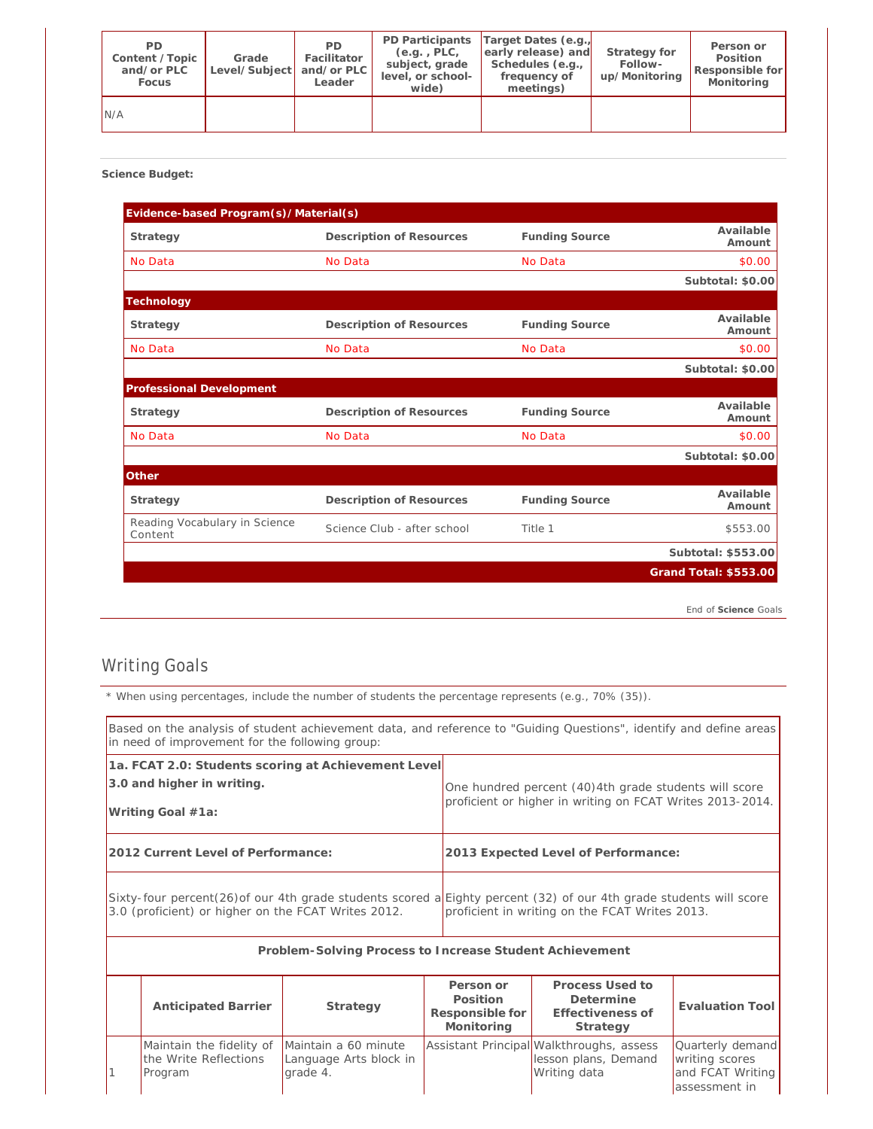| PD.<br>Content / Topic<br>and/or PLC<br>Focus | Grade<br>Level/Subject and/or PLC | PD.<br>Facilitator<br>Leader | PD Participants<br>$(e.q.$ , $PLC,$<br>subject, grade<br>level, or school-<br>wide) | Target Dates (e.g.,<br>early release) and<br>Schedules (e.g.,<br>frequency of<br>meetings) | Strategy for<br>Follow-<br>up/Monitoring | Person or<br>Position<br>Responsible for<br>Monitoring |
|-----------------------------------------------|-----------------------------------|------------------------------|-------------------------------------------------------------------------------------|--------------------------------------------------------------------------------------------|------------------------------------------|--------------------------------------------------------|
| N/A                                           |                                   |                              |                                                                                     |                                                                                            |                                          |                                                        |

**Science Budget:** 

| Evidence-based Program(s)/Material(s)    |                             |                       |                       |
|------------------------------------------|-----------------------------|-----------------------|-----------------------|
| Strategy                                 | Description of Resources    | <b>Funding Source</b> | Available<br>Amount   |
| No Data                                  | No Data                     | No Data               | \$0.00                |
|                                          |                             |                       | Subtotal: \$0.00      |
| Technology                               |                             |                       |                       |
| Strategy                                 | Description of Resources    | <b>Funding Source</b> | Available<br>Amount   |
| No Data                                  | No Data                     | No Data               | \$0.00                |
|                                          |                             |                       | Subtotal: \$0.00      |
| Professional Development                 |                             |                       |                       |
| Strategy                                 | Description of Resources    | <b>Funding Source</b> | Available<br>Amount   |
| No Data                                  | No Data                     | No Data               | \$0.00                |
|                                          |                             |                       | Subtotal: \$0.00      |
| Other                                    |                             |                       |                       |
| Strategy                                 | Description of Resources    | <b>Funding Source</b> | Available<br>Amount   |
| Reading Vocabulary in Science<br>Content | Science Club - after school | Title 1               | \$553.00              |
|                                          |                             |                       | Subtotal: \$553.00    |
|                                          |                             |                       | Grand Total: \$553.00 |

*End of Science Goals*

## Writing Goals

*\* When using percentages, include the number of students the percentage represents (e.g., 70% (35)).*

| Based on the analysis of student achievement data, and reference to "Guiding Questions", identify and define areas<br>in need of improvement for the following group:     |                                                              |                                                            |                                                        |                                                                                                                    |                                                                         |  |
|---------------------------------------------------------------------------------------------------------------------------------------------------------------------------|--------------------------------------------------------------|------------------------------------------------------------|--------------------------------------------------------|--------------------------------------------------------------------------------------------------------------------|-------------------------------------------------------------------------|--|
| 1a. FCAT 2.0: Students scoring at Achievement Level<br>3.0 and higher in writing.<br>Writing Goal #1a:                                                                    |                                                              |                                                            |                                                        | One hundred percent (40)4th grade students will score<br>proficient or higher in writing on FCAT Writes 2013-2014. |                                                                         |  |
|                                                                                                                                                                           | 2012 Current Level of Performance:                           |                                                            |                                                        | 2013 Expected Level of Performance:                                                                                |                                                                         |  |
| Sixty-four percent(26) of our 4th grade students scored a Eighty percent (32) of our 4th grade students will score<br>3.0 (proficient) or higher on the FCAT Writes 2012. |                                                              |                                                            |                                                        | proficient in writing on the FCAT Writes 2013.                                                                     |                                                                         |  |
|                                                                                                                                                                           |                                                              | Problem-Solving Process to Increase Student Achievement    |                                                        |                                                                                                                    |                                                                         |  |
|                                                                                                                                                                           | <b>Anticipated Barrier</b>                                   | Strategy                                                   | Person or<br>Position<br>Responsible for<br>Monitoring | Process Used to<br>Determine<br>Effectiveness of<br>Strategy                                                       | <b>Evaluation Tool</b>                                                  |  |
|                                                                                                                                                                           | Maintain the fidelity of<br>the Write Reflections<br>Program | Maintain a 60 minute<br>Language Arts block in<br>grade 4. |                                                        | Assistant Principal Walkthroughs, assess<br>lesson plans, Demand<br>Writing data                                   | Quarterly demand<br>writing scores<br>and FCAT Writing<br>assessment in |  |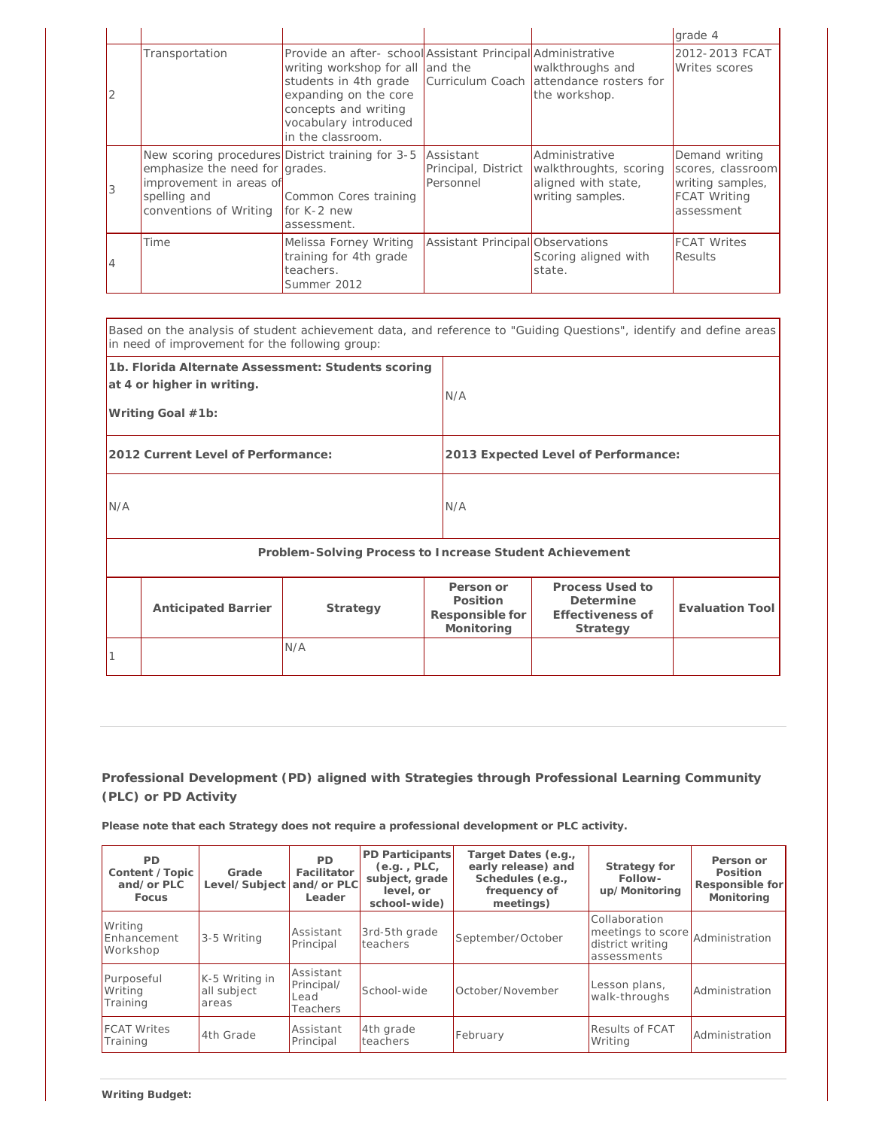|   |                                                                                                                                                                     |                                                                                                                                                                                                                         |                                  |                                                                                                           | grade 4                                                                                      |
|---|---------------------------------------------------------------------------------------------------------------------------------------------------------------------|-------------------------------------------------------------------------------------------------------------------------------------------------------------------------------------------------------------------------|----------------------------------|-----------------------------------------------------------------------------------------------------------|----------------------------------------------------------------------------------------------|
|   | Transportation                                                                                                                                                      | Provide an after- school Assistant Principal Administrative<br>writing workshop for all and the<br>students in 4th grade<br>expanding on the core<br>concepts and writing<br>vocabulary introduced<br>in the classroom. |                                  | walkthroughs and<br>Curriculum Coach attendance rosters for<br>the workshop.                              | 2012-2013 FCAT<br>Writes scores                                                              |
|   | New scoring procedures District training for 3-5<br>emphasize the need for grades.<br>improvement in areas of<br>spelling and<br>conventions of Writing for K-2 new | Common Cores training<br>assessment.                                                                                                                                                                                    | Assistant<br>Personnel           | Administrative<br>Principal, District   walkthroughts, scoring<br>aligned with state,<br>writing samples. | Demand writing<br>scores, classroom<br>writing samples,<br><b>FCAT Writing</b><br>assessment |
| 4 | Time                                                                                                                                                                | Melissa Forney Writing<br>training for 4th grade<br>teachers.<br>Summer 2012                                                                                                                                            | Assistant Principal Observations | Scoring aligned with<br>state.                                                                            | <b>FCAT Writes</b><br>Results                                                                |

| Based on the analysis of student achievement data, and reference to "Guiding Questions", identify and define areas<br>in need of improvement for the following group: |                            |                                                         |                                                        |                                                              |                        |  |
|-----------------------------------------------------------------------------------------------------------------------------------------------------------------------|----------------------------|---------------------------------------------------------|--------------------------------------------------------|--------------------------------------------------------------|------------------------|--|
| 1b. Florida Alternate Assessment: Students scoring<br>at 4 or higher in writing.<br>Writing Goal #1b:                                                                 |                            |                                                         | N/A                                                    |                                                              |                        |  |
| 2012 Current Level of Performance:                                                                                                                                    |                            |                                                         |                                                        | 2013 Expected Level of Performance:                          |                        |  |
| N/A                                                                                                                                                                   |                            |                                                         | N/A                                                    |                                                              |                        |  |
|                                                                                                                                                                       |                            | Problem-Solving Process to Increase Student Achievement |                                                        |                                                              |                        |  |
|                                                                                                                                                                       | <b>Anticipated Barrier</b> | Strategy                                                | Person or<br>Position<br>Responsible for<br>Monitoring | Process Used to<br>Determine<br>Effectiveness of<br>Strategy | <b>Evaluation Tool</b> |  |
|                                                                                                                                                                       |                            | N/A                                                     |                                                        |                                                              |                        |  |

**Please note that each Strategy does not require a professional development or PLC activity.**

| <b>PD</b><br>Content / Topic<br>and/or PLC<br>Focus | Grade<br>Level/Subject                 | <b>PD</b><br>Facilitator<br>and/or PLC<br>Leader | PD Participants<br>$(e.q.$ , $PLC,$<br>subject, grade<br>level, or<br>school-wide) | Target Dates (e.g.,<br>early release) and<br>Schedules (e.g.,<br>frequency of<br>meetings) | Strategy for<br>Follow-<br>up/Monitoring                              | Person or<br>Position<br>Responsible for<br>Monitoring |
|-----------------------------------------------------|----------------------------------------|--------------------------------------------------|------------------------------------------------------------------------------------|--------------------------------------------------------------------------------------------|-----------------------------------------------------------------------|--------------------------------------------------------|
| Writing<br>Enhancement<br>Workshop                  | 3-5 Writing                            | Assistant<br>Principal                           | 3rd-5th grade<br>teachers                                                          | September/October                                                                          | Collaboration<br>meetings to score<br>district writing<br>assessments | Administration                                         |
| Purposeful<br>Writing<br>Training                   | K-5 Writing in<br>all subject<br>areas | Assistant<br>Principal/<br>Lead<br>Teachers      | School-wide                                                                        | October/November                                                                           | Lesson plans,<br>walk-throughs                                        | Administration                                         |
| <b>FCAT Writes</b><br>Training                      | 4th Grade                              | Assistant<br>Principal                           | 4th grade<br>teachers                                                              | February                                                                                   | <b>Results of FCAT</b><br>Writing                                     | Administration                                         |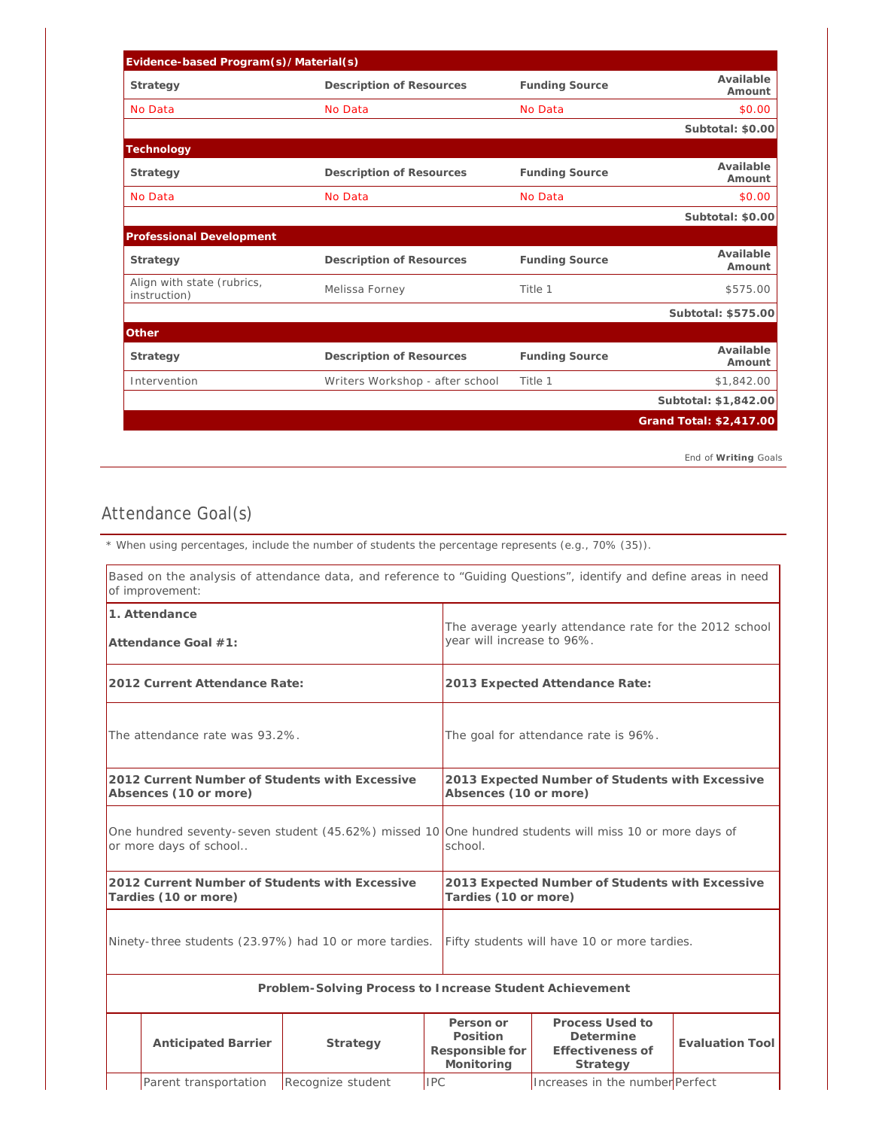| Evidence-based Program(s)/Material(s)      |                                 |                       |                         |
|--------------------------------------------|---------------------------------|-----------------------|-------------------------|
| Strategy                                   | Description of Resources        | <b>Funding Source</b> | Available<br>Amount     |
| No Data                                    | No Data                         | No Data               | \$0.00                  |
|                                            |                                 |                       | Subtotal: \$0.00        |
| Technology                                 |                                 |                       |                         |
| Strategy                                   | Description of Resources        | <b>Funding Source</b> | Available<br>Amount     |
| No Data                                    | No Data                         | No Data               | \$0.00                  |
|                                            |                                 |                       | Subtotal: \$0.00        |
| Professional Development                   |                                 |                       |                         |
| Strategy                                   | Description of Resources        | <b>Funding Source</b> | Available<br>Amount     |
| Align with state (rubrics,<br>instruction) | Melissa Forney                  | Title 1               | \$575.00                |
|                                            |                                 |                       | Subtotal: \$575.00      |
| Other                                      |                                 |                       |                         |
| Strategy                                   | Description of Resources        | <b>Funding Source</b> | Available<br>Amount     |
| Intervention                               | Writers Workshop - after school | Title 1               | \$1,842.00              |
|                                            |                                 |                       | Subtotal: \$1,842.00    |
|                                            |                                 |                       | Grand Total: \$2,417.00 |

*End of Writing Goals*

# Attendance Goal(s)

*\* When using percentages, include the number of students the percentage represents (e.g., 70% (35)).*

|                                                                                                                                  | of improvement:                                                         | Based on the analysis of attendance data, and reference to "Guiding Questions", identify and define areas in need |                                                        |                                                                                      |                        |  |
|----------------------------------------------------------------------------------------------------------------------------------|-------------------------------------------------------------------------|-------------------------------------------------------------------------------------------------------------------|--------------------------------------------------------|--------------------------------------------------------------------------------------|------------------------|--|
| 1. Attendance<br>Attendance Goal #1:                                                                                             |                                                                         |                                                                                                                   |                                                        | The average yearly attendance rate for the 2012 school<br>year will increase to 96%. |                        |  |
|                                                                                                                                  | 2012 Current Attendance Rate:                                           |                                                                                                                   |                                                        | 2013 Expected Attendance Rate:                                                       |                        |  |
| The attendance rate was 93.2%.                                                                                                   |                                                                         |                                                                                                                   |                                                        | The goal for attendance rate is 96%.                                                 |                        |  |
|                                                                                                                                  | 2012 Current Number of Students with Excessive<br>Absences (10 or more) |                                                                                                                   |                                                        | 2013 Expected Number of Students with Excessive<br>Absences (10 or more)             |                        |  |
| One hundred seventy-seven student (45.62%) missed 10 One hundred students will miss 10 or more days of<br>or more days of school |                                                                         |                                                                                                                   | school.                                                |                                                                                      |                        |  |
|                                                                                                                                  | 2012 Current Number of Students with Excessive<br>Tardies (10 or more)  |                                                                                                                   |                                                        | 2013 Expected Number of Students with Excessive<br>Tardies (10 or more)              |                        |  |
|                                                                                                                                  |                                                                         | Ninety-three students (23.97%) had 10 or more tardies.                                                            |                                                        | Fifty students will have 10 or more tardies.                                         |                        |  |
|                                                                                                                                  |                                                                         | Problem-Solving Process to Increase Student Achievement                                                           |                                                        |                                                                                      |                        |  |
|                                                                                                                                  | Anticipated Barrier                                                     | Strategy                                                                                                          | Person or<br>Position<br>Responsible for<br>Monitoring | Process Used to<br>Determine<br>Effectiveness of<br>Strategy                         | <b>Evaluation Tool</b> |  |
|                                                                                                                                  | Parent transportation                                                   | Recognize student                                                                                                 | <b>IPC</b>                                             | Increases in the number Perfect                                                      |                        |  |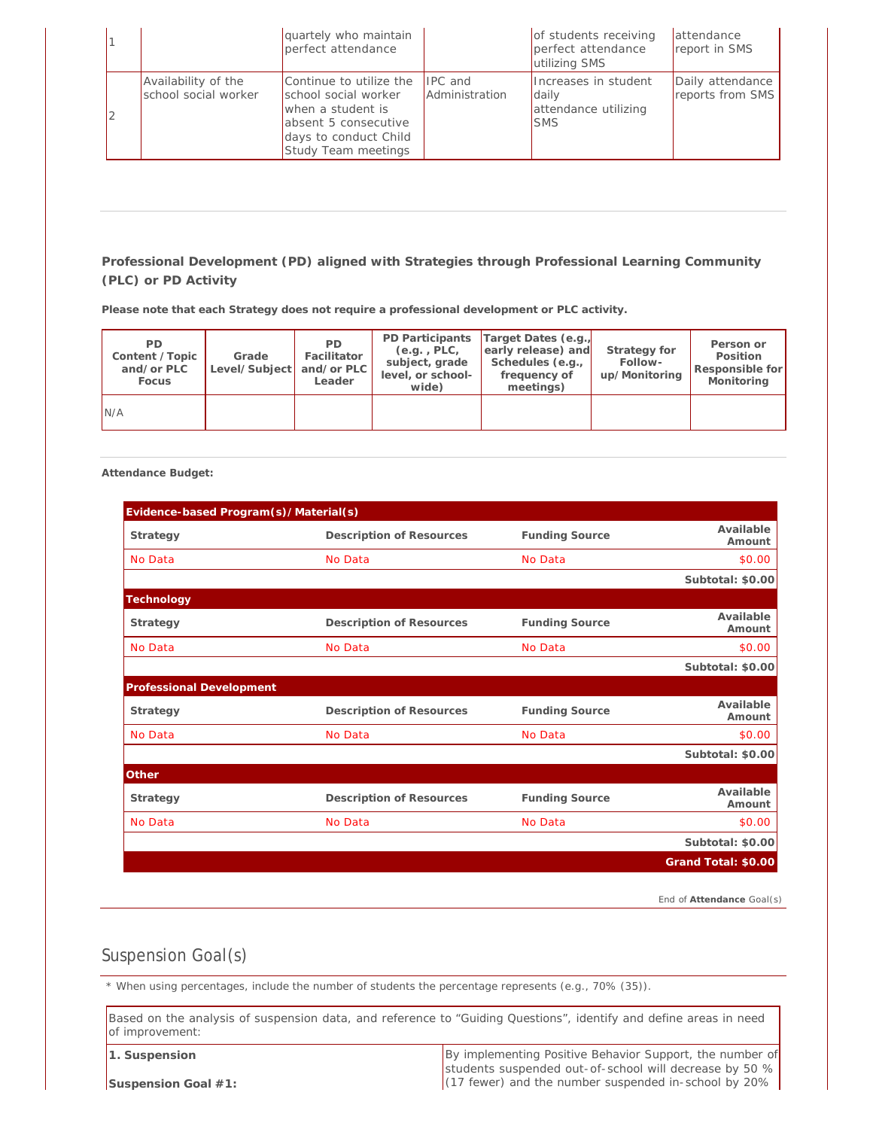|  |                                             | quartely who maintain<br>perfect attendance                                                                                                  |                                  | of students receiving<br>perfect attendance<br>utilizing SMS               | attendance<br>report in SMS          |
|--|---------------------------------------------|----------------------------------------------------------------------------------------------------------------------------------------------|----------------------------------|----------------------------------------------------------------------------|--------------------------------------|
|  | Availability of the<br>school social worker | Continue to utilize the<br>school social worker<br>when a student is<br>absent 5 consecutive<br>days to conduct Child<br>Study Team meetings | <b>IPC</b> and<br>Administration | Increases in student<br><b>daily</b><br>attendance utilizing<br><b>SMS</b> | Daily attendance<br>reports from SMS |

**Please note that each Strategy does not require a professional development or PLC activity.**

| PD.<br>Content / Topic<br>and/or PLC<br>Focus | Grade<br>Level/Subject and/or PLC | PD.<br>Facilitator<br>Leader | PD Participants<br>(e.g., PLC,<br>subject, grade<br>level, or school-<br>wide) | Target Dates (e.g.<br>early release) and<br>Schedules (e.g.,<br>frequency of<br>meetings) | Strategy for<br>Follow-<br>up/Monitoring | Person or<br>Position<br>Responsible for<br>Monitoring |
|-----------------------------------------------|-----------------------------------|------------------------------|--------------------------------------------------------------------------------|-------------------------------------------------------------------------------------------|------------------------------------------|--------------------------------------------------------|
| N/A                                           |                                   |                              |                                                                                |                                                                                           |                                          |                                                        |

**Attendance Budget:** 

| Evidence-based Program(s)/Material(s) |                          |                       |                     |
|---------------------------------------|--------------------------|-----------------------|---------------------|
| Strategy                              | Description of Resources | <b>Funding Source</b> | Available<br>Amount |
| No Data                               | No Data                  | No Data               | \$0.00              |
|                                       |                          |                       | Subtotal: \$0.00    |
| Technology                            |                          |                       |                     |
| Strategy                              | Description of Resources | <b>Funding Source</b> | Available<br>Amount |
| No Data                               | No Data                  | No Data               | \$0.00              |
|                                       |                          |                       | Subtotal: \$0.00    |
| Professional Development              |                          |                       |                     |
| Strategy                              | Description of Resources | <b>Funding Source</b> | Available<br>Amount |
| No Data                               | No Data                  | No Data               | \$0.00              |
|                                       |                          |                       | Subtotal: \$0.00    |
| Other                                 |                          |                       |                     |
| Strategy                              | Description of Resources | <b>Funding Source</b> | Available<br>Amount |
| No Data                               | No Data                  | No Data               | \$0.00              |
|                                       |                          |                       | Subtotal: \$0.00    |
|                                       |                          |                       | Grand Total: \$0.00 |
|                                       |                          |                       |                     |

*End of Attendance Goal(s)*

## Suspension Goal(s)

*\* When using percentages, include the number of students the percentage represents (e.g., 70% (35)).*

Based on the analysis of suspension data, and reference to "Guiding Questions", identify and define areas in need of improvement:

**1. Suspension**

By implementing Positive Behavior Support, the number of students suspended out-of-school will decrease by 50 % (17 fewer) and the number suspended in-school by 20%

**Suspension Goal #1:**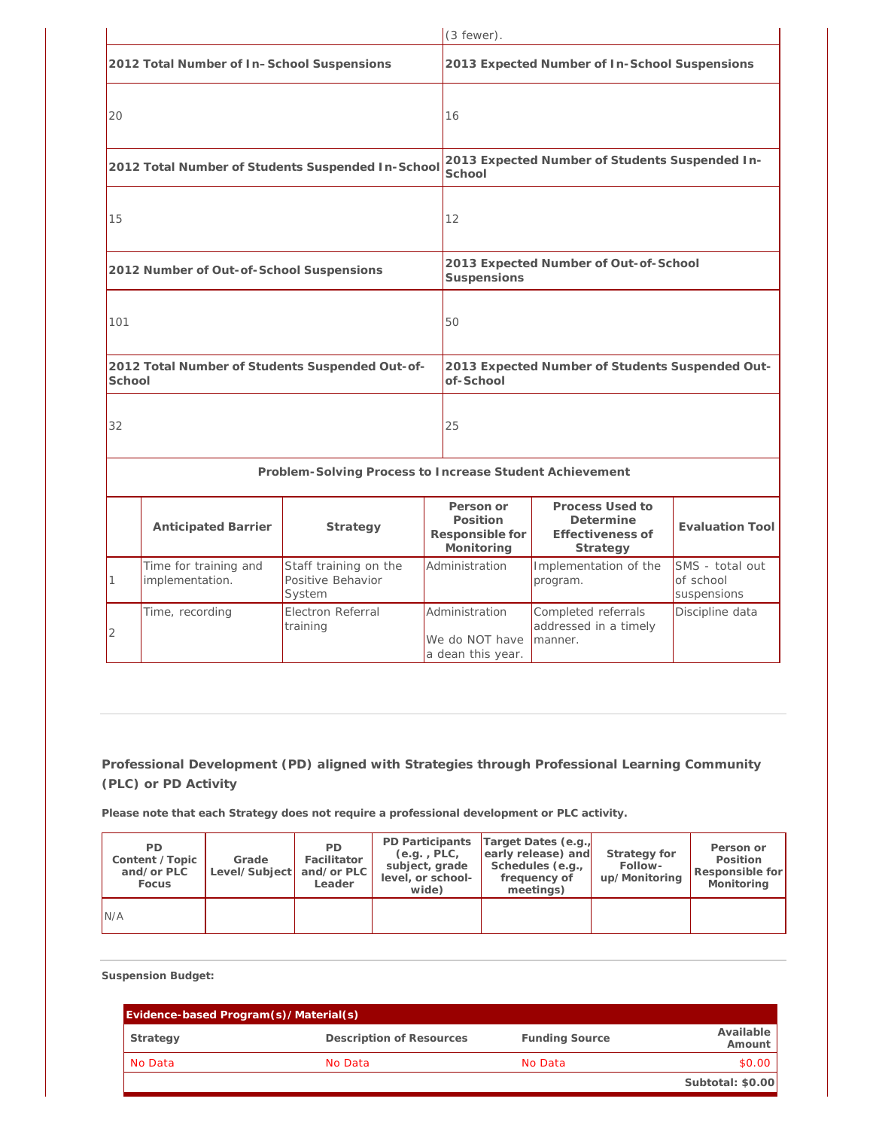|        |                                            |                                                         | $(3$ fewer).                                           |                                                              |                                             |  |
|--------|--------------------------------------------|---------------------------------------------------------|--------------------------------------------------------|--------------------------------------------------------------|---------------------------------------------|--|
|        | 2012 Total Number of In-School Suspensions |                                                         |                                                        | 2013 Expected Number of In-School Suspensions                |                                             |  |
| 20     |                                            |                                                         | 16                                                     |                                                              |                                             |  |
|        |                                            | 2012 Total Number of Students Suspended In-School       | School                                                 | 2013 Expected Number of Students Suspended In-               |                                             |  |
| 15     |                                            |                                                         | 12                                                     |                                                              |                                             |  |
|        | 2012 Number of Out-of-School Suspensions   |                                                         | Suspensions                                            | 2013 Expected Number of Out-of-School                        |                                             |  |
| 101    |                                            |                                                         | 50                                                     |                                                              |                                             |  |
| School |                                            | 2012 Total Number of Students Suspended Out-of-         | of-School                                              | 2013 Expected Number of Students Suspended Out-              |                                             |  |
| 32     |                                            |                                                         | 25                                                     |                                                              |                                             |  |
|        |                                            | Problem-Solving Process to Increase Student Achievement |                                                        |                                                              |                                             |  |
|        | Anticipated Barrier                        | Strategy                                                | Person or<br>Position<br>Responsible for<br>Monitoring | Process Used to<br>Determine<br>Effectiveness of<br>Strategy | <b>Evaluation Tool</b>                      |  |
| 1      | Time for training and<br>implementation.   | Staff training on the<br>Positive Behavior<br>System    | Administration                                         | Implementation of the<br>program.                            | SMS - total out<br>of school<br>suspensions |  |
| 2      | Time, recording                            | Electron Referral<br>training                           | Administration<br>We do NOT have<br>a dean this year.  | Completed referrals<br>addressed in a timely<br>manner.      | Discipline data                             |  |

**Please note that each Strategy does not require a professional development or PLC activity.**

| PD<br>Content / Topic<br>and/or PLC<br>Focus | Grade<br>Level/Subject and/or PLC | PD.<br>Facilitator<br>Leader | $(e.q.$ , PLC,<br>subject, grade<br>level, or school-<br>wide) | PD Participants Target Dates (e.g.<br>early release) and<br>Schedules (e.g.,<br>frequency of<br>meetings) | Strategy for<br>Follow-<br>up/Monitoring | Person or<br>Position<br>Responsible for<br>Monitoring |
|----------------------------------------------|-----------------------------------|------------------------------|----------------------------------------------------------------|-----------------------------------------------------------------------------------------------------------|------------------------------------------|--------------------------------------------------------|
| N/A                                          |                                   |                              |                                                                |                                                                                                           |                                          |                                                        |

**Suspension Budget:** 

| Evidence-based Program(s)/Material(s) |                          |                       |                       |  |  |  |
|---------------------------------------|--------------------------|-----------------------|-----------------------|--|--|--|
| Strategy                              | Description of Resources | <b>Funding Source</b> | Available  <br>Amount |  |  |  |
| No Data                               | No Data                  | No Data               | \$0.00                |  |  |  |
|                                       |                          |                       | Subtotal: \$0.00      |  |  |  |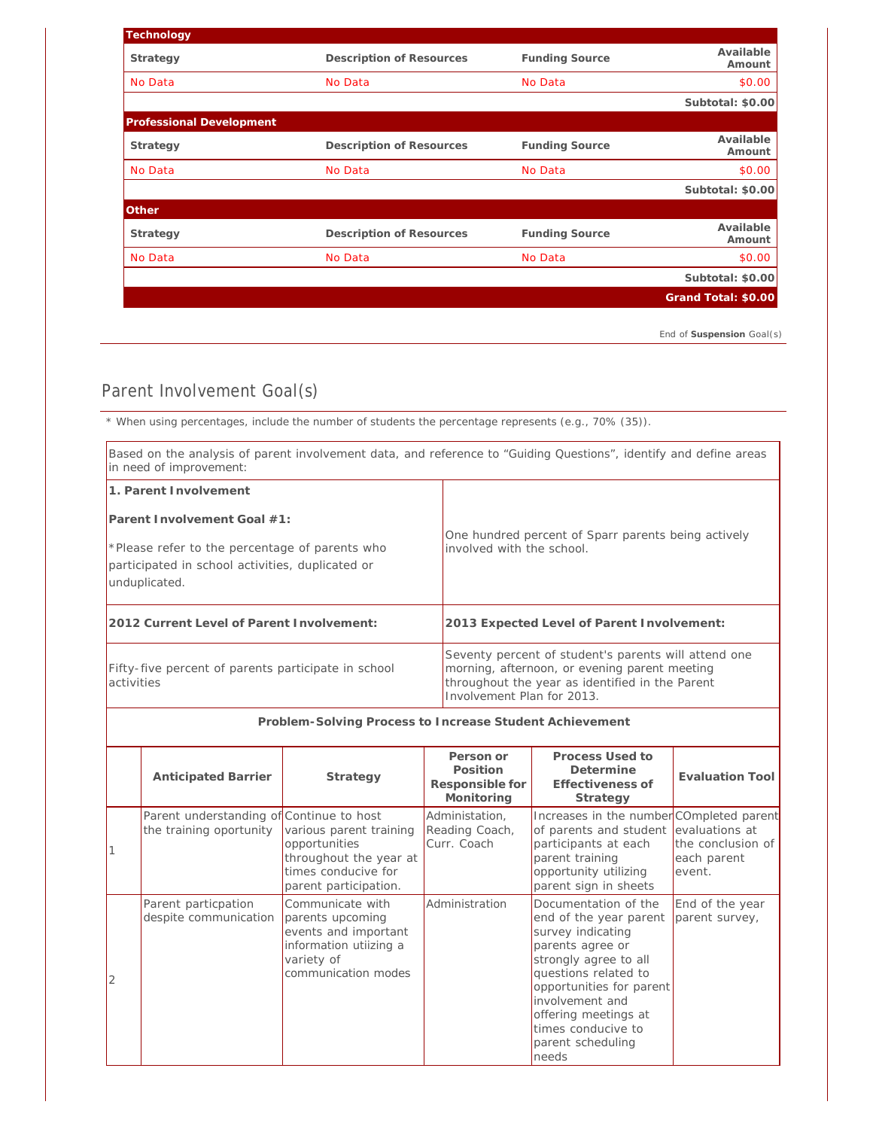| Technology                      |                          |                       |                     |
|---------------------------------|--------------------------|-----------------------|---------------------|
| Strategy                        | Description of Resources | <b>Funding Source</b> | Available<br>Amount |
| No Data                         | No Data                  | No Data               | \$0.00              |
|                                 |                          |                       | Subtotal: \$0.00    |
| <b>Professional Development</b> |                          |                       |                     |
| Strategy                        | Description of Resources | <b>Funding Source</b> | Available<br>Amount |
| No Data                         | No Data                  | No Data               | \$0.00              |
|                                 |                          |                       | Subtotal: \$0.00    |
| Other                           |                          |                       |                     |
| Strategy                        | Description of Resources | <b>Funding Source</b> | Available<br>Amount |
| No Data                         | No Data                  | No Data               | \$0.00              |
|                                 |                          |                       | Subtotal: \$0.00    |
|                                 |                          |                       | Grand Total: \$0.00 |
|                                 |                          |                       |                     |

*End of Suspension Goal(s)*

## Parent Involvement Goal(s)

*\* When using percentages, include the number of students the percentage represents (e.g., 70% (35)).*

| Based on the analysis of parent involvement data, and reference to "Guiding Questions", identify and define areas<br>in need of improvement: |                                                                                                                                                                                        |  |
|----------------------------------------------------------------------------------------------------------------------------------------------|----------------------------------------------------------------------------------------------------------------------------------------------------------------------------------------|--|
| 1. Parent Involvement                                                                                                                        |                                                                                                                                                                                        |  |
| Parent I nyolvement Goal #1:                                                                                                                 |                                                                                                                                                                                        |  |
| *Please refer to the percentage of parents who<br>participated in school activities, duplicated or<br>unduplicated.                          | One hundred percent of Sparr parents being actively<br>involved with the school.                                                                                                       |  |
| 2012 Current Level of Parent I nyolvement:                                                                                                   | 2013 Expected Level of Parent Involvement:                                                                                                                                             |  |
| Fifty-five percent of parents participate in school<br>activities                                                                            | Seventy percent of student's parents will attend one<br>morning, afternoon, or evening parent meeting<br>throughout the year as identified in the Parent<br>Involvement Plan for 2013. |  |

**Problem-Solving Process to Increase Student Achievement Anticipated Barrier Strategy Person or Position Responsible for Monitoring Process Used to Determine Effectiveness of Strategy Evaluation Tool** 1 Parent understanding of Continue to host the training oportunity various parent training opportunities throughout the year at times conducive for parent participation. Administation, Reading Coach, Curr. Coach Increases in the number COmpleted parent of parents and student participants at each parent training opportunity utilizing parent sign in sheets evaluations at the conclusion of each parent event. 2 Parent particpation despite communication Communicate with parents upcoming events and important information utiizing a variety of communication modes Administration **Documentation of the** end of the year parent survey indicating parents agree or strongly agree to all questions related to opportunities for parent involvement and offering meetings at times conducive to parent scheduling needs End of the year parent survey,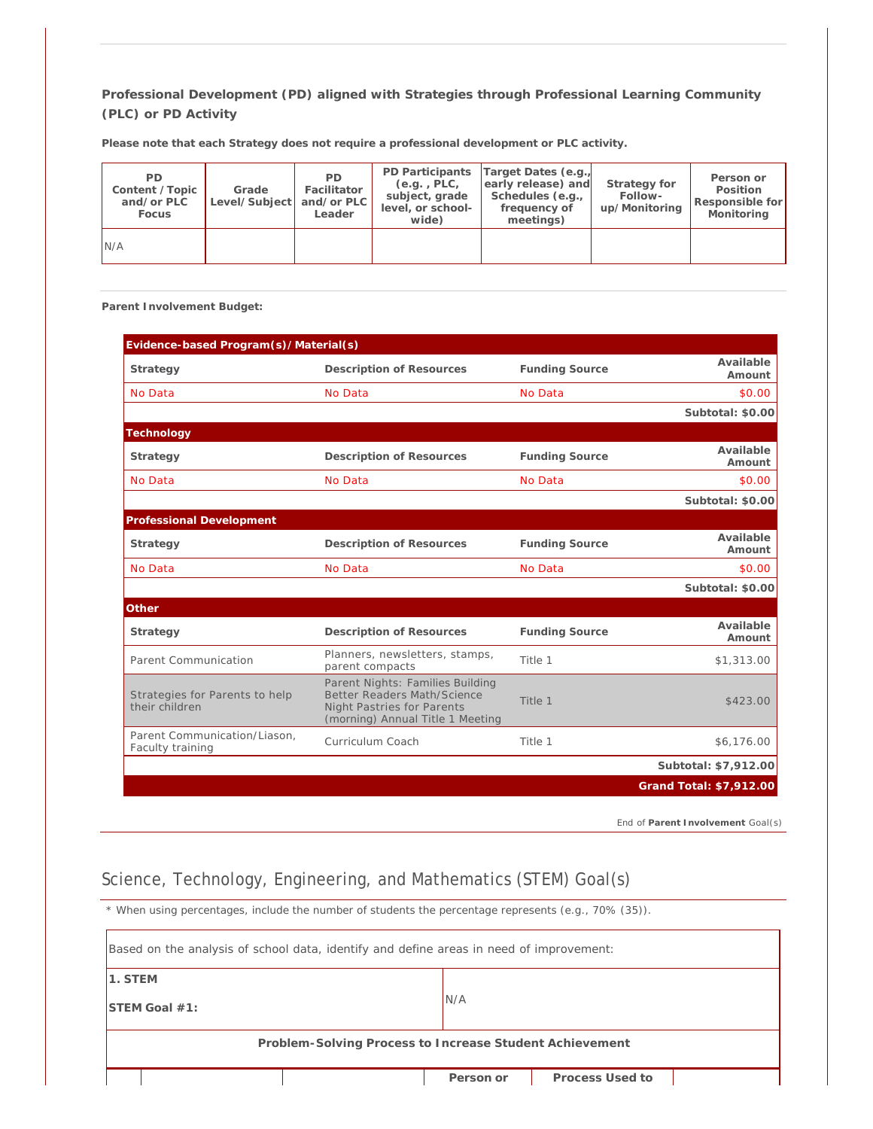| PD.<br>Content / Topic<br>and/or PLC<br>Focus | Grade<br>Level/Subject   and/or PLC | <b>PD</b><br>Facilitator<br>Leader | $(e.q.$ , $PLC,$<br>subject, grade<br>level, or school-<br>wide) | PD Participants Target Dates (e.g.<br>early release) and<br>Schedules (e.g.,<br>frequency of<br>meetings) | Strategy for<br>Follow-<br>up/Monitoring | Person or<br>Position<br>Responsible for<br>Monitoring |
|-----------------------------------------------|-------------------------------------|------------------------------------|------------------------------------------------------------------|-----------------------------------------------------------------------------------------------------------|------------------------------------------|--------------------------------------------------------|
| N/A                                           |                                     |                                    |                                                                  |                                                                                                           |                                          |                                                        |

**Please note that each Strategy does not require a professional development or PLC activity.**

**Parent Involvement Budget:** 

| Evidence-based Program(s)/Material(s)            |                                                                                                                                          |                       |                         |
|--------------------------------------------------|------------------------------------------------------------------------------------------------------------------------------------------|-----------------------|-------------------------|
| Strategy                                         | Description of Resources                                                                                                                 | <b>Funding Source</b> | Available<br>Amount     |
| No Data                                          | No Data                                                                                                                                  | No Data               | \$0.00                  |
|                                                  |                                                                                                                                          |                       | Subtotal: \$0.00        |
| Technology                                       |                                                                                                                                          |                       |                         |
| Strategy                                         | Description of Resources                                                                                                                 | <b>Funding Source</b> | Available<br>Amount     |
| No Data                                          | No Data                                                                                                                                  | No Data               | \$0.00                  |
|                                                  |                                                                                                                                          |                       | Subtotal: \$0.00        |
| Professional Development                         |                                                                                                                                          |                       |                         |
| Strategy                                         | Description of Resources                                                                                                                 | <b>Funding Source</b> | Available<br>Amount     |
| No Data                                          | No Data                                                                                                                                  | No Data               | \$0.00                  |
|                                                  |                                                                                                                                          |                       | Subtotal: \$0.00        |
| Other                                            |                                                                                                                                          |                       |                         |
| Strategy                                         | Description of Resources                                                                                                                 | <b>Funding Source</b> | Available<br>Amount     |
| Parent Communication                             | Planners, newsletters, stamps,<br>parent compacts                                                                                        | Title 1               | \$1,313.00              |
| Strategies for Parents to help<br>their children | Parent Nights: Families Building<br>Better Readers Math/Science<br><b>Night Pastries for Parents</b><br>(morning) Annual Title 1 Meeting | Title 1               | \$423.00                |
| Parent Communication/Liason.<br>Faculty training | Curriculum Coach                                                                                                                         | Title 1               | \$6,176.00              |
|                                                  |                                                                                                                                          |                       | Subtotal: \$7,912.00    |
|                                                  |                                                                                                                                          |                       | Grand Total: \$7,912.00 |
|                                                  |                                                                                                                                          |                       |                         |

*End of Parent Involvement Goal(s)*

# Science, Technology, Engineering, and Mathematics (STEM) Goal(s)

*\* When using percentages, include the number of students the percentage represents (e.g., 70% (35)).*

|                                                         | Based on the analysis of school data, identify and define areas in need of improvement: |  |           |                 |  |
|---------------------------------------------------------|-----------------------------------------------------------------------------------------|--|-----------|-----------------|--|
| 1. STEM                                                 |                                                                                         |  |           |                 |  |
|                                                         | $STEM$ Goal $#1$ :                                                                      |  | N/A       |                 |  |
| Problem-Solving Process to Increase Student Achievement |                                                                                         |  |           |                 |  |
|                                                         |                                                                                         |  | Person or | Process Used to |  |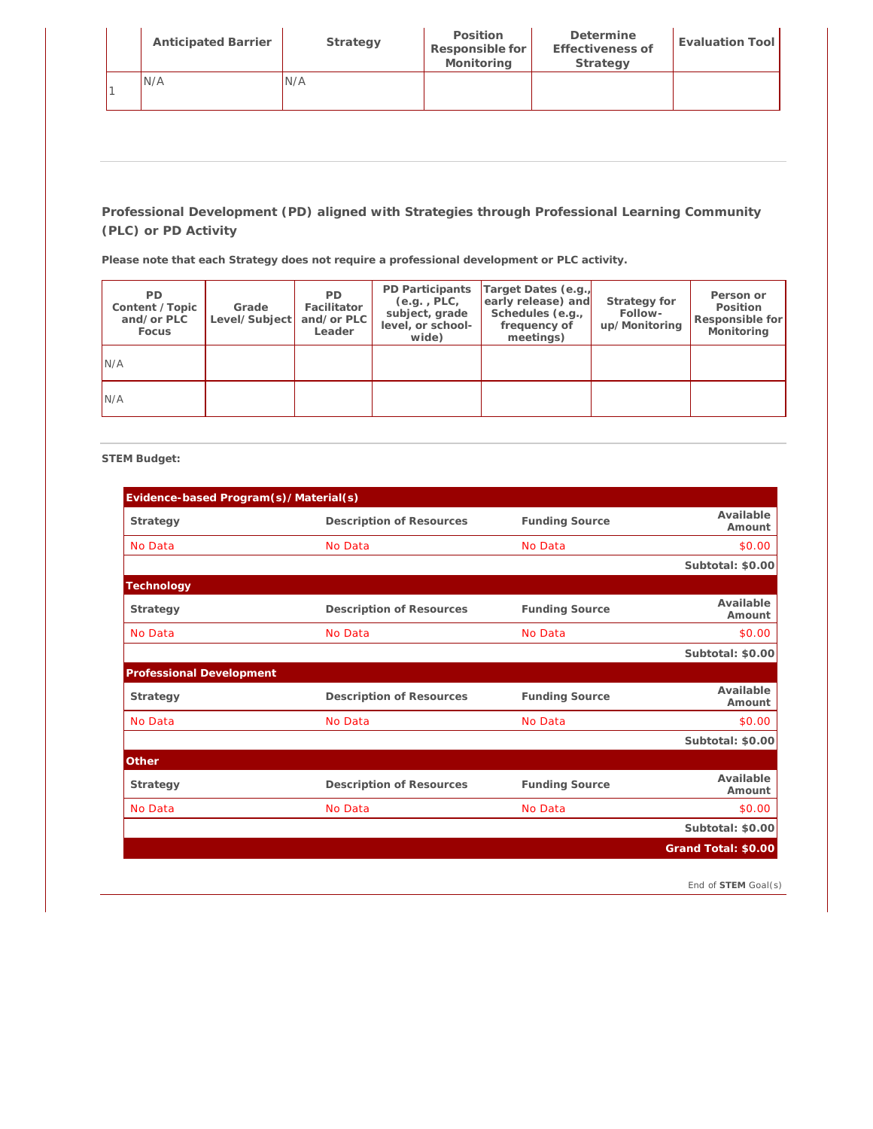| <b>Anticipated Barrier</b> | Strategy | Position<br>Responsible for<br>Monitoring | Determine<br>Effectiveness of<br>Strategy | Evaluation Tool |
|----------------------------|----------|-------------------------------------------|-------------------------------------------|-----------------|
| IN/A                       | N/A      |                                           |                                           |                 |

**Please note that each Strategy does not require a professional development or PLC activity.**

| <b>PD</b><br>Content / Topic<br>and/or PLC<br>Focus | Grade<br>Level/Subject | <b>PD</b><br>Facilitator<br>and/or PLC<br>Leader | PD Participants<br>(e.g., PLC,<br>subject, grade<br>level, or school-<br>wide) | Target Dates (e.g.)<br>early release) and<br>Schedules (e.g.,<br>frequency of<br>meetings) | Strategy for<br>Follow-<br>up/Monitoring | Person or<br>Position<br>Responsible for<br>Monitoring |
|-----------------------------------------------------|------------------------|--------------------------------------------------|--------------------------------------------------------------------------------|--------------------------------------------------------------------------------------------|------------------------------------------|--------------------------------------------------------|
| N/A                                                 |                        |                                                  |                                                                                |                                                                                            |                                          |                                                        |
| N/A                                                 |                        |                                                  |                                                                                |                                                                                            |                                          |                                                        |

**STEM Budget:** 

| Evidence-based Program(s)/Material(s) |                          |                       |                     |
|---------------------------------------|--------------------------|-----------------------|---------------------|
| Strategy                              | Description of Resources | <b>Funding Source</b> | Available<br>Amount |
| No Data                               | No Data                  | No Data               | \$0.00              |
|                                       |                          |                       | Subtotal: \$0.00    |
| Technology                            |                          |                       |                     |
| Strategy                              | Description of Resources | <b>Funding Source</b> | Available<br>Amount |
| No Data                               | No Data                  | No Data               | \$0.00              |
|                                       |                          |                       | Subtotal: \$0.00    |
| Professional Development              |                          |                       |                     |
| Strategy                              | Description of Resources | <b>Funding Source</b> | Available<br>Amount |
| No Data                               | No Data                  | No Data               | \$0.00              |
|                                       |                          |                       | Subtotal: \$0.00    |
| Other                                 |                          |                       |                     |
| Strategy                              | Description of Resources | <b>Funding Source</b> | Available<br>Amount |
| No Data                               | No Data                  | No Data               | \$0.00              |
|                                       |                          |                       | Subtotal: \$0.00    |
|                                       |                          |                       | Grand Total: \$0.00 |

*End of STEM Goal(s)*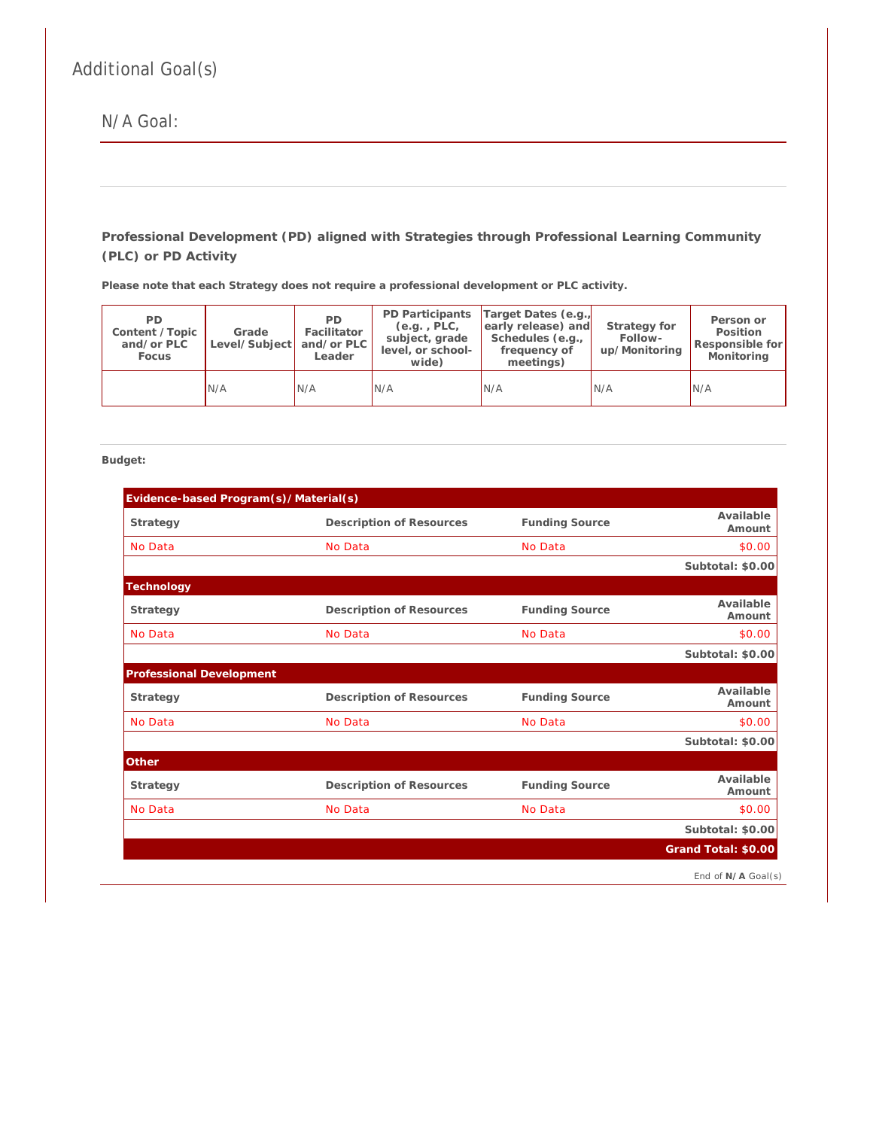# Additional Goal(s)

N/A Goal:

**Professional Development (PD) aligned with Strategies through Professional Learning Community (PLC) or PD Activity**

**Please note that each Strategy does not require a professional development or PLC activity.**

| PD.<br>Content / Topic<br>and/or PLC<br>Focus | Grade<br>Level/Subject   and/or PLC | PD.<br>Facilitator<br>Leader | PD Participants<br>$(e.q.$ , PLC,<br>subject, grade<br>level, or school-<br>wide) | Target Dates (e.g.,<br>early release) and<br>Schedules (e.g.,<br>frequency of<br>meetings) | Strategy for<br>Follow-<br>up/Monitoring | Person or<br>Position<br>Responsible for<br>Monitoring |
|-----------------------------------------------|-------------------------------------|------------------------------|-----------------------------------------------------------------------------------|--------------------------------------------------------------------------------------------|------------------------------------------|--------------------------------------------------------|
|                                               | N/A                                 | N/A                          | N/A                                                                               | IN/A                                                                                       | IN/A                                     | IN/A                                                   |

**Budget:**

| Evidence-based Program(s)/Material(s) |                          |                       |                     |
|---------------------------------------|--------------------------|-----------------------|---------------------|
| Strategy                              | Description of Resources | <b>Funding Source</b> | Available<br>Amount |
| No Data                               | No Data                  | No Data               | \$0.00              |
|                                       |                          |                       | Subtotal: \$0.00    |
| Technology                            |                          |                       |                     |
| Strategy                              | Description of Resources | <b>Funding Source</b> | Available<br>Amount |
| No Data                               | No Data                  | No Data               | \$0.00              |
|                                       |                          |                       | Subtotal: \$0.00    |
| Professional Development              |                          |                       |                     |
| Strategy                              | Description of Resources | <b>Funding Source</b> | Available<br>Amount |
| No Data                               | No Data                  | No Data               | \$0.00              |
|                                       |                          |                       | Subtotal: \$0.00    |
| Other                                 |                          |                       |                     |
| Strategy                              | Description of Resources | <b>Funding Source</b> | Available<br>Amount |
| No Data                               | No Data                  | No Data               | \$0.00              |
|                                       |                          |                       | Subtotal: \$0.00    |
|                                       |                          |                       | Grand Total: \$0.00 |
|                                       |                          |                       | End of N/A Goal(s)  |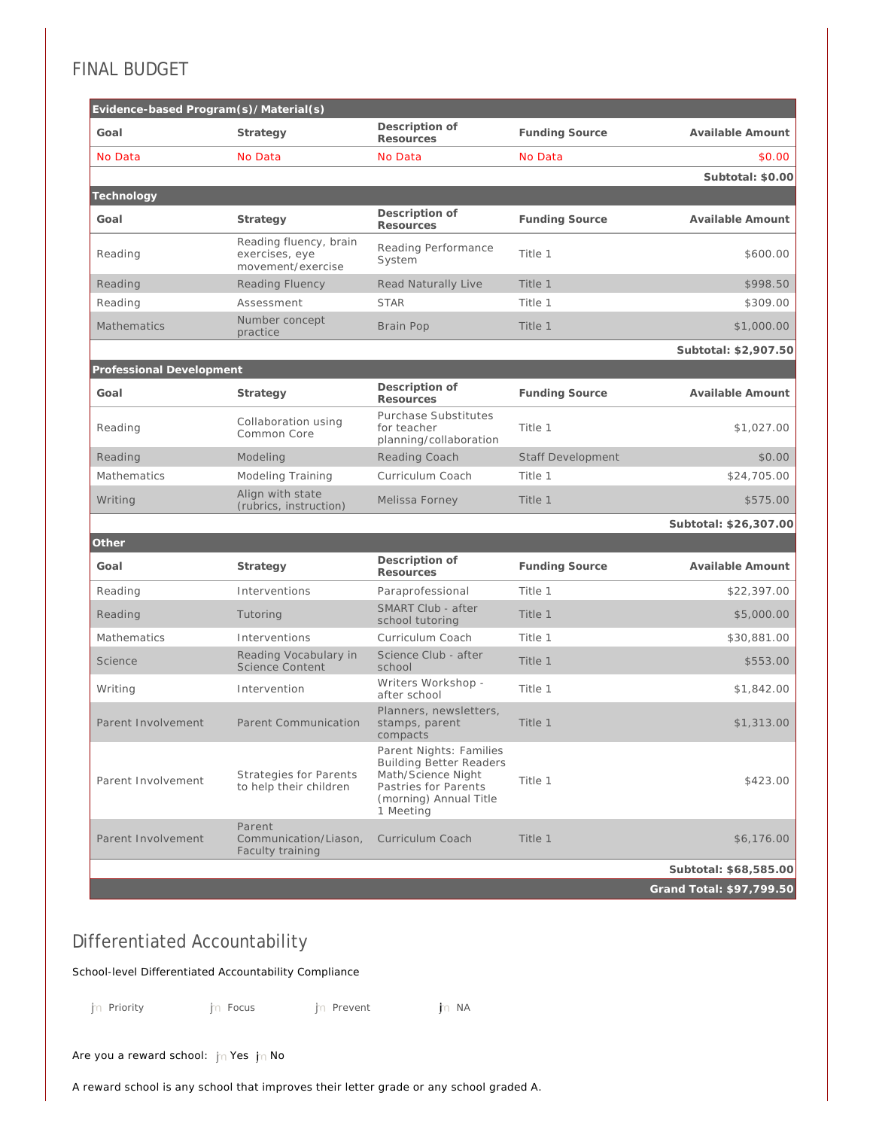## FINAL BUDGET

| Evidence-based Program(s)/Material(s) |                                                               |                                                                                                                                                |                          |                          |
|---------------------------------------|---------------------------------------------------------------|------------------------------------------------------------------------------------------------------------------------------------------------|--------------------------|--------------------------|
| Goal                                  | Strategy                                                      | Description of<br><b>Resources</b>                                                                                                             | <b>Funding Source</b>    | Available Amount         |
| No Data                               | No Data                                                       | No Data                                                                                                                                        | No Data                  | \$0.00                   |
|                                       |                                                               |                                                                                                                                                |                          | Subtotal: \$0.00         |
| Technology                            |                                                               |                                                                                                                                                |                          |                          |
| Goal                                  | Strategy                                                      | Description of<br>Resources                                                                                                                    | <b>Funding Source</b>    | Available Amount         |
| Reading                               | Reading fluency, brain<br>exercises, eye<br>movement/exercise | Reading Performance<br>System                                                                                                                  | Title 1                  | \$600.00                 |
| Reading                               | <b>Reading Fluency</b>                                        | Read Naturally Live                                                                                                                            | Title 1                  | \$998.50                 |
| Reading                               | Assessment                                                    | <b>STAR</b>                                                                                                                                    | Title 1                  | \$309.00                 |
| <b>Mathematics</b>                    | Number concept<br>practice                                    | Brain Pop                                                                                                                                      | Title 1                  | \$1,000.00               |
|                                       |                                                               |                                                                                                                                                |                          | Subtotal: \$2,907.50     |
| Professional Development              |                                                               |                                                                                                                                                |                          |                          |
| Goal                                  | Strategy                                                      | Description of<br>Resources                                                                                                                    | <b>Funding Source</b>    | Available Amount         |
| Reading                               | Collaboration using<br>Common Core                            | Purchase Substitutes<br>for teacher<br>planning/collaboration                                                                                  | Title 1                  | \$1,027.00               |
| Reading                               | Modeling                                                      | Reading Coach                                                                                                                                  | <b>Staff Development</b> | \$0.00                   |
| Mathematics                           | Modeling Training                                             | Curriculum Coach                                                                                                                               | Title 1                  | \$24,705.00              |
| Writing                               | Align with state<br>(rubrics, instruction)                    | Melissa Forney                                                                                                                                 | Title 1                  | \$575.00                 |
|                                       |                                                               |                                                                                                                                                |                          | Subtotal: \$26,307.00    |
| Other                                 |                                                               |                                                                                                                                                |                          |                          |
| Goal                                  | Strategy                                                      | Description of<br>Resources                                                                                                                    | <b>Funding Source</b>    | Available Amount         |
| Reading                               | Interventions                                                 | Paraprofessional                                                                                                                               | Title 1                  | \$22,397.00              |
| Reading                               | Tutoring                                                      | <b>SMART Club - after</b><br>school tutoring                                                                                                   | Title 1                  | \$5,000.00               |
| Mathematics                           | Interventions                                                 | Curriculum Coach                                                                                                                               | Title 1                  | \$30,881.00              |
| Science                               | Reading Vocabulary in<br><b>Science Content</b>               | Science Club - after<br>school                                                                                                                 | Title 1                  | \$553.00                 |
| Writing                               | Intervention                                                  | Writers Workshop -<br>after school                                                                                                             | Title 1                  | \$1,842.00               |
| Parent Involvement                    | Parent Communication                                          | Planners, newsletters,<br>stamps, parent<br>compacts                                                                                           | Title 1                  | \$1,313.00               |
| Parent Involvement                    | <b>Strategies for Parents</b><br>to help their children       | Parent Nights: Families<br><b>Building Better Readers</b><br>Math/Science Night<br>Pastries for Parents<br>(morning) Annual Title<br>1 Meeting | Title 1                  | \$423.00                 |
| Parent Involvement                    | Parent<br>Communication/Liason,<br>Faculty training           | Curriculum Coach                                                                                                                               | Title 1                  | \$6,176.00               |
|                                       |                                                               |                                                                                                                                                |                          | Subtotal: \$68,585.00    |
|                                       |                                                               |                                                                                                                                                |                          | Grand Total: \$97,799.50 |

## Differentiated Accountability

School-level Differentiated Accountability Compliance

jn Priority nmlkj Prevent nmlkj Prevent nmlkji Prevent nmlkji Prevent nmlkji Prevent nmlkji Prevent nmlkji Na

Are you a reward school:  $\ln$  Yes  $\ln$  No

A reward school is any school that improves their letter grade or any school graded A.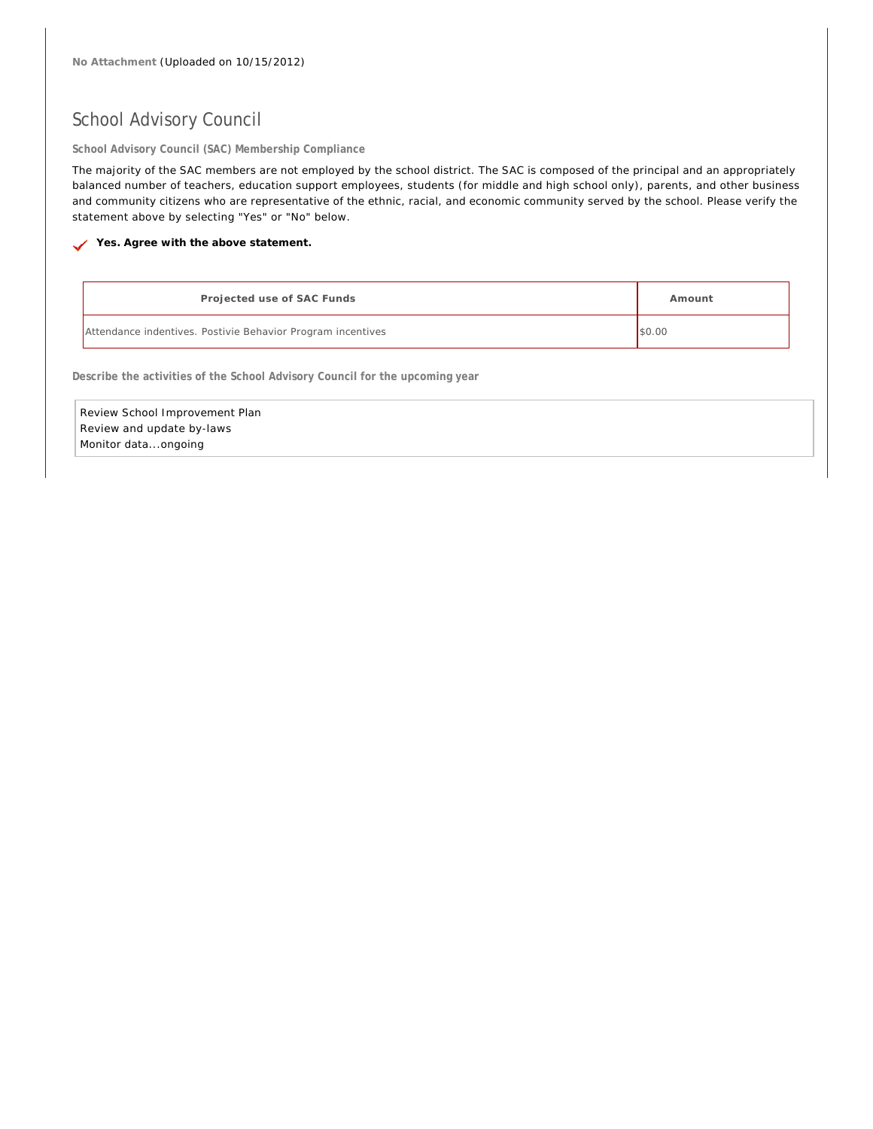## School Advisory Council

**School Advisory Council (SAC) Membership Compliance**

The majority of the SAC members are not employed by the school district. The SAC is composed of the principal and an appropriately balanced number of teachers, education support employees, students (for middle and high school only), parents, and other business and community citizens who are representative of the ethnic, racial, and economic community served by the school. Please verify the statement above by selecting "Yes" or "No" below.

Yes. Agree with the above statement.

| Projected use of SAC Funds                                  | Amount |
|-------------------------------------------------------------|--------|
| Attendance indentives. Postivie Behavior Program incentives | \$0.00 |

**Describe the activities of the School Advisory Council for the upcoming year**

Review School Improvement Plan Review and update by-laws Monitor data...ongoing